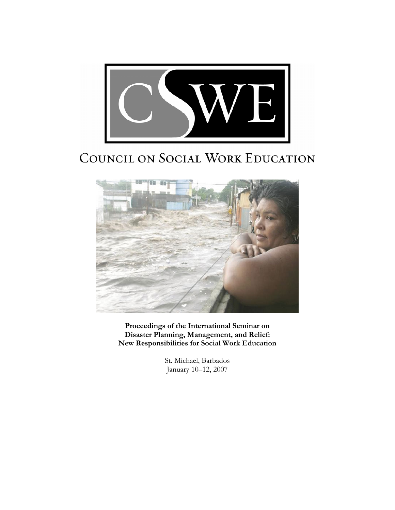

# COUNCIL ON SOCIAL WORK EDUCATION



**Proceedings of the International Seminar on Disaster Planning, Management, and Relief: New Responsibilities for Social Work Education** 

> St. Michael, Barbados January 10–12, 2007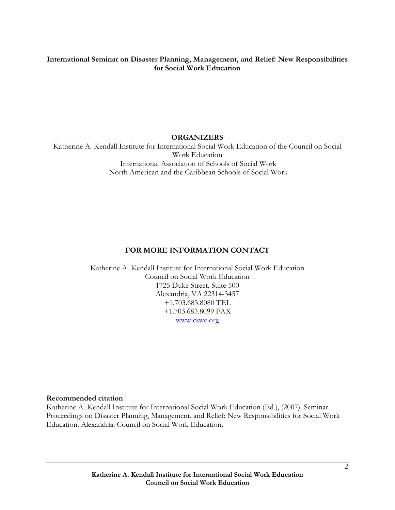#### **International Seminar on Disaster Planning, Management, and Relief: New Responsibilities for Social Work Education**

#### **ORGANIZERS**

Katherine A. Kendall Institute for International Social Work Education of the Council on Social Work Education International Association of Schools of Social Work North American and the Caribbean Schools of Social Work

## **FOR MORE INFORMATION CONTACT**

Katherine A. Kendall Institute for International Social Work Education Council on Social Work Education 1725 Duke Street, Suite 500 Alexandria, VA 22314-3457 +1.703.683.8080 TEL +1.703.683.8099 FAX [www.cswe.org](http://www.cswe.org/) 

**Recommended citation** 

Katherine A. Kendall Institute for International Social Work Education (Ed.), (2007). Seminar Proceedings on Disaster Planning, Management, and Relief: New Responsibilities for Social Work Education. Alexandria: Council on Social Work Education.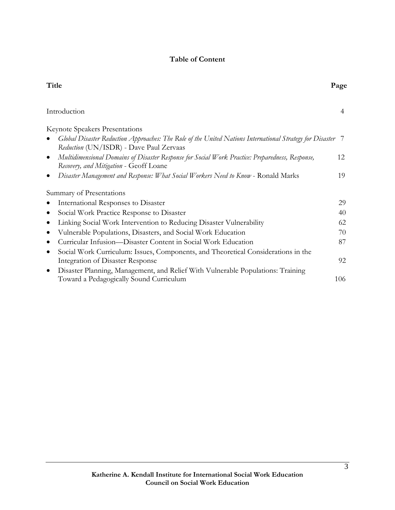## **Table of Content**

| Title                                                                                                                                                                                                                 | Page |
|-----------------------------------------------------------------------------------------------------------------------------------------------------------------------------------------------------------------------|------|
| Introduction                                                                                                                                                                                                          | 4    |
| <b>Keynote Speakers Presentations</b><br>Global Disaster Reduction Approaches: The Role of the United Nations International Strategy for Disaster 7<br>Reduction (UN/ISDR) - Dave Paul Zervaas                        |      |
| Multidimensional Domains of Disaster Response for Social Work Practice: Preparedness, Response,<br>Recovery, and Mitigation - Geoff Loane                                                                             | 12   |
| Disaster Management and Response: What Social Workers Need to Know - Ronald Marks                                                                                                                                     | 19   |
| Summary of Presentations                                                                                                                                                                                              |      |
| International Responses to Disaster                                                                                                                                                                                   | 29   |
| Social Work Practice Response to Disaster                                                                                                                                                                             | 40   |
| Linking Social Work Intervention to Reducing Disaster Vulnerability                                                                                                                                                   | 62   |
| Vulnerable Populations, Disasters, and Social Work Education                                                                                                                                                          | 70   |
| Curricular Infusion-Disaster Content in Social Work Education                                                                                                                                                         | 87   |
| Social Work Curriculum: Issues, Components, and Theoretical Considerations in the<br>$\bullet$<br>Integration of Disaster Response<br>Disaster Planning, Management, and Relief With Vulnerable Populations: Training | 92   |
| Toward a Pedagogically Sound Curriculum                                                                                                                                                                               | 106  |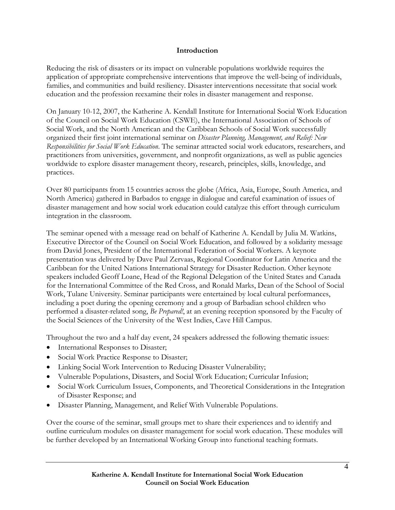#### **Introduction**

Reducing the risk of disasters or its impact on vulnerable populations worldwide requires the application of appropriate comprehensive interventions that improve the well-being of individuals, families, and communities and build resiliency. Disaster interventions necessitate that social work education and the profession reexamine their roles in disaster management and response.

On January 10-12, 2007, the Katherine A. Kendall Institute for International Social Work Education of the Council on Social Work Education (CSWE), the International Association of Schools of Social Work, and the North American and the Caribbean Schools of Social Work successfully organized their first joint international seminar on *Disaster Planning, Management, and Relief: New Responsibilities for Social Work Education*. The seminar attracted social work educators, researchers, and practitioners from universities, government, and nonprofit organizations, as well as public agencies worldwide to explore disaster management theory, research, principles, skills, knowledge, and practices.

Over 80 participants from 15 countries across the globe (Africa, Asia, Europe, South America, and North America) gathered in Barbados to engage in dialogue and careful examination of issues of disaster management and how social work education could catalyze this effort through curriculum integration in the classroom.

The seminar opened with a message read on behalf of Katherine A. Kendall by Julia M. Watkins, Executive Director of the Council on Social Work Education, and followed by a solidarity message from David Jones, President of the International Federation of Social Workers. A keynote presentation was delivered by Dave Paul Zervaas, Regional Coordinator for Latin America and the Caribbean for the United Nations International Strategy for Disaster Reduction. Other keynote speakers included Geoff Loane, Head of the Regional Delegation of the United States and Canada for the International Committee of the Red Cross, and Ronald Marks, Dean of the School of Social Work, Tulane University. Seminar participants were entertained by local cultural performances, including a poet during the opening ceremony and a group of Barbadian school children who performed a disaster-related song, *Be Prepared!*, at an evening reception sponsored by the Faculty of the Social Sciences of the University of the West Indies, Cave Hill Campus.

Throughout the two and a half day event, 24 speakers addressed the following thematic issues:

- International Responses to Disaster;
- Social Work Practice Response to Disaster;
- Linking Social Work Intervention to Reducing Disaster Vulnerability;
- Vulnerable Populations, Disasters, and Social Work Education; Curricular Infusion;
- Social Work Curriculum Issues, Components, and Theoretical Considerations in the Integration of Disaster Response; and
- Disaster Planning, Management, and Relief With Vulnerable Populations.

Over the course of the seminar, small groups met to share their experiences and to identify and outline curriculum modules on disaster management for social work education. These modules will be further developed by an International Working Group into functional teaching formats.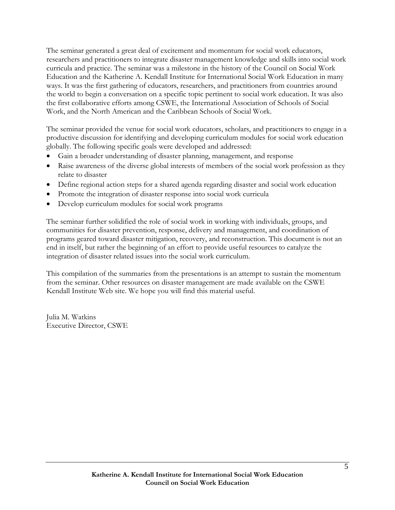The seminar generated a great deal of excitement and momentum for social work educators, researchers and practitioners to integrate disaster management knowledge and skills into social work curricula and practice. The seminar was a milestone in the history of the Council on Social Work Education and the Katherine A. Kendall Institute for International Social Work Education in many ways. It was the first gathering of educators, researchers, and practitioners from countries around the world to begin a conversation on a specific topic pertinent to social work education. It was also the first collaborative efforts among CSWE, the International Association of Schools of Social Work, and the North American and the Caribbean Schools of Social Work.

The seminar provided the venue for social work educators, scholars, and practitioners to engage in a productive discussion for identifying and developing curriculum modules for social work education globally. The following specific goals were developed and addressed:

- Gain a broader understanding of disaster planning, management, and response
- Raise awareness of the diverse global interests of members of the social work profession as they relate to disaster
- Define regional action steps for a shared agenda regarding disaster and social work education
- Promote the integration of disaster response into social work curricula
- Develop curriculum modules for social work programs

The seminar further solidified the role of social work in working with individuals, groups, and communities for disaster prevention, response, delivery and management, and coordination of programs geared toward disaster mitigation, recovery, and reconstruction. This document is not an end in itself, but rather the beginning of an effort to provide useful resources to catalyze the integration of disaster related issues into the social work curriculum.

This compilation of the summaries from the presentations is an attempt to sustain the momentum from the seminar. Other resources on disaster management are made available on the CSWE Kendall Institute Web site. We hope you will find this material useful.

Julia M. Watkins Executive Director, CSWE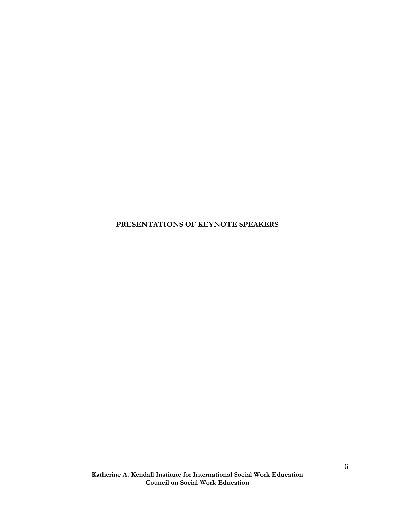**PRESENTATIONS OF KEYNOTE SPEAKERS**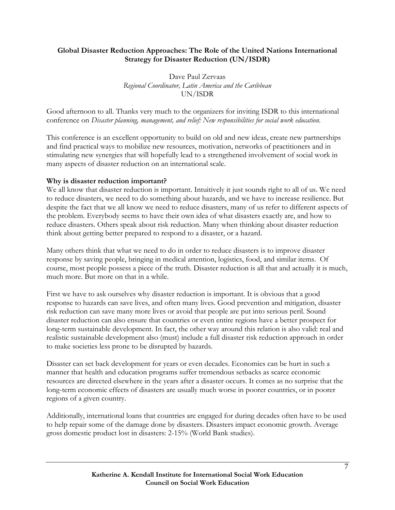## **Global Disaster Reduction Approaches: The Role of the United Nations International Strategy for Disaster Reduction (UN/ISDR)**

Dave Paul Zervaas *Regional Coordinator, Latin America and the Caribbean*  UN/ISDR

Good afternoon to all. Thanks very much to the organizers for inviting ISDR to this international conference on *Disaster planning, management, and relief: New responsibilities for social work education*.

This conference is an excellent opportunity to build on old and new ideas, create new partnerships and find practical ways to mobilize new resources, motivation, networks of practitioners and in stimulating new synergies that will hopefully lead to a strengthened involvement of social work in many aspects of disaster reduction on an international scale.

#### **Why is disaster reduction important?**

We all know that disaster reduction is important. Intuitively it just sounds right to all of us. We need to reduce disasters, we need to do something about hazards, and we have to increase resilience. But despite the fact that we all know we need to reduce disasters, many of us refer to different aspects of the problem. Everybody seems to have their own idea of what disasters exactly are, and how to reduce disasters. Others speak about risk reduction. Many when thinking about disaster reduction think about getting better prepared to respond to a disaster, or a hazard.

Many others think that what we need to do in order to reduce disasters is to improve disaster response by saving people, bringing in medical attention, logistics, food, and similar items. Of course, most people possess a piece of the truth. Disaster reduction is all that and actually it is much, much more. But more on that in a while.

First we have to ask ourselves why disaster reduction is important. It is obvious that a good response to hazards can save lives, and often many lives. Good prevention and mitigation, disaster risk reduction can save many more lives or avoid that people are put into serious peril. Sound disaster reduction can also ensure that countries or even entire regions have a better prospect for long-term sustainable development. In fact, the other way around this relation is also valid: real and realistic sustainable development also (must) include a full disaster risk reduction approach in order to make societies less prone to be disrupted by hazards.

Disaster can set back development for years or even decades. Economies can be hurt in such a manner that health and education programs suffer tremendous setbacks as scarce economic resources are directed elsewhere in the years after a disaster occurs. It comes as no surprise that the long-term economic effects of disasters are usually much worse in poorer countries, or in poorer regions of a given country.

Additionally, international loans that countries are engaged for during decades often have to be used to help repair some of the damage done by disasters. Disasters impact economic growth. Average gross domestic product lost in disasters: 2-15% (World Bank studies).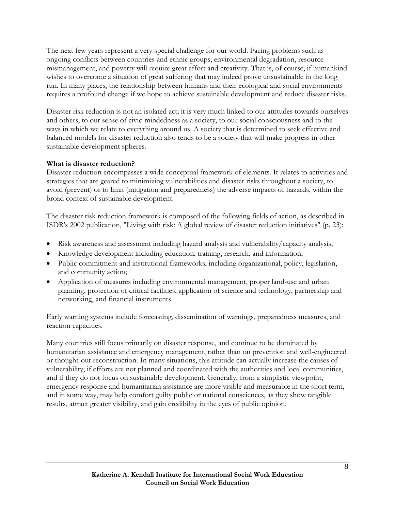The next few years represent a very special challenge for our world. Facing problems such as ongoing conflicts between countries and ethnic groups, environmental degradation, resource mismanagement, and poverty will require great effort and creativity. That is, of course, if humankind wishes to overcome a situation of great suffering that may indeed prove unsustainable in the long run. In many places, the relationship between humans and their ecological and social environments requires a profound change if we hope to achieve sustainable development and reduce disaster risks.

Disaster risk reduction is not an isolated act; it is very much linked to our attitudes towards ourselves and others, to our sense of civic-mindedness as a society, to our social consciousness and to the ways in which we relate to everything around us. A society that is determined to seek effective and balanced models for disaster reduction also tends to be a society that will make progress in other sustainable development spheres.

## **What is disaster reduction?**

Disaster reduction encompasses a wide conceptual framework of elements. It relates to activities and strategies that are geared to minimizing vulnerabilities and disaster risks throughout a society, to avoid (prevent) or to limit (mitigation and preparedness) the adverse impacts of hazards, within the broad context of sustainable development.

The disaster risk reduction framework is composed of the following fields of action, as described in ISDR's 2002 publication, "Living with risk: A global review of disaster reduction initiatives" (p. 23):

- Risk awareness and assessment including hazard analysis and vulnerability/capacity analysis;
- Knowledge development including education, training, research, and information;
- Public commitment and institutional frameworks, including organizational, policy, legislation, and community action;
- Application of measures including environmental management, proper land-use and urban planning, protection of critical facilities, application of science and technology, partnership and networking, and financial instruments.

Early warning systems include forecasting, dissemination of warnings, preparedness measures, and reaction capacities.

Many countries still focus primarily on disaster response, and continue to be dominated by humanitarian assistance and emergency management, rather than on prevention and well-engineered or thought-out reconstruction. In many situations, this attitude can actually increase the causes of vulnerability, if efforts are not planned and coordinated with the authorities and local communities, and if they do not focus on sustainable development. Generally, from a simplistic viewpoint, emergency response and humanitarian assistance are more visible and measurable in the short term, and in some way, may help comfort guilty public or national consciences, as they show tangible results, attract greater visibility, and gain credibility in the eyes of public opinion.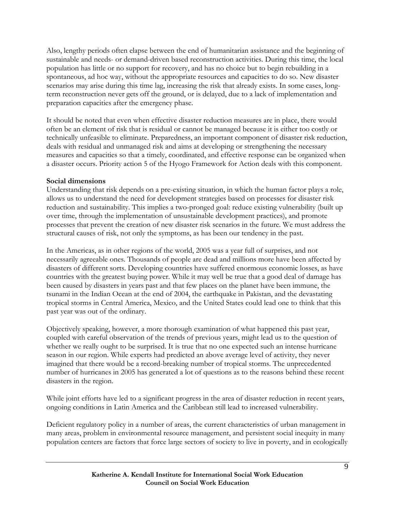Also, lengthy periods often elapse between the end of humanitarian assistance and the beginning of sustainable and needs- or demand-driven based reconstruction activities. During this time, the local population has little or no support for recovery, and has no choice but to begin rebuilding in a spontaneous, ad hoc way, without the appropriate resources and capacities to do so. New disaster scenarios may arise during this time lag, increasing the risk that already exists. In some cases, longterm reconstruction never gets off the ground, or is delayed, due to a lack of implementation and preparation capacities after the emergency phase.

It should be noted that even when effective disaster reduction measures are in place, there would often be an element of risk that is residual or cannot be managed because it is either too costly or technically unfeasible to eliminate. Preparedness, an important component of disaster risk reduction, deals with residual and unmanaged risk and aims at developing or strengthening the necessary measures and capacities so that a timely, coordinated, and effective response can be organized when a disaster occurs. Priority action 5 of the Hyogo Framework for Action deals with this component.

## **Social dimensions**

Understanding that risk depends on a pre-existing situation, in which the human factor plays a role, allows us to understand the need for development strategies based on processes for disaster risk reduction and sustainability. This implies a two-pronged goal: reduce existing vulnerability (built up over time, through the implementation of unsustainable development practices), and promote processes that prevent the creation of new disaster risk scenarios in the future. We must address the structural causes of risk, not only the symptoms, as has been our tendency in the past.

In the Americas, as in other regions of the world, 2005 was a year full of surprises, and not necessarily agreeable ones. Thousands of people are dead and millions more have been affected by disasters of different sorts. Developing countries have suffered enormous economic losses, as have countries with the greatest buying power. While it may well be true that a good deal of damage has been caused by disasters in years past and that few places on the planet have been immune, the tsunami in the Indian Ocean at the end of 2004, the earthquake in Pakistan, and the devastating tropical storms in Central America, Mexico, and the United States could lead one to think that this past year was out of the ordinary.

Objectively speaking, however, a more thorough examination of what happened this past year, coupled with careful observation of the trends of previous years, might lead us to the question of whether we really ought to be surprised. It is true that no one expected such an intense hurricane season in our region. While experts had predicted an above average level of activity, they never imagined that there would be a record-breaking number of tropical storms. The unprecedented number of hurricanes in 2005 has generated a lot of questions as to the reasons behind these recent disasters in the region.

While joint efforts have led to a significant progress in the area of disaster reduction in recent years, ongoing conditions in Latin America and the Caribbean still lead to increased vulnerability.

Deficient regulatory policy in a number of areas, the current characteristics of urban management in many areas, problem in environmental resource management, and persistent social inequity in many population centers are factors that force large sectors of society to live in poverty, and in ecologically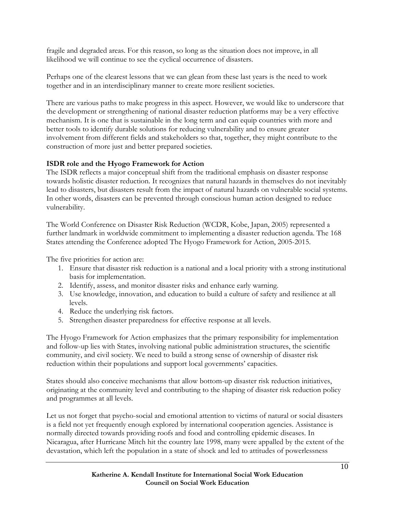fragile and degraded areas. For this reason, so long as the situation does not improve, in all likelihood we will continue to see the cyclical occurrence of disasters.

Perhaps one of the clearest lessons that we can glean from these last years is the need to work together and in an interdisciplinary manner to create more resilient societies.

There are various paths to make progress in this aspect. However, we would like to underscore that the development or strengthening of national disaster reduction platforms may be a very effective mechanism. It is one that is sustainable in the long term and can equip countries with more and better tools to identify durable solutions for reducing vulnerability and to ensure greater involvement from different fields and stakeholders so that, together, they might contribute to the construction of more just and better prepared societies.

## **ISDR role and the Hyogo Framework for Action**

The ISDR reflects a major conceptual shift from the traditional emphasis on disaster response towards holistic disaster reduction. It recognizes that natural hazards in themselves do not inevitably lead to disasters, but disasters result from the impact of natural hazards on vulnerable social systems. In other words, disasters can be prevented through conscious human action designed to reduce vulnerability.

The World Conference on Disaster Risk Reduction (WCDR, Kobe, Japan, 2005) represented a further landmark in worldwide commitment to implementing a disaster reduction agenda. The 168 States attending the Conference adopted The Hyogo Framework for Action, 2005-2015.

The five priorities for action are:

- 1. Ensure that disaster risk reduction is a national and a local priority with a strong institutional basis for implementation.
- 2. Identify, assess, and monitor disaster risks and enhance early warning.
- 3. Use knowledge, innovation, and education to build a culture of safety and resilience at all levels.
- 4. Reduce the underlying risk factors.
- 5. Strengthen disaster preparedness for effective response at all levels.

The Hyogo Framework for Action emphasizes that the primary responsibility for implementation and follow-up lies with States, involving national public administration structures, the scientific community, and civil society. We need to build a strong sense of ownership of disaster risk reduction within their populations and support local governments' capacities.

States should also conceive mechanisms that allow bottom-up disaster risk reduction initiatives, originating at the community level and contributing to the shaping of disaster risk reduction policy and programmes at all levels.

Let us not forget that psycho-social and emotional attention to victims of natural or social disasters is a field not yet frequently enough explored by international cooperation agencies. Assistance is normally directed towards providing roofs and food and controlling epidemic diseases. In Nicaragua, after Hurricane Mitch hit the country late 1998, many were appalled by the extent of the devastation, which left the population in a state of shock and led to attitudes of powerlessness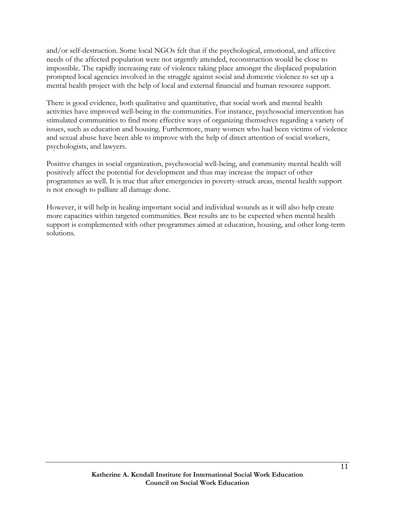and/or self-destruction. Some local NGOs felt that if the psychological, emotional, and affective needs of the affected population were not urgently attended, reconstruction would be close to impossible. The rapidly increasing rate of violence taking place amongst the displaced population prompted local agencies involved in the struggle against social and domestic violence to set up a mental health project with the help of local and external financial and human resource support.

There is good evidence, both qualitative and quantitative, that social work and mental health activities have improved well-being in the communities. For instance, psychosocial intervention has stimulated communities to find more effective ways of organizing themselves regarding a variety of issues, such as education and housing. Furthermore, many women who had been victims of violence and sexual abuse have been able to improve with the help of direct attention of social workers, psychologists, and lawyers.

Positive changes in social organization, psychosocial well-being, and community mental health will positively affect the potential for development and thus may increase the impact of other programmes as well. It is true that after emergencies in poverty-struck areas, mental health support is not enough to palliate all damage done.

However, it will help in healing important social and individual wounds as it will also help create more capacities within targeted communities. Best results are to be expected when mental health support is complemented with other programmes aimed at education, housing, and other long-term solutions.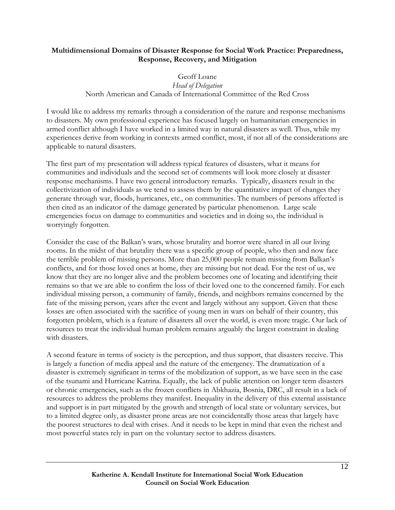## **Multidimensional Domains of Disaster Response for Social Work Practice: Preparedness, Response, Recovery, and Mitigation**

#### Geoff Loane *Head of Delegation*  North American and Canada of International Committee of the Red Cross

I would like to address my remarks through a consideration of the nature and response mechanisms to disasters. My own professional experience has focused largely on humanitarian emergencies in armed conflict although I have worked in a limited way in natural disasters as well. Thus, while my experiences derive from working in contexts armed conflict, most, if not all of the considerations are applicable to natural disasters.

The first part of my presentation will address typical features of disasters, what it means for communities and individuals and the second set of comments will look more closely at disaster response mechanisms. I have two general introductory remarks. Typically, disasters result in the collectivization of individuals as we tend to assess them by the quantitative impact of changes they generate through war, floods, hurricanes, etc., on communities. The numbers of persons affected is then cited as an indicator of the damage generated by particular phenomenon. Large scale emergencies focus on damage to communities and societies and in doing so, the individual is worryingly forgotten.

Consider the case of the Balkan's wars, whose brutality and horror were shared in all our living rooms. In the midst of that brutality there was a specific group of people, who then and now face the terrible problem of missing persons. More than 25,000 people remain missing from Balkan's conflicts, and for those loved ones at home, they are missing but not dead. For the rest of us, we know that they are no longer alive and the problem becomes one of locating and identifying their remains so that we are able to confirm the loss of their loved one to the concerned family. For each individual missing person, a community of family, friends, and neighbors remains concerned by the fate of the missing person, years after the event and largely without any support. Given that these losses are often associated with the sacrifice of young men in wars on behalf of their country, this forgotten problem, which is a feature of disasters all over the world, is even more tragic. Our lack of resources to treat the individual human problem remains arguably the largest constraint in dealing with disasters.

A second feature in terms of society is the perception, and thus support, that disasters receive. This is largely a function of media appeal and the nature of the emergency. The dramatization of a disaster is extremely significant in terms of the mobilization of support, as we have seen in the case of the tsunami and Hurricane Katrina. Equally, the lack of public attention on longer term disasters or chronic emergencies, such as the frozen conflicts in Abkhazia, Bosnia, DRC, all result in a lack of resources to address the problems they manifest. Inequality in the delivery of this external assistance and support is in part mitigated by the growth and strength of local state or voluntary services, but to a limited degree only, as disaster prone areas are not coincidentally those areas that largely have the poorest structures to deal with crises. And it needs to be kept in mind that even the richest and most powerful states rely in part on the voluntary sector to address disasters.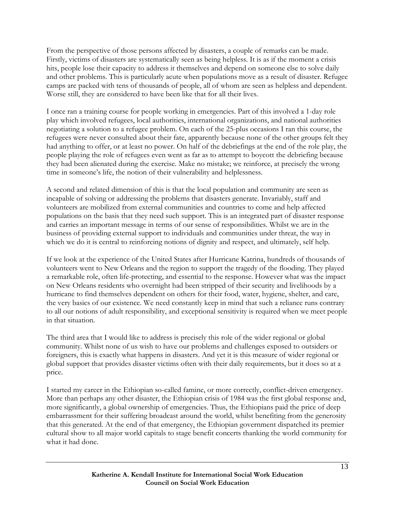From the perspective of those persons affected by disasters, a couple of remarks can be made. Firstly, victims of disasters are systematically seen as being helpless. It is as if the moment a crisis hits, people lose their capacity to address it themselves and depend on someone else to solve daily and other problems. This is particularly acute when populations move as a result of disaster. Refugee camps are packed with tens of thousands of people, all of whom are seen as helpless and dependent. Worse still, they are considered to have been like that for all their lives.

I once ran a training course for people working in emergencies. Part of this involved a 1-day role play which involved refugees, local authorities, international organizations, and national authorities negotiating a solution to a refugee problem. On each of the 25-plus occasions I ran this course, the refugees were never consulted about their fate, apparently because none of the other groups felt they had anything to offer, or at least no power. On half of the debriefings at the end of the role play, the people playing the role of refugees even went as far as to attempt to boycott the debriefing because they had been alienated during the exercise. Make no mistake; we reinforce, at precisely the wrong time in someone's life, the notion of their vulnerability and helplessness.

A second and related dimension of this is that the local population and community are seen as incapable of solving or addressing the problems that disasters generate. Invariably, staff and volunteers are mobilized from external communities and countries to come and help affected populations on the basis that they need such support. This is an integrated part of disaster response and carries an important message in terms of our sense of responsibilities. Whilst we are in the business of providing external support to individuals and communities under threat, the way in which we do it is central to reinforcing notions of dignity and respect, and ultimately, self help.

If we look at the experience of the United States after Hurricane Katrina, hundreds of thousands of volunteers went to New Orleans and the region to support the tragedy of the flooding. They played a remarkable role, often life-protecting, and essential to the response. However what was the impact on New Orleans residents who overnight had been stripped of their security and livelihoods by a hurricane to find themselves dependent on others for their food, water, hygiene, shelter, and care, the very basics of our existence. We need constantly keep in mind that such a reliance runs contrary to all our notions of adult responsibility, and exceptional sensitivity is required when we meet people in that situation.

The third area that I would like to address is precisely this role of the wider regional or global community. Whilst none of us wish to have our problems and challenges exposed to outsiders or foreigners, this is exactly what happens in disasters. And yet it is this measure of wider regional or global support that provides disaster victims often with their daily requirements, but it does so at a price.

I started my career in the Ethiopian so-called famine, or more correctly, conflict-driven emergency. More than perhaps any other disaster, the Ethiopian crisis of 1984 was the first global response and, more significantly, a global ownership of emergencies. Thus, the Ethiopians paid the price of deep embarrassment for their suffering broadcast around the world, whilst benefiting from the generosity that this generated. At the end of that emergency, the Ethiopian government dispatched its premier cultural show to all major world capitals to stage benefit concerts thanking the world community for what it had done.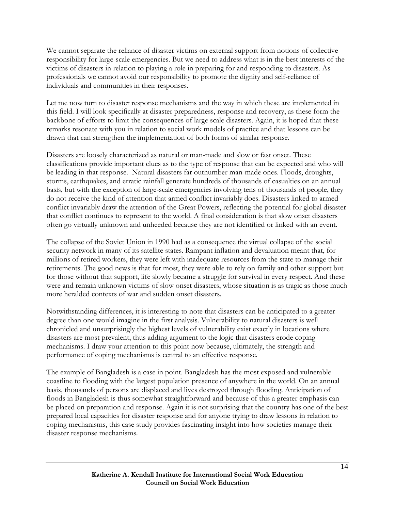We cannot separate the reliance of disaster victims on external support from notions of collective responsibility for large-scale emergencies. But we need to address what is in the best interests of the victims of disasters in relation to playing a role in preparing for and responding to disasters. As professionals we cannot avoid our responsibility to promote the dignity and self-reliance of individuals and communities in their responses.

Let me now turn to disaster response mechanisms and the way in which these are implemented in this field. I will look specifically at disaster preparedness, response and recovery, as these form the backbone of efforts to limit the consequences of large scale disasters. Again, it is hoped that these remarks resonate with you in relation to social work models of practice and that lessons can be drawn that can strengthen the implementation of both forms of similar response.

Disasters are loosely characterized as natural or man-made and slow or fast onset. These classifications provide important clues as to the type of response that can be expected and who will be leading in that response. Natural disasters far outnumber man-made ones. Floods, droughts, storms, earthquakes, and erratic rainfall generate hundreds of thousands of casualties on an annual basis, but with the exception of large-scale emergencies involving tens of thousands of people, they do not receive the kind of attention that armed conflict invariably does. Disasters linked to armed conflict invariably draw the attention of the Great Powers, reflecting the potential for global disaster that conflict continues to represent to the world. A final consideration is that slow onset disasters often go virtually unknown and unheeded because they are not identified or linked with an event.

The collapse of the Soviet Union in 1990 had as a consequence the virtual collapse of the social security network in many of its satellite states. Rampant inflation and devaluation meant that, for millions of retired workers, they were left with inadequate resources from the state to manage their retirements. The good news is that for most, they were able to rely on family and other support but for those without that support, life slowly became a struggle for survival in every respect. And these were and remain unknown victims of slow onset disasters, whose situation is as tragic as those much more heralded contexts of war and sudden onset disasters.

Notwithstanding differences, it is interesting to note that disasters can be anticipated to a greater degree than one would imagine in the first analysis. Vulnerability to natural disasters is well chronicled and unsurprisingly the highest levels of vulnerability exist exactly in locations where disasters are most prevalent, thus adding argument to the logic that disasters erode coping mechanisms. I draw your attention to this point now because, ultimately, the strength and performance of coping mechanisms is central to an effective response.

The example of Bangladesh is a case in point. Bangladesh has the most exposed and vulnerable coastline to flooding with the largest population presence of anywhere in the world. On an annual basis, thousands of persons are displaced and lives destroyed through flooding. Anticipation of floods in Bangladesh is thus somewhat straightforward and because of this a greater emphasis can be placed on preparation and response. Again it is not surprising that the country has one of the best prepared local capacities for disaster response and for anyone trying to draw lessons in relation to coping mechanisms, this case study provides fascinating insight into how societies manage their disaster response mechanisms.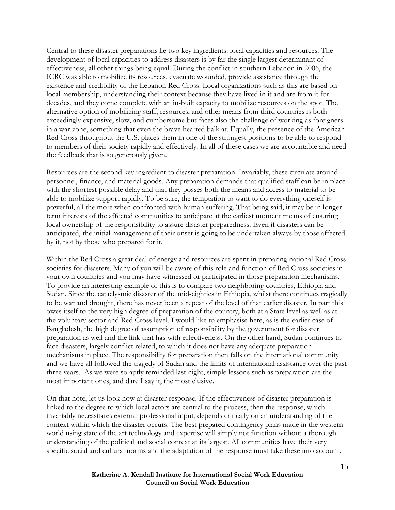Central to these disaster preparations lie two key ingredients: local capacities and resources. The development of local capacities to address disasters is by far the single largest determinant of effectiveness, all other things being equal. During the conflict in southern Lebanon in 2006, the ICRC was able to mobilize its resources, evacuate wounded, provide assistance through the existence and credibility of the Lebanon Red Cross. Local organizations such as this are based on local membership, understanding their context because they have lived in it and are from it for decades, and they come complete with an in-built capacity to mobilize resources on the spot. The alternative option of mobilizing staff, resources, and other means from third countries is both exceedingly expensive, slow, and cumbersome but faces also the challenge of working as foreigners in a war zone, something that even the brave hearted balk at. Equally, the presence of the American Red Cross throughout the U.S. places them in one of the strongest positions to be able to respond to members of their society rapidly and effectively. In all of these cases we are accountable and need the feedback that is so generously given.

Resources are the second key ingredient to disaster preparation. Invariably, these circulate around personnel, finance, and material goods. Any preparation demands that qualified staff can be in place with the shortest possible delay and that they posses both the means and access to material to be able to mobilize support rapidly. To be sure, the temptation to want to do everything oneself is powerful, all the more when confronted with human suffering. That being said, it may be in longer term interests of the affected communities to anticipate at the earliest moment means of ensuring local ownership of the responsibility to assure disaster preparedness. Even if disasters can be anticipated, the initial management of their onset is going to be undertaken always by those affected by it, not by those who prepared for it.

Within the Red Cross a great deal of energy and resources are spent in preparing national Red Cross societies for disasters. Many of you will be aware of this role and function of Red Cross societies in your own countries and you may have witnessed or participated in those preparation mechanisms. To provide an interesting example of this is to compare two neighboring countries, Ethiopia and Sudan. Since the cataclysmic disaster of the mid-eighties in Ethiopia, whilst there continues tragically to be war and drought, there has never been a repeat of the level of that earlier disaster. In part this owes itself to the very high degree of preparation of the country, both at a State level as well as at the voluntary sector and Red Cross level. I would like to emphasise here, as is the earlier case of Bangladesh, the high degree of assumption of responsibility by the government for disaster preparation as well and the link that has with effectiveness. On the other hand, Sudan continues to face disasters, largely conflict related, to which it does not have any adequate preparation mechanisms in place. The responsibility for preparation then falls on the international community and we have all followed the tragedy of Sudan and the limits of international assistance over the past three years. As we were so aptly reminded last night, simple lessons such as preparation are the most important ones, and dare I say it, the most elusive.

On that note, let us look now at disaster response. If the effectiveness of disaster preparation is linked to the degree to which local actors are central to the process, then the response, which invariably necessitates external professional input, depends critically on an understanding of the context within which the disaster occurs. The best prepared contingency plans made in the western world using state of the art technology and expertise will simply not function without a thorough understanding of the political and social context at its largest. All communities have their very specific social and cultural norms and the adaptation of the response must take these into account.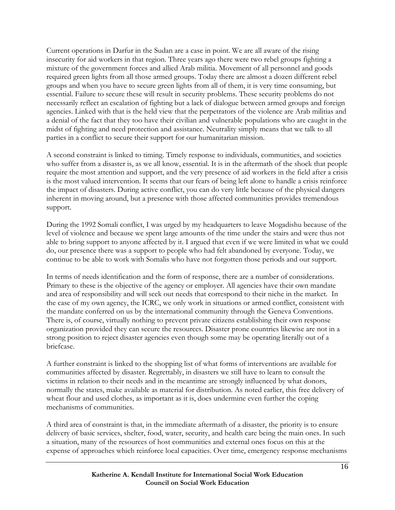Current operations in Darfur in the Sudan are a case in point. We are all aware of the rising insecurity for aid workers in that region. Three years ago there were two rebel groups fighting a mixture of the government forces and allied Arab militia. Movement of all personnel and goods required green lights from all those armed groups. Today there are almost a dozen different rebel groups and when you have to secure green lights from all of them, it is very time consuming, but essential. Failure to secure these will result in security problems. These security problems do not necessarily reflect an escalation of fighting but a lack of dialogue between armed groups and foreign agencies. Linked with that is the held view that the perpetrators of the violence are Arab militias and a denial of the fact that they too have their civilian and vulnerable populations who are caught in the midst of fighting and need protection and assistance. Neutrality simply means that we talk to all parties in a conflict to secure their support for our humanitarian mission.

A second constraint is linked to timing. Timely response to individuals, communities, and societies who suffer from a disaster is, as we all know, essential. It is in the aftermath of the shock that people require the most attention and support, and the very presence of aid workers in the field after a crisis is the most valued intervention. It seems that our fears of being left alone to handle a crisis reinforce the impact of disasters. During active conflict, you can do very little because of the physical dangers inherent in moving around, but a presence with those affected communities provides tremendous support.

During the 1992 Somali conflict, I was urged by my headquarters to leave Mogadishu because of the level of violence and because we spent large amounts of the time under the stairs and were thus not able to bring support to anyone affected by it. I argued that even if we were limited in what we could do, our presence there was a support to people who had felt abandoned by everyone. Today, we continue to be able to work with Somalis who have not forgotten those periods and our support.

In terms of needs identification and the form of response, there are a number of considerations. Primary to these is the objective of the agency or employer. All agencies have their own mandate and area of responsibility and will seek out needs that correspond to their niche in the market. In the case of my own agency, the ICRC, we only work in situations or armed conflict, consistent with the mandate conferred on us by the international community through the Geneva Conventions. There is, of course, virtually nothing to prevent private citizens establishing their own response organization provided they can secure the resources. Disaster prone countries likewise are not in a strong position to reject disaster agencies even though some may be operating literally out of a briefcase.

A further constraint is linked to the shopping list of what forms of interventions are available for communities affected by disaster. Regrettably, in disasters we still have to learn to consult the victims in relation to their needs and in the meantime are strongly influenced by what donors, normally the states, make available as material for distribution. As noted earlier, this free delivery of wheat flour and used clothes, as important as it is, does undermine even further the coping mechanisms of communities.

A third area of constraint is that, in the immediate aftermath of a disaster, the priority is to ensure delivery of basic services, shelter, food, water, security, and health care being the main ones. In such a situation, many of the resources of host communities and external ones focus on this at the expense of approaches which reinforce local capacities. Over time, emergency response mechanisms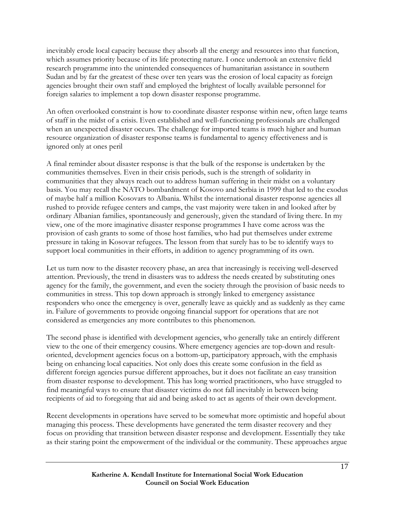inevitably erode local capacity because they absorb all the energy and resources into that function, which assumes priority because of its life protecting nature. I once undertook an extensive field research programme into the unintended consequences of humanitarian assistance in southern Sudan and by far the greatest of these over ten years was the erosion of local capacity as foreign agencies brought their own staff and employed the brightest of locally available personnel for foreign salaries to implement a top down disaster response programme.

An often overlooked constraint is how to coordinate disaster response within new, often large teams of staff in the midst of a crisis. Even established and well-functioning professionals are challenged when an unexpected disaster occurs. The challenge for imported teams is much higher and human resource organization of disaster response teams is fundamental to agency effectiveness and is ignored only at ones peril

A final reminder about disaster response is that the bulk of the response is undertaken by the communities themselves. Even in their crisis periods, such is the strength of solidarity in communities that they always reach out to address human suffering in their midst on a voluntary basis. You may recall the NATO bombardment of Kosovo and Serbia in 1999 that led to the exodus of maybe half a million Kosovars to Albania. Whilst the international disaster response agencies all rushed to provide refugee centers and camps, the vast majority were taken in and looked after by ordinary Albanian families, spontaneously and generously, given the standard of living there. In my view, one of the more imaginative disaster response programmes I have come across was the provision of cash grants to some of those host families, who had put themselves under extreme pressure in taking in Kosovar refugees. The lesson from that surely has to be to identify ways to support local communities in their efforts, in addition to agency programming of its own.

Let us turn now to the disaster recovery phase, an area that increasingly is receiving well-deserved attention. Previously, the trend in disasters was to address the needs created by substituting ones agency for the family, the government, and even the society through the provision of basic needs to communities in stress. This top down approach is strongly linked to emergency assistance responders who once the emergency is over, generally leave as quickly and as suddenly as they came in. Failure of governments to provide ongoing financial support for operations that are not considered as emergencies any more contributes to this phenomenon.

The second phase is identified with development agencies, who generally take an entirely different view to the one of their emergency cousins. Where emergency agencies are top-down and resultoriented, development agencies focus on a bottom-up, participatory approach, with the emphasis being on enhancing local capacities. Not only does this create some confusion in the field as different foreign agencies pursue different approaches, but it does not facilitate an easy transition from disaster response to development. This has long worried practitioners, who have struggled to find meaningful ways to ensure that disaster victims do not fall inevitably in between being recipients of aid to foregoing that aid and being asked to act as agents of their own development.

Recent developments in operations have served to be somewhat more optimistic and hopeful about managing this process. These developments have generated the term disaster recovery and they focus on providing that transition between disaster response and development. Essentially they take as their staring point the empowerment of the individual or the community. These approaches argue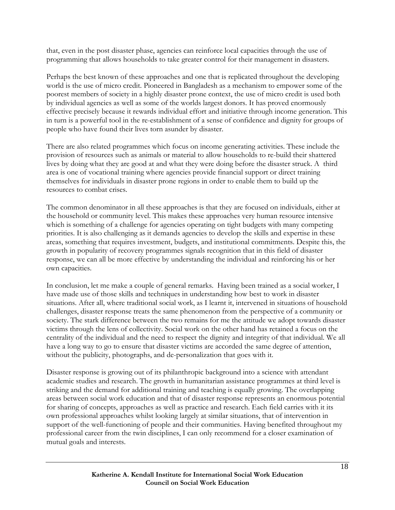that, even in the post disaster phase, agencies can reinforce local capacities through the use of programming that allows households to take greater control for their management in disasters.

Perhaps the best known of these approaches and one that is replicated throughout the developing world is the use of micro credit. Pioneered in Bangladesh as a mechanism to empower some of the poorest members of society in a highly disaster prone context, the use of micro credit is used both by individual agencies as well as some of the worlds largest donors. It has proved enormously effective precisely because it rewards individual effort and initiative through income generation. This in turn is a powerful tool in the re-establishment of a sense of confidence and dignity for groups of people who have found their lives torn asunder by disaster.

There are also related programmes which focus on income generating activities. These include the provision of resources such as animals or material to allow households to re-build their shattered lives by doing what they are good at and what they were doing before the disaster struck. A third area is one of vocational training where agencies provide financial support or direct training themselves for individuals in disaster prone regions in order to enable them to build up the resources to combat crises.

The common denominator in all these approaches is that they are focused on individuals, either at the household or community level. This makes these approaches very human resource intensive which is something of a challenge for agencies operating on tight budgets with many competing priorities. It is also challenging as it demands agencies to develop the skills and expertise in these areas, something that requires investment, budgets, and institutional commitments. Despite this, the growth in popularity of recovery programmes signals recognition that in this field of disaster response, we can all be more effective by understanding the individual and reinforcing his or her own capacities.

In conclusion, let me make a couple of general remarks. Having been trained as a social worker, I have made use of those skills and techniques in understanding how best to work in disaster situations. After all, where traditional social work, as I learnt it, intervened in situations of household challenges, disaster response treats the same phenomenon from the perspective of a community or society. The stark difference between the two remains for me the attitude we adopt towards disaster victims through the lens of collectivity. Social work on the other hand has retained a focus on the centrality of the individual and the need to respect the dignity and integrity of that individual. We all have a long way to go to ensure that disaster victims are accorded the same degree of attention, without the publicity, photographs, and de-personalization that goes with it.

Disaster response is growing out of its philanthropic background into a science with attendant academic studies and research. The growth in humanitarian assistance programmes at third level is striking and the demand for additional training and teaching is equally growing. The overlapping areas between social work education and that of disaster response represents an enormous potential for sharing of concepts, approaches as well as practice and research. Each field carries with it its own professional approaches whilst looking largely at similar situations, that of intervention in support of the well-functioning of people and their communities. Having benefited throughout my professional career from the twin disciplines, I can only recommend for a closer examination of mutual goals and interests.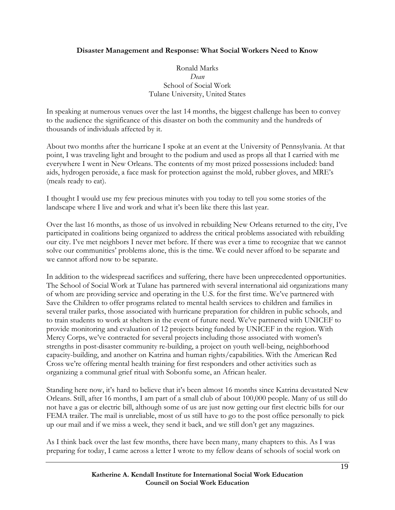## **Disaster Management and Response: What Social Workers Need to Know**

Ronald Marks *Dean*  School of Social Work Tulane University, United States

In speaking at numerous venues over the last 14 months, the biggest challenge has been to convey to the audience the significance of this disaster on both the community and the hundreds of thousands of individuals affected by it.

About two months after the hurricane I spoke at an event at the University of Pennsylvania. At that point, I was traveling light and brought to the podium and used as props all that I carried with me everywhere I went in New Orleans. The contents of my most prized possessions included: band aids, hydrogen peroxide, a face mask for protection against the mold, rubber gloves, and MRE's (meals ready to eat).

I thought I would use my few precious minutes with you today to tell you some stories of the landscape where I live and work and what it's been like there this last year.

Over the last 16 months, as those of us involved in rebuilding New Orleans returned to the city, I've participated in coalitions being organized to address the critical problems associated with rebuilding our city. I've met neighbors I never met before. If there was ever a time to recognize that we cannot solve our communities' problems alone, this is the time. We could never afford to be separate and we cannot afford now to be separate.

In addition to the widespread sacrifices and suffering, there have been unprecedented opportunities. The School of Social Work at Tulane has partnered with several international aid organizations many of whom are providing service and operating in the U.S. for the first time. We've partnered with Save the Children to offer programs related to mental health services to children and families in several trailer parks, those associated with hurricane preparation for children in public schools, and to train students to work at shelters in the event of future need. We've partnered with UNICEF to provide monitoring and evaluation of 12 projects being funded by UNICEF in the region. With Mercy Corps, we've contracted for several projects including those associated with women's strengths in post-disaster community re-building, a project on youth well-being, neighborhood capacity-building, and another on Katrina and human rights/capabilities. With the American Red Cross we're offering mental health training for first responders and other activities such as organizing a communal grief ritual with Sobonfu some, an African healer.

Standing here now, it's hard to believe that it's been almost 16 months since Katrina devastated New Orleans. Still, after 16 months, I am part of a small club of about 100,000 people. Many of us still do not have a gas or electric bill, although some of us are just now getting our first electric bills for our FEMA trailer. The mail is unreliable, most of us still have to go to the post office personally to pick up our mail and if we miss a week, they send it back, and we still don't get any magazines.

As I think back over the last few months, there have been many, many chapters to this. As I was preparing for today, I came across a letter I wrote to my fellow deans of schools of social work on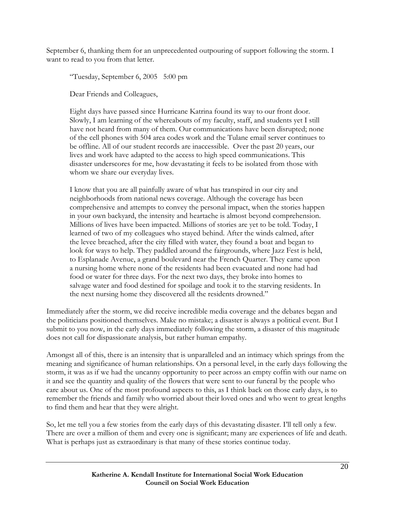September 6, thanking them for an unprecedented outpouring of support following the storm. I want to read to you from that letter.

"Tuesday, September 6, 2005 5:00 pm

Dear Friends and Colleagues,

Eight days have passed since Hurricane Katrina found its way to our front door. Slowly, I am learning of the whereabouts of my faculty, staff, and students yet I still have not heard from many of them. Our communications have been disrupted; none of the cell phones with 504 area codes work and the Tulane email server continues to be offline. All of our student records are inaccessible. Over the past 20 years, our lives and work have adapted to the access to high speed communications. This disaster underscores for me, how devastating it feels to be isolated from those with whom we share our everyday lives.

I know that you are all painfully aware of what has transpired in our city and neighborhoods from national news coverage. Although the coverage has been comprehensive and attempts to convey the personal impact, when the stories happen in your own backyard, the intensity and heartache is almost beyond comprehension. Millions of lives have been impacted. Millions of stories are yet to be told. Today, I learned of two of my colleagues who stayed behind. After the winds calmed, after the levee breached, after the city filled with water, they found a boat and began to look for ways to help. They paddled around the fairgrounds, where Jazz Fest is held, to Esplanade Avenue, a grand boulevard near the French Quarter. They came upon a nursing home where none of the residents had been evacuated and none had had food or water for three days. For the next two days, they broke into homes to salvage water and food destined for spoilage and took it to the starving residents. In the next nursing home they discovered all the residents drowned."

Immediately after the storm, we did receive incredible media coverage and the debates began and the politicians positioned themselves. Make no mistake; a disaster is always a political event. But I submit to you now, in the early days immediately following the storm, a disaster of this magnitude does not call for dispassionate analysis, but rather human empathy.

Amongst all of this, there is an intensity that is unparalleled and an intimacy which springs from the meaning and significance of human relationships. On a personal level, in the early days following the storm, it was as if we had the uncanny opportunity to peer across an empty coffin with our name on it and see the quantity and quality of the flowers that were sent to our funeral by the people who care about us. One of the most profound aspects to this, as I think back on those early days, is to remember the friends and family who worried about their loved ones and who went to great lengths to find them and hear that they were alright.

So, let me tell you a few stories from the early days of this devastating disaster. I'll tell only a few. There are over a million of them and every one is significant; many are experiences of life and death. What is perhaps just as extraordinary is that many of these stories continue today.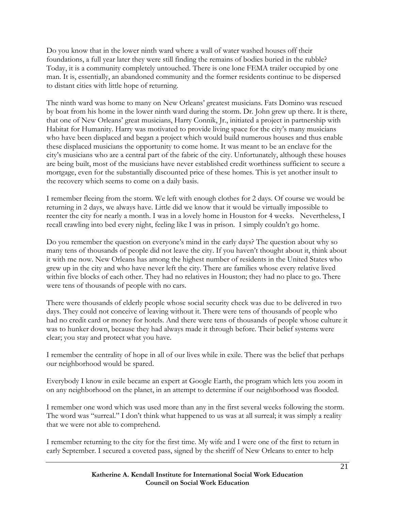Do you know that in the lower ninth ward where a wall of water washed houses off their foundations, a full year later they were still finding the remains of bodies buried in the rubble? Today, it is a community completely untouched. There is one lone FEMA trailer occupied by one man. It is, essentially, an abandoned community and the former residents continue to be dispersed to distant cities with little hope of returning.

The ninth ward was home to many on New Orleans' greatest musicians. Fats Domino was rescued by boat from his home in the lower ninth ward during the storm. Dr. John grew up there. It is there, that one of New Orleans' great musicians, Harry Connik, Jr., initiated a project in partnership with Habitat for Humanity. Harry was motivated to provide living space for the city's many musicians who have been displaced and began a project which would build numerous houses and thus enable these displaced musicians the opportunity to come home. It was meant to be an enclave for the city's musicians who are a central part of the fabric of the city. Unfortunately, although these houses are being built, most of the musicians have never established credit worthiness sufficient to secure a mortgage, even for the substantially discounted price of these homes. This is yet another insult to the recovery which seems to come on a daily basis.

I remember fleeing from the storm. We left with enough clothes for 2 days. Of course we would be returning in 2 days, we always have. Little did we know that it would be virtually impossible to reenter the city for nearly a month. I was in a lovely home in Houston for 4 weeks. Nevertheless, I recall crawling into bed every night, feeling like I was in prison. I simply couldn't go home.

Do you remember the question on everyone's mind in the early days? The question about why so many tens of thousands of people did not leave the city. If you haven't thought about it, think about it with me now. New Orleans has among the highest number of residents in the United States who grew up in the city and who have never left the city. There are families whose every relative lived within five blocks of each other. They had no relatives in Houston; they had no place to go. There were tens of thousands of people with no cars.

There were thousands of elderly people whose social security check was due to be delivered in two days. They could not conceive of leaving without it. There were tens of thousands of people who had no credit card or money for hotels. And there were tens of thousands of people whose culture it was to hunker down, because they had always made it through before. Their belief systems were clear; you stay and protect what you have.

I remember the centrality of hope in all of our lives while in exile. There was the belief that perhaps our neighborhood would be spared.

Everybody I know in exile became an expert at Google Earth, the program which lets you zoom in on any neighborhood on the planet, in an attempt to determine if our neighborhood was flooded.

I remember one word which was used more than any in the first several weeks following the storm. The word was "surreal." I don't think what happened to us was at all surreal; it was simply a reality that we were not able to comprehend.

I remember returning to the city for the first time. My wife and I were one of the first to return in early September. I secured a coveted pass, signed by the sheriff of New Orleans to enter to help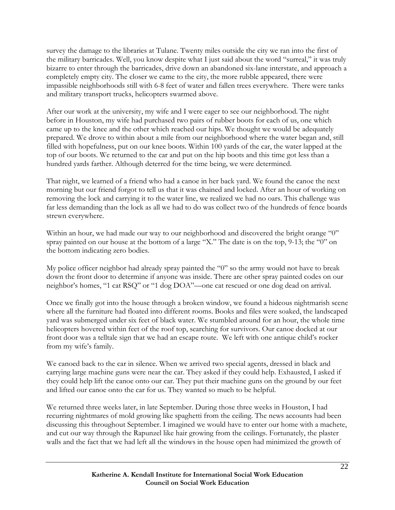survey the damage to the libraries at Tulane. Twenty miles outside the city we ran into the first of the military barricades. Well, you know despite what I just said about the word "surreal," it was truly bizarre to enter through the barricades, drive down an abandoned six-lane interstate, and approach a completely empty city. The closer we came to the city, the more rubble appeared, there were impassible neighborhoods still with 6-8 feet of water and fallen trees everywhere. There were tanks and military transport trucks, helicopters swarmed above.

After our work at the university, my wife and I were eager to see our neighborhood. The night before in Houston, my wife had purchased two pairs of rubber boots for each of us, one which came up to the knee and the other which reached our hips. We thought we would be adequately prepared. We drove to within about a mile from our neighborhood where the water began and, still filled with hopefulness, put on our knee boots. Within 100 yards of the car, the water lapped at the top of our boots. We returned to the car and put on the hip boots and this time got less than a hundred yards farther. Although deterred for the time being, we were determined.

That night, we learned of a friend who had a canoe in her back yard. We found the canoe the next morning but our friend forgot to tell us that it was chained and locked. After an hour of working on removing the lock and carrying it to the water line, we realized we had no oars. This challenge was far less demanding than the lock as all we had to do was collect two of the hundreds of fence boards strewn everywhere.

Within an hour, we had made our way to our neighborhood and discovered the bright orange "0" spray painted on our house at the bottom of a large "X." The date is on the top, 9-13; the "0" on the bottom indicating zero bodies.

My police officer neighbor had already spray painted the "0" so the army would not have to break down the front door to determine if anyone was inside. There are other spray painted codes on our neighbor's homes, "1 cat RSQ" or "1 dog DOA"—one cat rescued or one dog dead on arrival.

Once we finally got into the house through a broken window, we found a hideous nightmarish scene where all the furniture had floated into different rooms. Books and files were soaked, the landscaped yard was submerged under six feet of black water. We stumbled around for an hour, the whole time helicopters hovered within feet of the roof top, searching for survivors. Our canoe docked at our front door was a telltale sign that we had an escape route. We left with one antique child's rocker from my wife's family.

We canoed back to the car in silence. When we arrived two special agents, dressed in black and carrying large machine guns were near the car. They asked if they could help. Exhausted, I asked if they could help lift the canoe onto our car. They put their machine guns on the ground by our feet and lifted our canoe onto the car for us. They wanted so much to be helpful.

We returned three weeks later, in late September. During those three weeks in Houston, I had recurring nightmares of mold growing like spaghetti from the ceiling. The news accounts had been discussing this throughout September. I imagined we would have to enter our home with a machete, and cut our way through the Rapunzel like hair growing from the ceilings. Fortunately, the plaster walls and the fact that we had left all the windows in the house open had minimized the growth of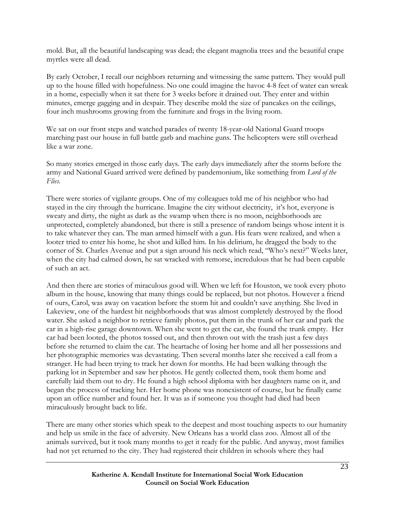mold. But, all the beautiful landscaping was dead; the elegant magnolia trees and the beautiful crape myrtles were all dead.

By early October, I recall our neighbors returning and witnessing the same pattern. They would pull up to the house filled with hopefulness. No one could imagine the havoc 4-8 feet of water can wreak in a home, especially when it sat there for 3 weeks before it drained out. They enter and within minutes, emerge gagging and in despair. They describe mold the size of pancakes on the ceilings, four inch mushrooms growing from the furniture and frogs in the living room.

We sat on our front steps and watched parades of twenty 18-year-old National Guard troops marching past our house in full battle garb and machine guns. The helicopters were still overhead like a war zone.

So many stories emerged in those early days. The early days immediately after the storm before the army and National Guard arrived were defined by pandemonium, like something from *Lord of the Flies*.

There were stories of vigilante groups. One of my colleagues told me of his neighbor who had stayed in the city through the hurricane. Imagine the city without electricity, it's hot, everyone is sweaty and dirty, the night as dark as the swamp when there is no moon, neighborhoods are unprotected, completely abandoned, but there is still a presence of random beings whose intent it is to take whatever they can. The man armed himself with a gun. His fears were realized, and when a looter tried to enter his home, he shot and killed him. In his delirium, he dragged the body to the corner of St. Charles Avenue and put a sign around his neck which read, "Who's next?" Weeks later, when the city had calmed down, he sat wracked with remorse, incredulous that he had been capable of such an act.

And then there are stories of miraculous good will. When we left for Houston, we took every photo album in the house, knowing that many things could be replaced, but not photos. However a friend of ours, Carol, was away on vacation before the storm hit and couldn't save anything. She lived in Lakeview, one of the hardest hit neighborhoods that was almost completely destroyed by the flood water. She asked a neighbor to retrieve family photos, put them in the trunk of her car and park the car in a high-rise garage downtown. When she went to get the car, she found the trunk empty. Her car had been looted, the photos tossed out, and then thrown out with the trash just a few days before she returned to claim the car. The heartache of losing her home and all her possessions and her photographic memories was devastating. Then several months later she received a call from a stranger. He had been trying to track her down for months. He had been walking through the parking lot in September and saw her photos. He gently collected them, took them home and carefully laid them out to dry. He found a high school diploma with her daughters name on it, and began the process of tracking her. Her home phone was nonexistent of course, but he finally came upon an office number and found her. It was as if someone you thought had died had been miraculously brought back to life.

There are many other stories which speak to the deepest and most touching aspects to our humanity and help us smile in the face of adversity. New Orleans has a world class zoo. Almost all of the animals survived, but it took many months to get it ready for the public. And anyway, most families had not yet returned to the city. They had registered their children in schools where they had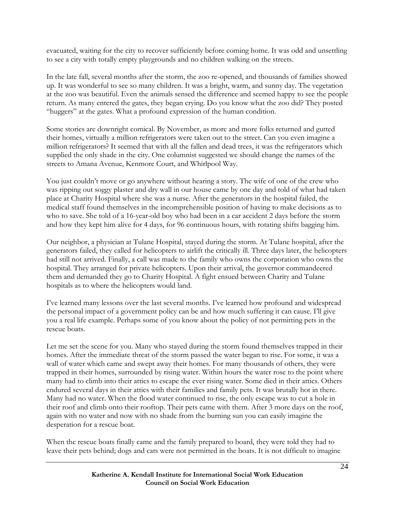evacuated, waiting for the city to recover sufficiently before coming home. It was odd and unsettling to see a city with totally empty playgrounds and no children walking on the streets.

In the late fall, several months after the storm, the zoo re-opened, and thousands of families showed up. It was wonderful to see so many children. It was a bright, warm, and sunny day. The vegetation at the zoo was beautiful. Even the animals sensed the difference and seemed happy to see the people return. As many entered the gates, they began crying. Do you know what the zoo did? They posted "huggers" at the gates. What a profound expression of the human condition.

Some stories are downright comical. By November, as more and more folks returned and gutted their homes, virtually a million refrigerators were taken out to the street. Can you even imagine a million refrigerators? It seemed that with all the fallen and dead trees, it was the refrigerators which supplied the only shade in the city. One columnist suggested we should change the names of the streets to Amana Avenue, Kenmore Court, and Whirlpool Way.

You just couldn't move or go anywhere without hearing a story. The wife of one of the crew who was ripping out soggy plaster and dry wall in our house came by one day and told of what had taken place at Charity Hospital where she was a nurse. After the generators in the hospital failed, the medical staff found themselves in the incomprehensible position of having to make decisions as to who to save. She told of a 16-year-old boy who had been in a car accident 2 days before the storm and how they kept him alive for 4 days, for 96 continuous hours, with rotating shifts bagging him.

Our neighbor, a physician at Tulane Hospital, stayed during the storm. At Tulane hospital, after the generators failed, they called for helicopters to airlift the critically ill. Three days later, the helicopters had still not arrived. Finally, a call was made to the family who owns the corporation who owns the hospital. They arranged for private helicopters. Upon their arrival, the governor commandeered them and demanded they go to Charity Hospital. A fight ensued between Charity and Tulane hospitals as to where the helicopters would land.

I've learned many lessons over the last several months. I've learned how profound and widespread the personal impact of a government policy can be and how much suffering it can cause. I'll give you a real life example. Perhaps some of you know about the policy of not permitting pets in the rescue boats.

Let me set the scene for you. Many who stayed during the storm found themselves trapped in their homes. After the immediate threat of the storm passed the water began to rise. For some, it was a wall of water which came and swept away their homes. For many thousands of others, they were trapped in their homes, surrounded by rising water. Within hours the water rose to the point where many had to climb into their attics to escape the ever rising water. Some died in their attics. Others endured several days in their attics with their families and family pets. It was brutally hot in there. Many had no water. When the flood water continued to rise, the only escape was to cut a hole in their roof and climb onto their rooftop. Their pets came with them. After 3 more days on the roof, again with no water and now with no shade from the burning sun you can easily imagine the desperation for a rescue boat.

When the rescue boats finally came and the family prepared to board, they were told they had to leave their pets behind; dogs and cats were not permitted in the boats. It is not difficult to imagine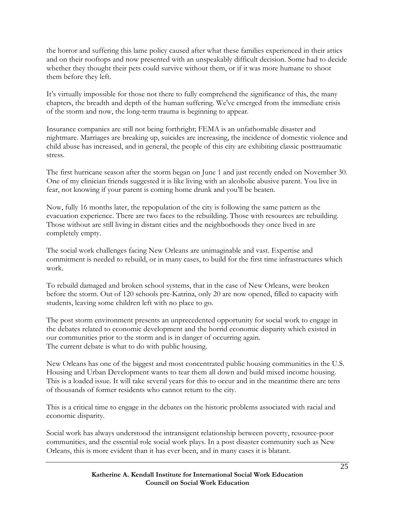the horror and suffering this lame policy caused after what these families experienced in their attics and on their rooftops and now presented with an unspeakably difficult decision. Some had to decide whether they thought their pets could survive without them, or if it was more humane to shoot them before they left.

It's virtually impossible for those not there to fully comprehend the significance of this, the many chapters, the breadth and depth of the human suffering. We've emerged from the immediate crisis of the storm and now, the long-term trauma is beginning to appear.

Insurance companies are still not being forthright; FEMA is an unfathomable disaster and nightmare. Marriages are breaking up, suicides are increasing, the incidence of domestic violence and child abuse has increased, and in general, the people of this city are exhibiting classic posttraumatic stress.

The first hurricane season after the storm began on June 1 and just recently ended on November 30. One of my clinician friends suggested it is like living with an alcoholic abusive parent. You live in fear, not knowing if your parent is coming home drunk and you'll be beaten.

Now, fully 16 months later, the repopulation of the city is following the same pattern as the evacuation experience. There are two faces to the rebuilding. Those with resources are rebuilding. Those without are still living in distant cities and the neighborhoods they once lived in are completely empty.

The social work challenges facing New Orleans are unimaginable and vast. Expertise and commitment is needed to rebuild, or in many cases, to build for the first time infrastructures which work.

To rebuild damaged and broken school systems, that in the case of New Orleans, were broken before the storm. Out of 120 schools pre-Katrina, only 20 are now opened, filled to capacity with students, leaving some children left with no place to go.

The post storm environment presents an unprecedented opportunity for social work to engage in the debates related to economic development and the horrid economic disparity which existed in our communities prior to the storm and is in danger of occurring again. The current debate is what to do with public housing.

New Orleans has one of the biggest and most concentrated public housing communities in the U.S. Housing and Urban Development wants to tear them all down and build mixed income housing. This is a loaded issue. It will take several years for this to occur and in the meantime there are tens of thousands of former residents who cannot return to the city.

This is a critical time to engage in the debates on the historic problems associated with racial and economic disparity.

Social work has always understood the intransigent relationship between poverty, resource-poor communities, and the essential role social work plays. In a post disaster community such as New Orleans, this is more evident than it has ever been, and in many cases it is blatant.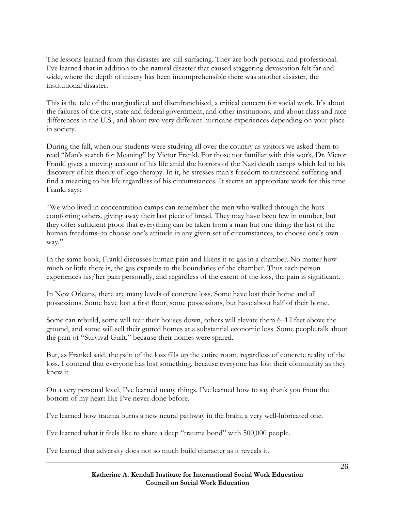The lessons learned from this disaster are still surfacing. They are both personal and professional. I've learned that in addition to the natural disaster that caused staggering devastation felt far and wide, where the depth of misery has been incomprehensible there was another disaster, the institutional disaster.

This is the tale of the marginalized and disenfranchised, a critical concern for social work. It's about the failures of the city, state and federal government, and other institutions, and about class and race differences in the U.S., and about two very different hurricane experiences depending on your place in society.

During the fall, when our students were studying all over the country as visitors we asked them to read "Man's search for Meaning" by Victor Frankl. For those not familiar with this work, Dr. Victor Frankl gives a moving account of his life amid the horrors of the Nazi death camps which led to his discovery of his theory of logo therapy. In it, he stresses man's freedom to transcend suffering and find a meaning to his life regardless of his circumstances. It seems an appropriate work for this time. Frankl says:

"We who lived in concentration camps can remember the men who walked through the huts comforting others, giving away their last piece of bread. They may have been few in number, but they offer sufficient proof that everything can be taken from a man but one thing: the last of the human freedoms–to choose one's attitude in any given set of circumstances, to choose one's own way."

In the same book, Frankl discusses human pain and likens it to gas in a chamber. No matter how much or little there is, the gas expands to the boundaries of the chamber. Thus each person experiences his/her pain personally, and regardless of the extent of the loss, the pain is significant.

In New Orleans, there are many levels of concrete loss. Some have lost their home and all possessions. Some have lost a first floor, some possessions, but have about half of their home.

Some can rebuild, some will tear their houses down, others will elevate them 6–12 feet above the ground, and some will sell their gutted homes at a substantial economic loss. Some people talk about the pain of "Survival Guilt," because their homes were spared.

But, as Frankel said, the pain of the loss fills up the entire room, regardless of concrete reality of the loss. I contend that everyone has lost something, because everyone has lost their community as they knew it.

On a very personal level, I've learned many things. I've learned how to say thank you from the bottom of my heart like I've never done before.

I've learned how trauma burns a new neural pathway in the brain; a very well-lubricated one.

I've learned what it feels like to share a deep "trauma bond" with 500,000 people.

I've learned that adversity does not so much build character as it reveals it.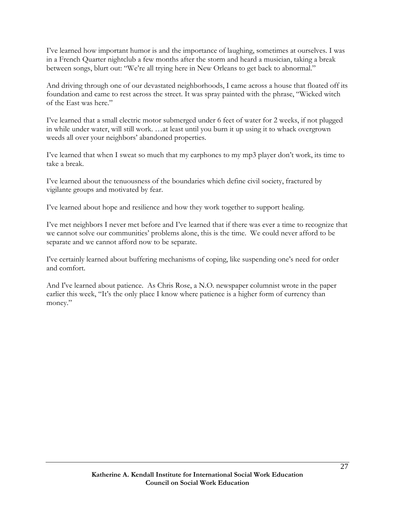I've learned how important humor is and the importance of laughing, sometimes at ourselves. I was in a French Quarter nightclub a few months after the storm and heard a musician, taking a break between songs, blurt out: "We're all trying here in New Orleans to get back to abnormal."

And driving through one of our devastated neighborhoods, I came across a house that floated off its foundation and came to rest across the street. It was spray painted with the phrase, "Wicked witch of the East was here."

I've learned that a small electric motor submerged under 6 feet of water for 2 weeks, if not plugged in while under water, will still work. …at least until you burn it up using it to whack overgrown weeds all over your neighbors' abandoned properties.

I've learned that when I sweat so much that my earphones to my mp3 player don't work, its time to take a break.

I've learned about the tenuousness of the boundaries which define civil society, fractured by vigilante groups and motivated by fear.

I've learned about hope and resilience and how they work together to support healing.

I've met neighbors I never met before and I've learned that if there was ever a time to recognize that we cannot solve our communities' problems alone, this is the time. We could never afford to be separate and we cannot afford now to be separate.

I've certainly learned about buffering mechanisms of coping, like suspending one's need for order and comfort.

And I've learned about patience. As Chris Rose, a N.O. newspaper columnist wrote in the paper earlier this week, "It's the only place I know where patience is a higher form of currency than money."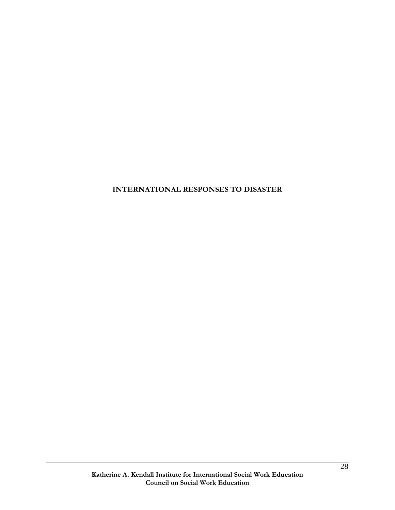**INTERNATIONAL RESPONSES TO DISASTER**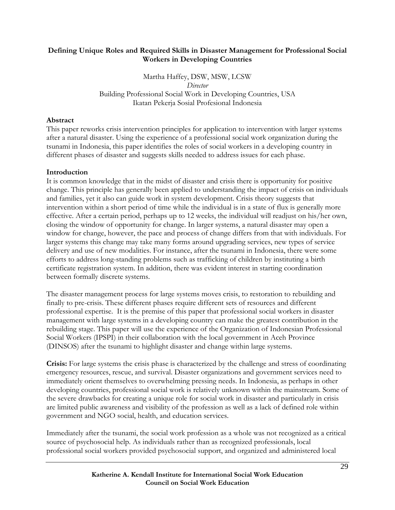## **Defining Unique Roles and Required Skills in Disaster Management for Professional Social Workers in Developing Countries**

Martha Haffey, DSW, MSW, LCSW *Director*  Building Professional Social Work in Developing Countries, USA Ikatan Pekerja Sosial Profesional Indonesia

## **Abstract**

This paper reworks crisis intervention principles for application to intervention with larger systems after a natural disaster. Using the experience of a professional social work organization during the tsunami in Indonesia, this paper identifies the roles of social workers in a developing country in different phases of disaster and suggests skills needed to address issues for each phase.

#### **Introduction**

It is common knowledge that in the midst of disaster and crisis there is opportunity for positive change. This principle has generally been applied to understanding the impact of crisis on individuals and families, yet it also can guide work in system development. Crisis theory suggests that intervention within a short period of time while the individual is in a state of flux is generally more effective. After a certain period, perhaps up to 12 weeks, the individual will readjust on his/her own, closing the window of opportunity for change. In larger systems, a natural disaster may open a window for change, however, the pace and process of change differs from that with individuals. For larger systems this change may take many forms around upgrading services, new types of service delivery and use of new modalities. For instance, after the tsunami in Indonesia, there were some efforts to address long-standing problems such as trafficking of children by instituting a birth certificate registration system. In addition, there was evident interest in starting coordination between formally discrete systems.

The disaster management process for large systems moves crisis, to restoration to rebuilding and finally to pre-crisis. These different phases require different sets of resources and different professional expertise. It is the premise of this paper that professional social workers in disaster management with large systems in a developing country can make the greatest contribution in the rebuilding stage. This paper will use the experience of the Organization of Indonesian Professional Social Workers (IPSPI) in their collaboration with the local government in Aceh Province (DINSOS) after the tsunami to highlight disaster and change within large systems.

**Crisis:** For large systems the crisis phase is characterized by the challenge and stress of coordinating emergency resources, rescue, and survival. Disaster organizations and government services need to immediately orient themselves to overwhelming pressing needs. In Indonesia, as perhaps in other developing countries, professional social work is relatively unknown within the mainstream. Some of the severe drawbacks for creating a unique role for social work in disaster and particularly in crisis are limited public awareness and visibility of the profession as well as a lack of defined role within government and NGO social, health, and education services.

Immediately after the tsunami, the social work profession as a whole was not recognized as a critical source of psychosocial help. As individuals rather than as recognized professionals, local professional social workers provided psychosocial support, and organized and administered local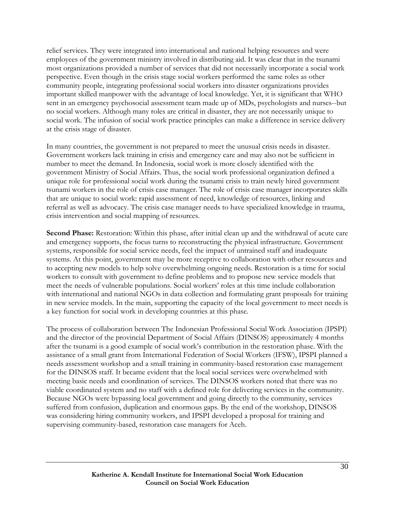relief services. They were integrated into international and national helping resources and were employees of the government ministry involved in distributing aid. It was clear that in the tsunami most organizations provided a number of services that did not necessarily incorporate a social work perspective. Even though in the crisis stage social workers performed the same roles as other community people, integrating professional social workers into disaster organizations provides important skilled manpower with the advantage of local knowledge. Yet, it is significant that WHO sent in an emergency psychosocial assessment team made up of MDs, psychologists and nurses--but no social workers. Although many roles are critical in disaster, they are not necessarily unique to social work. The infusion of social work practice principles can make a difference in service delivery at the crisis stage of disaster.

In many countries, the government is not prepared to meet the unusual crisis needs in disaster. Government workers lack training in crisis and emergency care and may also not be sufficient in number to meet the demand. In Indonesia, social work is more closely identified with the government Ministry of Social Affairs. Thus, the social work professional organization defined a unique role for professional social work during the tsunami crisis to train newly hired government tsunami workers in the role of crisis case manager. The role of crisis case manager incorporates skills that are unique to social work: rapid assessment of need, knowledge of resources, linking and referral as well as advocacy. The crisis case manager needs to have specialized knowledge in trauma, crisis intervention and social mapping of resources.

**Second Phase:** Restoration: Within this phase, after initial clean up and the withdrawal of acute care and emergency supports, the focus turns to reconstructing the physical infrastructure. Government systems, responsible for social service needs, feel the impact of untrained staff and inadequate systems. At this point, government may be more receptive to collaboration with other resources and to accepting new models to help solve overwhelming ongoing needs. Restoration is a time for social workers to consult with government to define problems and to propose new service models that meet the needs of vulnerable populations. Social workers' roles at this time include collaboration with international and national NGOs in data collection and formulating grant proposals for training in new service models. In the main, supporting the capacity of the local government to meet needs is a key function for social work in developing countries at this phase.

The process of collaboration between The Indonesian Professional Social Work Association (IPSPI) and the director of the provincial Department of Social Affairs (DINSOS) approximately 4 months after the tsunami is a good example of social work's contribution in the restoration phase. With the assistance of a small grant from International Federation of Social Workers (IFSW), IPSPI planned a needs assessment workshop and a small training in community-based restoration case management for the DINSOS staff. It became evident that the local social services were overwhelmed with meeting basic needs and coordination of services. The DINSOS workers noted that there was no viable coordinated system and no staff with a defined role for delivering services in the community. Because NGOs were bypassing local government and going directly to the community, services suffered from confusion, duplication and enormous gaps. By the end of the workshop, DINSOS was considering hiring community workers, and IPSPI developed a proposal for training and supervising community-based, restoration case managers for Aceh.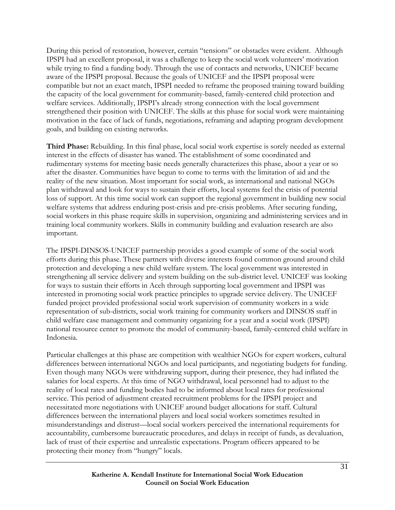During this period of restoration, however, certain "tensions" or obstacles were evident. Although IPSPI had an excellent proposal, it was a challenge to keep the social work volunteers' motivation while trying to find a funding body. Through the use of contacts and networks, UNICEF became aware of the IPSPI proposal. Because the goals of UNICEF and the IPSPI proposal were compatible but not an exact match, IPSPI needed to reframe the proposed training toward building the capacity of the local government for community-based, family-centered child protection and welfare services. Additionally, IPSPI's already strong connection with the local government strengthened their position with UNICEF. The skills at this phase for social work were maintaining motivation in the face of lack of funds, negotiations, reframing and adapting program development goals, and building on existing networks.

**Third Phase:** Rebuilding. In this final phase, local social work expertise is sorely needed as external interest in the effects of disaster has waned. The establishment of some coordinated and rudimentary systems for meeting basic needs generally characterizes this phase, about a year or so after the disaster. Communities have begun to come to terms with the limitation of aid and the reality of the new situation. Most important for social work, as international and national NGOs plan withdrawal and look for ways to sustain their efforts, local systems feel the crisis of potential loss of support. At this time social work can support the regional government in building new social welfare systems that address enduring post-crisis and pre-crisis problems. After securing funding, social workers in this phase require skills in supervision, organizing and administering services and in training local community workers. Skills in community building and evaluation research are also important.

The IPSPI-DINSOS-UNICEF partnership provides a good example of some of the social work efforts during this phase. These partners with diverse interests found common ground around child protection and developing a new child welfare system. The local government was interested in strengthening all service delivery and system building on the sub-district level. UNICEF was looking for ways to sustain their efforts in Aceh through supporting local government and IPSPI was interested in promoting social work practice principles to upgrade service delivery. The UNICEF funded project provided professional social work supervision of community workers in a wide representation of sub-districts, social work training for community workers and DINSOS staff in child welfare case management and community organizing for a year and a social work (IPSPI) national resource center to promote the model of community-based, family-centered child welfare in Indonesia.

Particular challenges at this phase are competition with wealthier NGOs for expert workers, cultural differences between international NGOs and local participants, and negotiating budgets for funding. Even though many NGOs were withdrawing support, during their presence, they had inflated the salaries for local experts. At this time of NGO withdrawal, local personnel had to adjust to the reality of local rates and funding bodies had to be informed about local rates for professional service. This period of adjustment created recruitment problems for the IPSPI project and necessitated more negotiations with UNICEF around budget allocations for staff. Cultural differences between the international players and local social workers sometimes resulted in misunderstandings and distrust—local social workers perceived the international requirements for accountability, cumbersome bureaucratic procedures, and delays in receipt of funds, as devaluation, lack of trust of their expertise and unrealistic expectations. Program officers appeared to be protecting their money from "hungry" locals.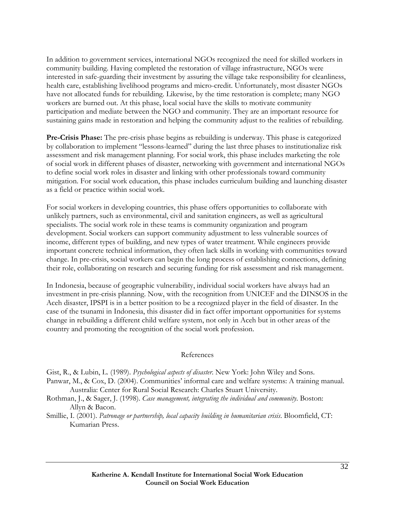In addition to government services, international NGOs recognized the need for skilled workers in community building. Having completed the restoration of village infrastructure, NGOs were interested in safe-guarding their investment by assuring the village take responsibility for cleanliness, health care, establishing livelihood programs and micro-credit. Unfortunately, most disaster NGOs have not allocated funds for rebuilding. Likewise, by the time restoration is complete; many NGO workers are burned out. At this phase, local social have the skills to motivate community participation and mediate between the NGO and community. They are an important resource for sustaining gains made in restoration and helping the community adjust to the realities of rebuilding.

**Pre-Crisis Phase:** The pre-crisis phase begins as rebuilding is underway. This phase is categorized by collaboration to implement "lessons-learned" during the last three phases to institutionalize risk assessment and risk management planning. For social work, this phase includes marketing the role of social work in different phases of disaster, networking with government and international NGOs to define social work roles in disaster and linking with other professionals toward community mitigation. For social work education, this phase includes curriculum building and launching disaster as a field or practice within social work.

For social workers in developing countries, this phase offers opportunities to collaborate with unlikely partners, such as environmental, civil and sanitation engineers, as well as agricultural specialists. The social work role in these teams is community organization and program development. Social workers can support community adjustment to less vulnerable sources of income, different types of building, and new types of water treatment. While engineers provide important concrete technical information, they often lack skills in working with communities toward change. In pre-crisis, social workers can begin the long process of establishing connections, defining their role, collaborating on research and securing funding for risk assessment and risk management.

In Indonesia, because of geographic vulnerability, individual social workers have always had an investment in pre-crisis planning. Now, with the recognition from UNICEF and the DINSOS in the Aceh disaster, IPSPI is in a better position to be a recognized player in the field of disaster. In the case of the tsunami in Indonesia, this disaster did in fact offer important opportunities for systems change in rebuilding a different child welfare system, not only in Aceh but in other areas of the country and promoting the recognition of the social work profession.

#### References

Gist, R., & Lubin, L. (1989). *Psychological aspects of disaster*. New York: John Wiley and Sons.

- Panwar, M., & Cox, D. (2004). Communities' informal care and welfare systems: A training manual. Australia: Center for Rural Social Research: Charles Stuart University.
- Rothman, J., & Sager, J. (1998). *Case management, integrating the individual and community*. Boston: Allyn & Bacon.
- Smillie, I. (2001). *Patronage or partnership, local capacity building in humanitarian crisis*. Bloomfield, CT: Kumarian Press.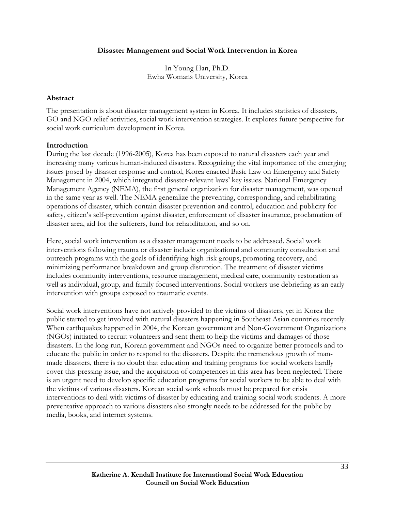#### **Disaster Management and Social Work Intervention in Korea**

In Young Han, Ph.D. Ewha Womans University, Korea

#### **Abstract**

The presentation is about disaster management system in Korea. It includes statistics of disasters, GO and NGO relief activities, social work intervention strategies. It explores future perspective for social work curriculum development in Korea.

#### **Introduction**

During the last decade (1996-2005), Korea has been exposed to natural disasters each year and increasing many various human-induced disasters. Recognizing the vital importance of the emerging issues posed by disaster response and control, Korea enacted Basic Law on Emergency and Safety Management in 2004, which integrated disaster-relevant laws' key issues. National Emergency Management Agency (NEMA), the first general organization for disaster management, was opened in the same year as well. The NEMA generalize the preventing, corresponding, and rehabilitating operations of disaster, which contain disaster prevention and control, education and publicity for safety, citizen's self-prevention against disaster, enforcement of disaster insurance, proclamation of disaster area, aid for the sufferers, fund for rehabilitation, and so on.

Here, social work intervention as a disaster management needs to be addressed. Social work interventions following trauma or disaster include organizational and community consultation and outreach programs with the goals of identifying high-risk groups, promoting recovery, and minimizing performance breakdown and group disruption. The treatment of disaster victims includes community interventions, resource management, medical care, community restoration as well as individual, group, and family focused interventions. Social workers use debriefing as an early intervention with groups exposed to traumatic events.

Social work interventions have not actively provided to the victims of disasters, yet in Korea the public started to get involved with natural disasters happening in Southeast Asian countries recently. When earthquakes happened in 2004, the Korean government and Non-Government Organizations (NGOs) initiated to recruit volunteers and sent them to help the victims and damages of those disasters. In the long run, Korean government and NGOs need to organize better protocols and to educate the public in order to respond to the disasters. Despite the tremendous growth of manmade disasters, there is no doubt that education and training programs for social workers hardly cover this pressing issue, and the acquisition of competences in this area has been neglected. There is an urgent need to develop specific education programs for social workers to be able to deal with the victims of various disasters. Korean social work schools must be prepared for crisis interventions to deal with victims of disaster by educating and training social work students. A more preventative approach to various disasters also strongly needs to be addressed for the public by media, books, and internet systems.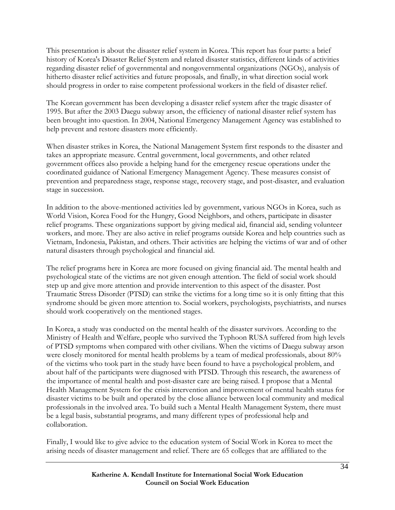This presentation is about the disaster relief system in Korea. This report has four parts: a brief history of Korea's Disaster Relief System and related disaster statistics, different kinds of activities regarding disaster relief of governmental and nongovernmental organizations (NGOs), analysis of hitherto disaster relief activities and future proposals, and finally, in what direction social work should progress in order to raise competent professional workers in the field of disaster relief.

The Korean government has been developing a disaster relief system after the tragic disaster of 1995. But after the 2003 Daegu subway arson, the efficiency of national disaster relief system has been brought into question. In 2004, National Emergency Management Agency was established to help prevent and restore disasters more efficiently.

When disaster strikes in Korea, the National Management System first responds to the disaster and takes an appropriate measure. Central government, local governments, and other related government offices also provide a helping hand for the emergency rescue operations under the coordinated guidance of National Emergency Management Agency. These measures consist of prevention and preparedness stage, response stage, recovery stage, and post-disaster, and evaluation stage in succession.

In addition to the above-mentioned activities led by government, various NGOs in Korea, such as World Vision, Korea Food for the Hungry, Good Neighbors, and others, participate in disaster relief programs. These organizations support by giving medical aid, financial aid, sending volunteer workers, and more. They are also active in relief programs outside Korea and help countries such as Vietnam, Indonesia, Pakistan, and others. Their activities are helping the victims of war and of other natural disasters through psychological and financial aid.

The relief programs here in Korea are more focused on giving financial aid. The mental health and psychological state of the victims are not given enough attention. The field of social work should step up and give more attention and provide intervention to this aspect of the disaster. Post Traumatic Stress Disorder (PTSD) can strike the victims for a long time so it is only fitting that this syndrome should be given more attention to. Social workers, psychologists, psychiatrists, and nurses should work cooperatively on the mentioned stages.

In Korea, a study was conducted on the mental health of the disaster survivors. According to the Ministry of Health and Welfare, people who survived the Typhoon RUSA suffered from high levels of PTSD symptoms when compared with other civilians. When the victims of Daegu subway arson were closely monitored for mental health problems by a team of medical professionals, about 80% of the victims who took part in the study have been found to have a psychological problem, and about half of the participants were diagnosed with PTSD. Through this research, the awareness of the importance of mental health and post-disaster care are being raised. I propose that a Mental Health Management System for the crisis intervention and improvement of mental health status for disaster victims to be built and operated by the close alliance between local community and medical professionals in the involved area. To build such a Mental Health Management System, there must be a legal basis, substantial programs, and many different types of professional help and collaboration.

Finally, I would like to give advice to the education system of Social Work in Korea to meet the arising needs of disaster management and relief. There are 65 colleges that are affiliated to the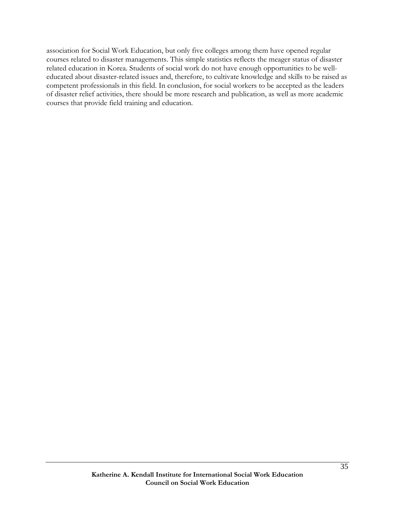association for Social Work Education, but only five colleges among them have opened regular courses related to disaster managements. This simple statistics reflects the meager status of disaster related education in Korea. Students of social work do not have enough opportunities to be welleducated about disaster-related issues and, therefore, to cultivate knowledge and skills to be raised as competent professionals in this field. In conclusion, for social workers to be accepted as the leaders of disaster relief activities, there should be more research and publication, as well as more academic courses that provide field training and education.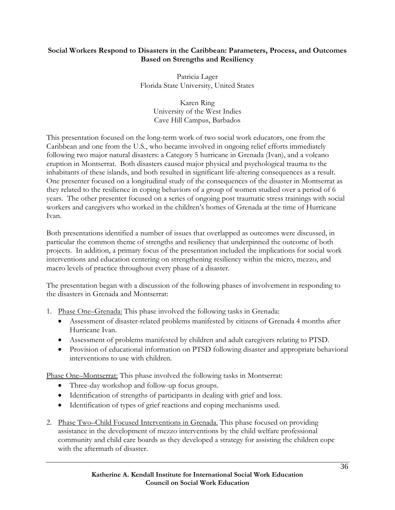## **Social Workers Respond to Disasters in the Caribbean: Parameters, Process, and Outcomes Based on Strengths and Resiliency**

Patricia Lager Florida State University, United States

> Karen Ring University of the West Indies Cave Hill Campus, Barbados

This presentation focused on the long-term work of two social work educators, one from the Caribbean and one from the U.S., who became involved in ongoing relief efforts immediately following two major natural disasters: a Category 5 hurricane in Grenada (Ivan), and a volcano eruption in Montserrat. Both disasters caused major physical and psychological trauma to the inhabitants of these islands, and both resulted in significant life-altering consequences as a result. One presenter focused on a longitudinal study of the consequences of the disaster in Montserrat as they related to the resilience in coping behaviors of a group of women studied over a period of 6 years. The other presenter focused on a series of ongoing post traumatic stress trainings with social workers and caregivers who worked in the children's homes of Grenada at the time of Hurricane Ivan.

Both presentations identified a number of issues that overlapped as outcomes were discussed, in particular the common theme of strengths and resiliency that underpinned the outcome of both projects. In addition, a primary focus of the presentation included the implications for social work interventions and education centering on strengthening resiliency within the micro, mezzo, and macro levels of practice throughout every phase of a disaster.

The presentation began with a discussion of the following phases of involvement in responding to the disasters in Grenada and Montserrat:

- 1. Phase One–Grenada: This phase involved the following tasks in Grenada:
	- Assessment of disaster-related problems manifested by citizens of Grenada 4 months after Hurricane Ivan.
	- Assessment of problems manifested by children and adult caregivers relating to PTSD.
	- Provision of educational information on PTSD following disaster and appropriate behavioral interventions to use with children.

Phase One–Montserrat: This phase involved the following tasks in Montserrat:

- Three-day workshop and follow-up focus groups.
- Identification of strengths of participants in dealing with grief and loss.
- Identification of types of grief reactions and coping mechanisms used.
- 2. Phase Two–Child Focused Interventions in Grenada. This phase focused on providing assistance in the development of mezzo interventions by the child welfare professional community and child care boards as they developed a strategy for assisting the children cope with the aftermath of disaster.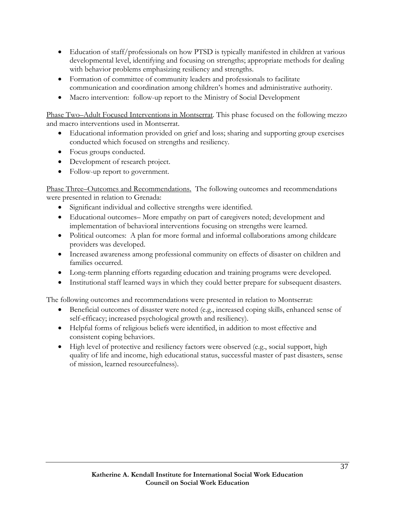- Education of staff/professionals on how PTSD is typically manifested in children at various developmental level, identifying and focusing on strengths; appropriate methods for dealing with behavior problems emphasizing resiliency and strengths.
- Formation of committee of community leaders and professionals to facilitate communication and coordination among children's homes and administrative authority.
- Macro intervention: follow-up report to the Ministry of Social Development

Phase Two–Adult Focused Interventions in Montserrat. This phase focused on the following mezzo and macro interventions used in Montserrat.

- Educational information provided on grief and loss; sharing and supporting group exercises conducted which focused on strengths and resiliency.
- Focus groups conducted.
- Development of research project.
- Follow-up report to government.

Phase Three–Outcomes and Recommendations. The following outcomes and recommendations were presented in relation to Grenada:

- Significant individual and collective strengths were identified.
- Educational outcomes– More empathy on part of caregivers noted; development and implementation of behavioral interventions focusing on strengths were learned.
- Political outcomes: A plan for more formal and informal collaborations among childcare providers was developed.
- Increased awareness among professional community on effects of disaster on children and families occurred.
- Long-term planning efforts regarding education and training programs were developed.
- Institutional staff learned ways in which they could better prepare for subsequent disasters.

The following outcomes and recommendations were presented in relation to Montserrat:

- Beneficial outcomes of disaster were noted (e.g., increased coping skills, enhanced sense of self-efficacy; increased psychological growth and resiliency).
- Helpful forms of religious beliefs were identified, in addition to most effective and consistent coping behaviors.
- High level of protective and resiliency factors were observed (e.g., social support, high quality of life and income, high educational status, successful master of past disasters, sense of mission, learned resourcefulness).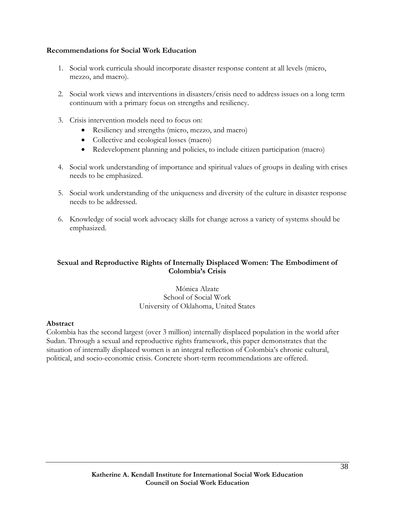### **Recommendations for Social Work Education**

- 1. Social work curricula should incorporate disaster response content at all levels (micro, mezzo, and macro).
- 2. Social work views and interventions in disasters/crisis need to address issues on a long term continuum with a primary focus on strengths and resiliency.
- 3. Crisis intervention models need to focus on:
	- Resiliency and strengths (micro, mezzo, and macro)
	- Collective and ecological losses (macro)
	- Redevelopment planning and policies, to include citizen participation (macro)
- 4. Social work understanding of importance and spiritual values of groups in dealing with crises needs to be emphasized.
- 5. Social work understanding of the uniqueness and diversity of the culture in disaster response needs to be addressed.
- 6. Knowledge of social work advocacy skills for change across a variety of systems should be emphasized.

## **Sexual and Reproductive Rights of Internally Displaced Women: The Embodiment of Colombia's Crisis**

### Mónica Alzate School of Social Work University of Oklahoma, United States

#### **Abstract**

Colombia has the second largest (over 3 million) internally displaced population in the world after Sudan. Through a sexual and reproductive rights framework, this paper demonstrates that the situation of internally displaced women is an integral reflection of Colombia's chronic cultural, political, and socio-economic crisis. Concrete short-term recommendations are offered.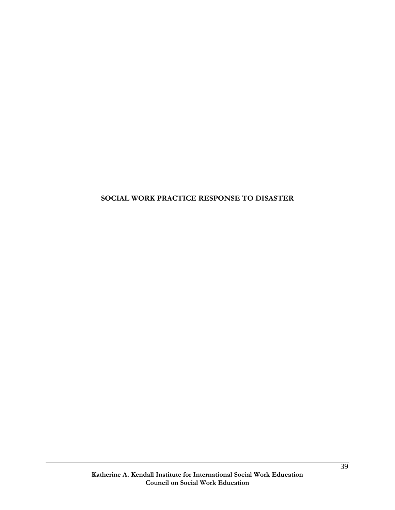# **SOCIAL WORK PRACTICE RESPONSE TO DISASTER**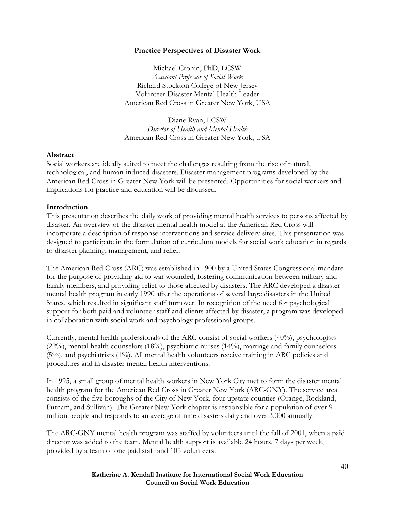### **Practice Perspectives of Disaster Work**

Michael Cronin, PhD, LCSW *Assistant Professor of Social Work*  Richard Stockton College of New Jersey Volunteer Disaster Mental Health Leader American Red Cross in Greater New York, USA

Diane Ryan, LCSW *Director of Health and Mental Health*  American Red Cross in Greater New York, USA

### **Abstract**

Social workers are ideally suited to meet the challenges resulting from the rise of natural, technological, and human-induced disasters. Disaster management programs developed by the American Red Cross in Greater New York will be presented. Opportunities for social workers and implications for practice and education will be discussed.

### **Introduction**

This presentation describes the daily work of providing mental health services to persons affected by disaster. An overview of the disaster mental health model at the American Red Cross will incorporate a description of response interventions and service delivery sites. This presentation was designed to participate in the formulation of curriculum models for social work education in regards to disaster planning, management, and relief.

The American Red Cross (ARC) was established in 1900 by a United States Congressional mandate for the purpose of providing aid to war wounded, fostering communication between military and family members, and providing relief to those affected by disasters. The ARC developed a disaster mental health program in early 1990 after the operations of several large disasters in the United States, which resulted in significant staff turnover. In recognition of the need for psychological support for both paid and volunteer staff and clients affected by disaster, a program was developed in collaboration with social work and psychology professional groups.

Currently, mental health professionals of the ARC consist of social workers (40%), psychologists (22%), mental health counselors (18%), psychiatric nurses (14%), marriage and family counselors (5%), and psychiatrists (1%). All mental health volunteers receive training in ARC policies and procedures and in disaster mental health interventions.

In 1995, a small group of mental health workers in New York City met to form the disaster mental health program for the American Red Cross in Greater New York (ARC-GNY). The service area consists of the five boroughs of the City of New York, four upstate counties (Orange, Rockland, Putnam, and Sullivan). The Greater New York chapter is responsible for a population of over 9 million people and responds to an average of nine disasters daily and over 3,000 annually.

The ARC-GNY mental health program was staffed by volunteers until the fall of 2001, when a paid director was added to the team. Mental health support is available 24 hours, 7 days per week, provided by a team of one paid staff and 105 volunteers.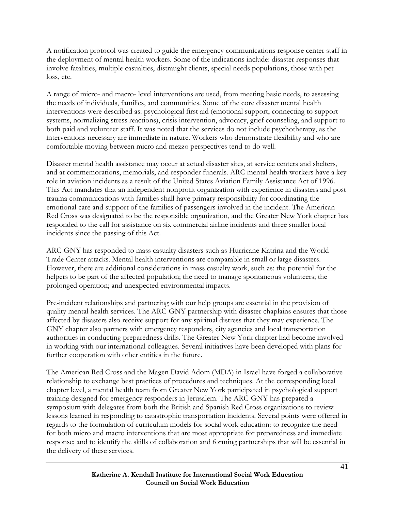A notification protocol was created to guide the emergency communications response center staff in the deployment of mental health workers. Some of the indications include: disaster responses that involve fatalities, multiple casualties, distraught clients, special needs populations, those with pet loss, etc.

A range of micro- and macro- level interventions are used, from meeting basic needs, to assessing the needs of individuals, families, and communities. Some of the core disaster mental health interventions were described as: psychological first aid (emotional support, connecting to support systems, normalizing stress reactions), crisis intervention, advocacy, grief counseling, and support to both paid and volunteer staff. It was noted that the services do not include psychotherapy, as the interventions necessary are immediate in nature. Workers who demonstrate flexibility and who are comfortable moving between micro and mezzo perspectives tend to do well.

Disaster mental health assistance may occur at actual disaster sites, at service centers and shelters, and at commemorations, memorials, and responder funerals. ARC mental health workers have a key role in aviation incidents as a result of the United States Aviation Family Assistance Act of 1996. This Act mandates that an independent nonprofit organization with experience in disasters and post trauma communications with families shall have primary responsibility for coordinating the emotional care and support of the families of passengers involved in the incident. The American Red Cross was designated to be the responsible organization, and the Greater New York chapter has responded to the call for assistance on six commercial airline incidents and three smaller local incidents since the passing of this Act.

ARC-GNY has responded to mass casualty disasters such as Hurricane Katrina and the World Trade Center attacks. Mental health interventions are comparable in small or large disasters. However, there are additional considerations in mass casualty work, such as: the potential for the helpers to be part of the affected population; the need to manage spontaneous volunteers; the prolonged operation; and unexpected environmental impacts.

Pre-incident relationships and partnering with our help groups are essential in the provision of quality mental health services. The ARC-GNY partnership with disaster chaplains ensures that those affected by disasters also receive support for any spiritual distress that they may experience. The GNY chapter also partners with emergency responders, city agencies and local transportation authorities in conducting preparedness drills. The Greater New York chapter had become involved in working with our international colleagues. Several initiatives have been developed with plans for further cooperation with other entities in the future.

The American Red Cross and the Magen David Adom (MDA) in Israel have forged a collaborative relationship to exchange best practices of procedures and techniques. At the corresponding local chapter level, a mental health team from Greater New York participated in psychological support training designed for emergency responders in Jerusalem. The ARC-GNY has prepared a symposium with delegates from both the British and Spanish Red Cross organizations to review lessons learned in responding to catastrophic transportation incidents. Several points were offered in regards to the formulation of curriculum models for social work education: to recognize the need for both micro and macro interventions that are most appropriate for preparedness and immediate response; and to identify the skills of collaboration and forming partnerships that will be essential in the delivery of these services.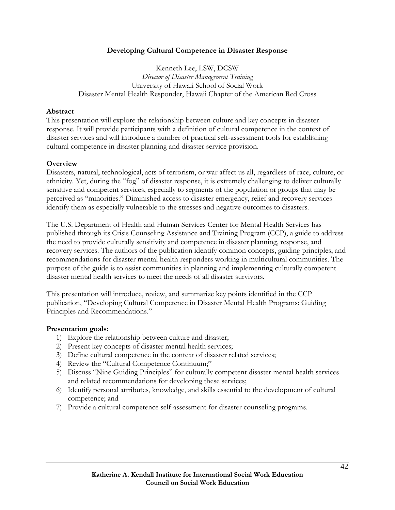## **Developing Cultural Competence in Disaster Response**

Kenneth Lee, LSW, DCSW *Director of Disaster Management Training*  University of Hawaii School of Social Work Disaster Mental Health Responder, Hawaii Chapter of the American Red Cross

### **Abstract**

This presentation will explore the relationship between culture and key concepts in disaster response. It will provide participants with a definition of cultural competence in the context of disaster services and will introduce a number of practical self-assessment tools for establishing cultural competence in disaster planning and disaster service provision.

### **Overview**

Disasters, natural, technological, acts of terrorism, or war affect us all, regardless of race, culture, or ethnicity. Yet, during the "fog" of disaster response, it is extremely challenging to deliver culturally sensitive and competent services, especially to segments of the population or groups that may be perceived as "minorities." Diminished access to disaster emergency, relief and recovery services identify them as especially vulnerable to the stresses and negative outcomes to disasters.

The U.S. Department of Health and Human Services Center for Mental Health Services has published through its Crisis Counseling Assistance and Training Program (CCP), a guide to address the need to provide culturally sensitivity and competence in disaster planning, response, and recovery services. The authors of the publication identify common concepts, guiding principles, and recommendations for disaster mental health responders working in multicultural communities. The purpose of the guide is to assist communities in planning and implementing culturally competent disaster mental health services to meet the needs of all disaster survivors.

This presentation will introduce, review, and summarize key points identified in the CCP publication, "Developing Cultural Competence in Disaster Mental Health Programs: Guiding Principles and Recommendations."

### **Presentation goals:**

- 1) Explore the relationship between culture and disaster;
- 2) Present key concepts of disaster mental health services;
- 3) Define cultural competence in the context of disaster related services;
- 4) Review the "Cultural Competence Continuum;"
- 5) Discuss "Nine Guiding Principles" for culturally competent disaster mental health services and related recommendations for developing these services;
- 6) Identify personal attributes, knowledge, and skills essential to the development of cultural competence; and
- 7) Provide a cultural competence self-assessment for disaster counseling programs.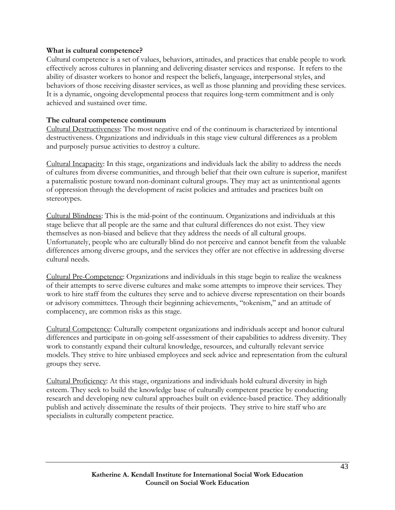### **What is cultural competence?**

Cultural competence is a set of values, behaviors, attitudes, and practices that enable people to work effectively across cultures in planning and delivering disaster services and response. It refers to the ability of disaster workers to honor and respect the beliefs, language, interpersonal styles, and behaviors of those receiving disaster services, as well as those planning and providing these services. It is a dynamic, ongoing developmental process that requires long-term commitment and is only achieved and sustained over time.

## **The cultural competence continuum**

Cultural Destructiveness: The most negative end of the continuum is characterized by intentional destructiveness. Organizations and individuals in this stage view cultural differences as a problem and purposely pursue activities to destroy a culture.

Cultural Incapacity: In this stage, organizations and individuals lack the ability to address the needs of cultures from diverse communities, and through belief that their own culture is superior, manifest a paternalistic posture toward non-dominant cultural groups. They may act as unintentional agents of oppression through the development of racist policies and attitudes and practices built on stereotypes.

Cultural Blindness: This is the mid-point of the continuum. Organizations and individuals at this stage believe that all people are the same and that cultural differences do not exist. They view themselves as non-biased and believe that they address the needs of all cultural groups. Unfortunately, people who are culturally blind do not perceive and cannot benefit from the valuable differences among diverse groups, and the services they offer are not effective in addressing diverse cultural needs.

Cultural Pre-Competence: Organizations and individuals in this stage begin to realize the weakness of their attempts to serve diverse cultures and make some attempts to improve their services. They work to hire staff from the cultures they serve and to achieve diverse representation on their boards or advisory committees. Through their beginning achievements, "tokenism," and an attitude of complacency, are common risks as this stage.

Cultural Competence: Culturally competent organizations and individuals accept and honor cultural differences and participate in on-going self-assessment of their capabilities to address diversity. They work to constantly expand their cultural knowledge, resources, and culturally relevant service models. They strive to hire unbiased employees and seek advice and representation from the cultural groups they serve.

Cultural Proficiency: At this stage, organizations and individuals hold cultural diversity in high esteem. They seek to build the knowledge base of culturally competent practice by conducting research and developing new cultural approaches built on evidence-based practice. They additionally publish and actively disseminate the results of their projects. They strive to hire staff who are specialists in culturally competent practice.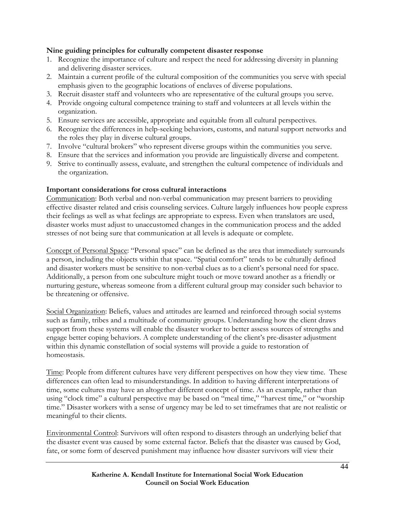## **Nine guiding principles for culturally competent disaster response**

- 1. Recognize the importance of culture and respect the need for addressing diversity in planning and delivering disaster services.
- 2. Maintain a current profile of the cultural composition of the communities you serve with special emphasis given to the geographic locations of enclaves of diverse populations.
- 3. Recruit disaster staff and volunteers who are representative of the cultural groups you serve.
- 4. Provide ongoing cultural competence training to staff and volunteers at all levels within the organization.
- 5. Ensure services are accessible, appropriate and equitable from all cultural perspectives.
- 6. Recognize the differences in help-seeking behaviors, customs, and natural support networks and the roles they play in diverse cultural groups.
- 7. Involve "cultural brokers" who represent diverse groups within the communities you serve.
- 8. Ensure that the services and information you provide are linguistically diverse and competent.
- 9. Strive to continually assess, evaluate, and strengthen the cultural competence of individuals and the organization.

## **Important considerations for cross cultural interactions**

Communication: Both verbal and non-verbal communication may present barriers to providing effective disaster related and crisis counseling services. Culture largely influences how people express their feelings as well as what feelings are appropriate to express. Even when translators are used, disaster works must adjust to unaccustomed changes in the communication process and the added stresses of not being sure that communication at all levels is adequate or complete.

Concept of Personal Space: "Personal space" can be defined as the area that immediately surrounds a person, including the objects within that space. "Spatial comfort" tends to be culturally defined and disaster workers must be sensitive to non-verbal clues as to a client's personal need for space. Additionally, a person from one subculture might touch or move toward another as a friendly or nurturing gesture, whereas someone from a different cultural group may consider such behavior to be threatening or offensive.

Social Organization: Beliefs, values and attitudes are learned and reinforced through social systems such as family, tribes and a multitude of community groups. Understanding how the client draws support from these systems will enable the disaster worker to better assess sources of strengths and engage better coping behaviors. A complete understanding of the client's pre-disaster adjustment within this dynamic constellation of social systems will provide a guide to restoration of homeostasis.

Time: People from different cultures have very different perspectives on how they view time. These differences can often lead to misunderstandings. In addition to having different interpretations of time, some cultures may have an altogether different concept of time. As an example, rather than using "clock time" a cultural perspective may be based on "meal time," "harvest time," or "worship time." Disaster workers with a sense of urgency may be led to set timeframes that are not realistic or meaningful to their clients.

Environmental Control: Survivors will often respond to disasters through an underlying belief that the disaster event was caused by some external factor. Beliefs that the disaster was caused by God, fate, or some form of deserved punishment may influence how disaster survivors will view their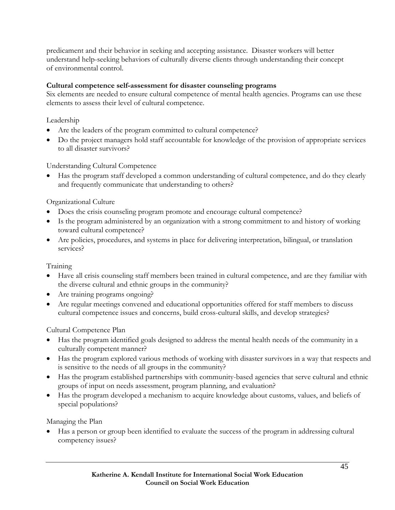predicament and their behavior in seeking and accepting assistance. Disaster workers will better understand help-seeking behaviors of culturally diverse clients through understanding their concept of environmental control.

## **Cultural competence self-assessment for disaster counseling programs**

Six elements are needed to ensure cultural competence of mental health agencies. Programs can use these elements to assess their level of cultural competence.

# Leadership

- Are the leaders of the program committed to cultural competence?
- Do the project managers hold staff accountable for knowledge of the provision of appropriate services to all disaster survivors?

Understanding Cultural Competence

• Has the program staff developed a common understanding of cultural competence, and do they clearly and frequently communicate that understanding to others?

# Organizational Culture

- Does the crisis counseling program promote and encourage cultural competence?
- Is the program administered by an organization with a strong commitment to and history of working toward cultural competence?
- Are policies, procedures, and systems in place for delivering interpretation, bilingual, or translation services?

## Training

- Have all crisis counseling staff members been trained in cultural competence, and are they familiar with the diverse cultural and ethnic groups in the community?
- Are training programs ongoing?
- Are regular meetings convened and educational opportunities offered for staff members to discuss cultural competence issues and concerns, build cross-cultural skills, and develop strategies?

Cultural Competence Plan

- Has the program identified goals designed to address the mental health needs of the community in a culturally competent manner?
- Has the program explored various methods of working with disaster survivors in a way that respects and is sensitive to the needs of all groups in the community?
- Has the program established partnerships with community-based agencies that serve cultural and ethnic groups of input on needs assessment, program planning, and evaluation?
- Has the program developed a mechanism to acquire knowledge about customs, values, and beliefs of special populations?

## Managing the Plan

• Has a person or group been identified to evaluate the success of the program in addressing cultural competency issues?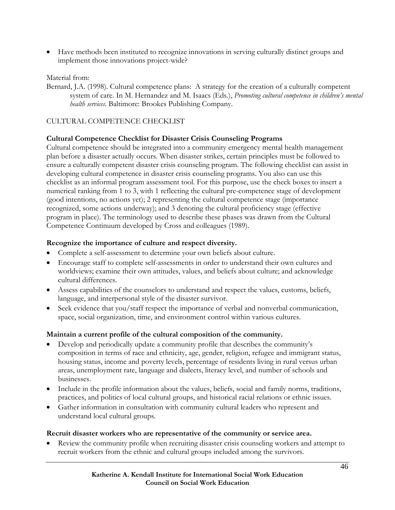• Have methods been instituted to recognize innovations in serving culturally distinct groups and implement those innovations project-wide?

### Material from:

Bernard, J.A. (1998). Cultural competence plans: A strategy for the creation of a culturally competent system of care. In M. Hernandez and M. Isaacs (Eds.), *Promoting cultural competence in children's mental health services.* Baltimore: Brookes Publishing Company.

## CULTURAL COMPETENCE CHECKLIST

### **Cultural Competence Checklist for Disaster Crisis Counseling Programs**

Cultural competence should be integrated into a community emergency mental health management plan before a disaster actually occurs. When disaster strikes, certain principles must be followed to ensure a culturally competent disaster crisis counseling program. The following checklist can assist in developing cultural competence in disaster crisis counseling programs. You also can use this checklist as an informal program assessment tool. For this purpose, use the check boxes to insert a numerical ranking from 1 to 3, with 1 reflecting the cultural pre-competence stage of development (good intentions, no actions yet); 2 representing the cultural competence stage (importance recognized, some actions underway); and 3 denoting the cultural proficiency stage (effective program in place). The terminology used to describe these phases was drawn from the Cultural Competence Continuum developed by Cross and colleagues (1989).

### **Recognize the importance of culture and respect diversity.**

- Complete a self-assessment to determine your own beliefs about culture.
- Encourage staff to complete self-assessments in order to understand their own cultures and worldviews; examine their own attitudes, values, and beliefs about culture; and acknowledge cultural differences.
- Assess capabilities of the counselors to understand and respect the values, customs, beliefs, language, and interpersonal style of the disaster survivor.
- Seek evidence that you/staff respect the importance of verbal and nonverbal communication, space, social organization, time, and environment control within various cultures.

### **Maintain a current profile of the cultural composition of the community.**

- Develop and periodically update a community profile that describes the community's composition in terms of race and ethnicity, age, gender, religion, refugee and immigrant status, housing status, income and poverty levels, percentage of residents living in rural versus urban areas, unemployment rate, language and dialects, literacy level, and number of schools and businesses.
- Include in the profile information about the values, beliefs, social and family norms, traditions, practices, and politics of local cultural groups, and historical racial relations or ethnic issues.
- Gather information in consultation with community cultural leaders who represent and understand local cultural groups.

### **Recruit disaster workers who are representative of the community or service area.**

• Review the community profile when recruiting disaster crisis counseling workers and attempt to recruit workers from the ethnic and cultural groups included among the survivors.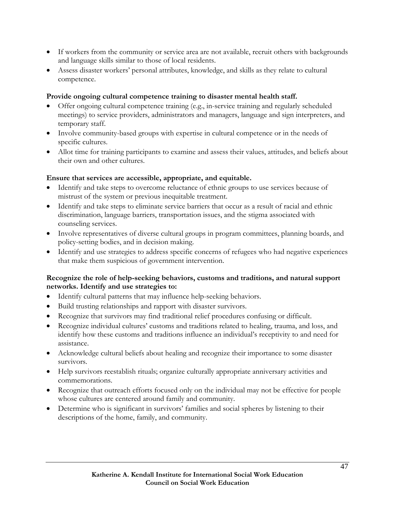- If workers from the community or service area are not available, recruit others with backgrounds and language skills similar to those of local residents.
- Assess disaster workers' personal attributes, knowledge, and skills as they relate to cultural competence.

## **Provide ongoing cultural competence training to disaster mental health staff.**

- Offer ongoing cultural competence training (e.g., in-service training and regularly scheduled meetings) to service providers, administrators and managers, language and sign interpreters, and temporary staff.
- Involve community-based groups with expertise in cultural competence or in the needs of specific cultures.
- Allot time for training participants to examine and assess their values, attitudes, and beliefs about their own and other cultures.

### **Ensure that services are accessible, appropriate, and equitable.**

- Identify and take steps to overcome reluctance of ethnic groups to use services because of mistrust of the system or previous inequitable treatment.
- Identify and take steps to eliminate service barriers that occur as a result of racial and ethnic discrimination, language barriers, transportation issues, and the stigma associated with counseling services.
- Involve representatives of diverse cultural groups in program committees, planning boards, and policy-setting bodies, and in decision making.
- Identify and use strategies to address specific concerns of refugees who had negative experiences that make them suspicious of government intervention.

## **Recognize the role of help-seeking behaviors, customs and traditions, and natural support networks. Identify and use strategies to:**

- Identify cultural patterns that may influence help-seeking behaviors.
- Build trusting relationships and rapport with disaster survivors.
- Recognize that survivors may find traditional relief procedures confusing or difficult.
- Recognize individual cultures' customs and traditions related to healing, trauma, and loss, and identify how these customs and traditions influence an individual's receptivity to and need for assistance.
- Acknowledge cultural beliefs about healing and recognize their importance to some disaster survivors.
- Help survivors reestablish rituals; organize culturally appropriate anniversary activities and commemorations.
- Recognize that outreach efforts focused only on the individual may not be effective for people whose cultures are centered around family and community.
- Determine who is significant in survivors' families and social spheres by listening to their descriptions of the home, family, and community.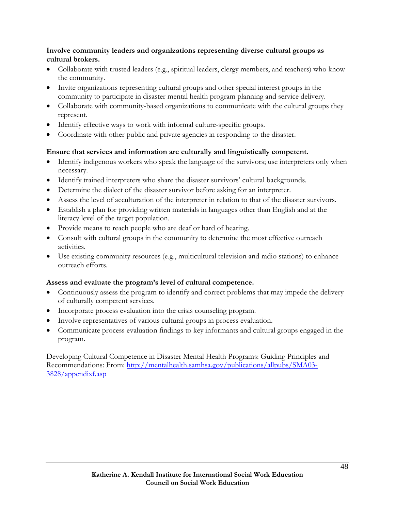## **Involve community leaders and organizations representing diverse cultural groups as cultural brokers.**

- Collaborate with trusted leaders (e.g., spiritual leaders, clergy members, and teachers) who know the community.
- Invite organizations representing cultural groups and other special interest groups in the community to participate in disaster mental health program planning and service delivery.
- Collaborate with community-based organizations to communicate with the cultural groups they represent.
- Identify effective ways to work with informal culture-specific groups.
- Coordinate with other public and private agencies in responding to the disaster.

## **Ensure that services and information are culturally and linguistically competent.**

- Identify indigenous workers who speak the language of the survivors; use interpreters only when necessary.
- Identify trained interpreters who share the disaster survivors' cultural backgrounds.
- Determine the dialect of the disaster survivor before asking for an interpreter.
- Assess the level of acculturation of the interpreter in relation to that of the disaster survivors.
- Establish a plan for providing written materials in languages other than English and at the literacy level of the target population.
- Provide means to reach people who are deaf or hard of hearing.
- Consult with cultural groups in the community to determine the most effective outreach activities.
- Use existing community resources (e.g., multicultural television and radio stations) to enhance outreach efforts.

## **Assess and evaluate the program's level of cultural competence.**

- Continuously assess the program to identify and correct problems that may impede the delivery of culturally competent services.
- Incorporate process evaluation into the crisis counseling program.
- Involve representatives of various cultural groups in process evaluation.
- Communicate process evaluation findings to key informants and cultural groups engaged in the program.

Developing Cultural Competence in Disaster Mental Health Programs: Guiding Principles and Recommendations: From: [http://mentalhealth.samhsa.gov/publications/allpubs/SMA03-](http://mentalhealth.samhsa.gov/publications/allpubs/SMA03-3828/appendixf.asp) [3828/appendixf.asp](http://mentalhealth.samhsa.gov/publications/allpubs/SMA03-3828/appendixf.asp)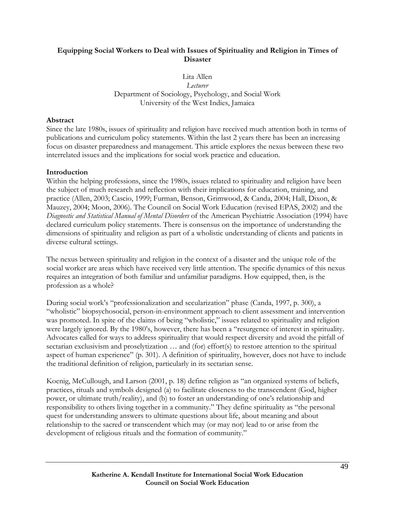## **Equipping Social Workers to Deal with Issues of Spirituality and Religion in Times of Disaster**

Lita Allen *Lecturer*  Department of Sociology, Psychology, and Social Work

University of the West Indies, Jamaica

## **Abstract**

Since the late 1980s, issues of spirituality and religion have received much attention both in terms of publications and curriculum policy statements. Within the last 2 years there has been an increasing focus on disaster preparedness and management. This article explores the nexus between these two interrelated issues and the implications for social work practice and education.

## **Introduction**

Within the helping professions, since the 1980s, issues related to spirituality and religion have been the subject of much research and reflection with their implications for education, training, and practice (Allen, 2003; Cascio, 1999; Furman, Benson, Grimwood, & Canda, 2004; Hall, Dixon, & Mauzey, 2004; Moon, 2006). The Council on Social Work Education (revised EPAS, 2002) and the *Diagnostic and Statistical Manual of Mental Disorders* of the American Psychiatric Association (1994) have declared curriculum policy statements. There is consensus on the importance of understanding the dimensions of spirituality and religion as part of a wholistic understanding of clients and patients in diverse cultural settings.

The nexus between spirituality and religion in the context of a disaster and the unique role of the social worker are areas which have received very little attention. The specific dynamics of this nexus requires an integration of both familiar and unfamiliar paradigms. How equipped, then, is the profession as a whole?

During social work's "professionalization and secularization" phase (Canda, 1997, p. 300), a "wholistic" biopsychosocial, person-in-environment approach to client assessment and intervention was promoted. In spite of the claims of being "wholistic," issues related to spirituality and religion were largely ignored. By the 1980's, however, there has been a "resurgence of interest in spirituality. Advocates called for ways to address spirituality that would respect diversity and avoid the pitfall of sectarian exclusivism and proselytization ... and (for) effort(s) to restore attention to the spiritual aspect of human experience" (p. 301). A definition of spirituality, however, does not have to include the traditional definition of religion, particularly in its sectarian sense.

Koenig, McCullough, and Larson (2001, p. 18) define religion as "an organized systems of beliefs, practices, rituals and symbols designed (a) to facilitate closeness to the transcendent (God, higher power, or ultimate truth/reality), and (b) to foster an understanding of one's relationship and responsibility to others living together in a community." They define spirituality as "the personal quest for understanding answers to ultimate questions about life, about meaning and about relationship to the sacred or transcendent which may (or may not) lead to or arise from the development of religious rituals and the formation of community."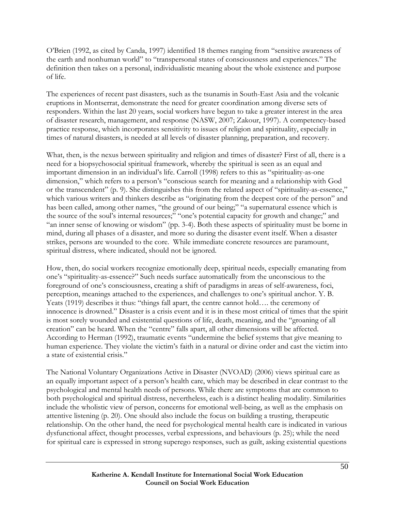O'Brien (1992, as cited by Canda, 1997) identified 18 themes ranging from "sensitive awareness of the earth and nonhuman world" to "transpersonal states of consciousness and experiences." The definition then takes on a personal, individualistic meaning about the whole existence and purpose of life.

The experiences of recent past disasters, such as the tsunamis in South-East Asia and the volcanic eruptions in Montserrat, demonstrate the need for greater coordination among diverse sets of responders. Within the last 20 years, social workers have begun to take a greater interest in the area of disaster research, management, and response (NASW, 2007; Zakour, 1997). A competency-based practice response, which incorporates sensitivity to issues of religion and spirituality, especially in times of natural disasters, is needed at all levels of disaster planning, preparation, and recovery.

What, then, is the nexus between spirituality and religion and times of disaster? First of all, there is a need for a biopsychosocial spiritual framework, whereby the spiritual is seen as an equal and important dimension in an individual's life. Carroll (1998) refers to this as "spirituality-as-one dimension," which refers to a person's "conscious search for meaning and a relationship with God or the transcendent" (p. 9). She distinguishes this from the related aspect of "spirituality-as-essence," which various writers and thinkers describe as "originating from the deepest core of the person" and has been called, among other names, "the ground of our being;" "a supernatural essence which is the source of the soul's internal resources;" "one's potential capacity for growth and change;" and "an inner sense of knowing or wisdom" (pp. 3-4). Both these aspects of spirituality must be borne in mind, during all phases of a disaster, and more so during the disaster event itself. When a disaster strikes, persons are wounded to the core. While immediate concrete resources are paramount, spiritual distress, where indicated, should not be ignored.

How, then, do social workers recognize emotionally deep, spiritual needs, especially emanating from one's "spirituality-as-essence?" Such needs surface automatically from the unconscious to the foreground of one's consciousness, creating a shift of paradigms in areas of self-awareness, foci, perception, meanings attached to the experiences, and challenges to one's spiritual anchor. Y. B. Yeats (1919) describes it thus: "things fall apart, the centre cannot hold…. the ceremony of innocence is drowned." Disaster is a crisis event and it is in these most critical of times that the spirit is most sorely wounded and existential questions of life, death, meaning, and the "groaning of all creation" can be heard. When the "centre" falls apart, all other dimensions will be affected. According to Herman (1992), traumatic events "undermine the belief systems that give meaning to human experience. They violate the victim's faith in a natural or divine order and cast the victim into a state of existential crisis."

The National Voluntary Organizations Active in Disaster (NVOAD) (2006) views spiritual care as an equally important aspect of a person's health care, which may be described in clear contrast to the psychological and mental health needs of persons. While there are symptoms that are common to both psychological and spiritual distress, nevertheless, each is a distinct healing modality. Similarities include the wholistic view of person, concerns for emotional well-being, as well as the emphasis on attentive listening (p. 20). One should also include the focus on building a trusting, therapeutic relationship. On the other hand, the need for psychological mental health care is indicated in various dysfunctional affect, thought processes, verbal expressions, and behaviours (p. 25); while the need for spiritual care is expressed in strong superego responses, such as guilt, asking existential questions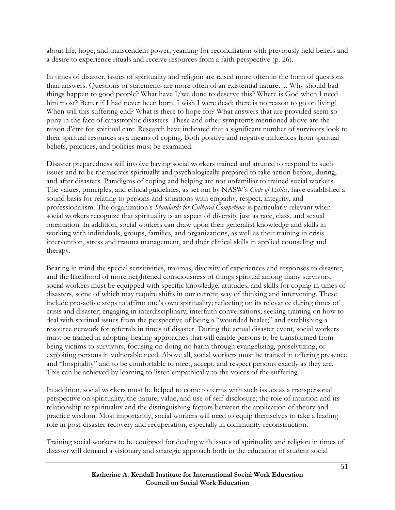about life, hope, and transcendent power, yearning for reconciliation with previously held beliefs and a desire to experience rituals and receive resources from a faith perspective (p. 26).

In times of disaster, issues of spirituality and religion are raised more often in the form of questions than answers. Questions or statements are more often of an existential nature…. Why should bad things happen to good people? What have I/we done to deserve this? Where is God when I need him most? Better if I had never been born! I wish I were dead; there is no reason to go on living! When will this suffering end? What is there to hope for? What answers that are provided seem so puny in the face of catastrophic disasters. These and other symptoms mentioned above are the raison d'être for spiritual care. Research have indicated that a significant number of survivors look to their spiritual resources as a means of coping. Both positive and negative influences from spiritual beliefs, practices, and policies must be examined.

Disaster preparedness will involve having social workers trained and attuned to respond to such issues and to be themselves spiritually and psychologically prepared to take action before, during, and after disasters. Paradigms of coping and helping are not unfamiliar to trained social workers. The values, principles, and ethical guidelines, as set out by NASW's *Code of Ethics,* have established a sound basis for relating to persons and situations with empathy, respect, integrity, and professionalism. The organization's *Standards for Cultural Competence* is particularly relevant when social workers recognize that spirituality is an aspect of diversity just as race, class, and sexual orientation. In addition, social workers can draw upon their generalist knowledge and skills in working with individuals, groups, families, and organizations, as well as their training in crisis intervention, stress and trauma management, and their clinical skills in applied counseling and therapy.

Bearing in mind the special sensitivities, traumas, diversity of experiences and responses to disaster, and the likelihood of more heightened consciousness of things spiritual among many survivors, social workers must be equipped with specific knowledge, attitudes, and skills for coping in times of disasters, some of which may require shifts in our current way of thinking and intervening. These include pro-active steps to affirm one's own spirituality; reflecting on its relevance during times of crisis and disaster; engaging in interdisciplinary, interfaith conversations; seeking training on how to deal with spiritual issues from the perspective of being a "wounded healer;" and establishing a resource network for referrals in times of disaster. During the actual disaster event, social workers must be trained in adopting healing approaches that will enable persons to be transformed from being victims to survivors, focusing on doing no harm through evangelizing, proselytizing, or exploiting persons in vulnerable need. Above all, social workers must be trained in offering presence and "hospitality" and to be comfortable to meet, accept, and respect persons exactly as they are. This can be achieved by learning to listen empathically to the voices of the suffering.

In addition, social workers must be helped to come to terms with such issues as a transpersonal perspective on spirituality; the nature, value, and use of self-disclosure; the role of intuition and its relationship to spirituality and the distinguishing factors between the application of theory and practice wisdom. Most importantly, social workers will need to equip themselves to take a leading role in post-disaster recovery and recuperation, especially in community reconstruction.

Training social workers to be equipped for dealing with issues of spirituality and religion in times of disaster will demand a visionary and strategic approach both in the education of student social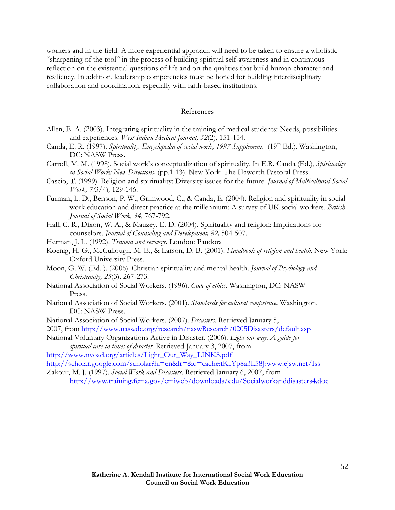workers and in the field. A more experiential approach will need to be taken to ensure a wholistic "sharpening of the tool" in the process of building spiritual self-awareness and in continuous reflection on the existential questions of life and on the qualities that build human character and resiliency. In addition, leadership competencies must be honed for building interdisciplinary collaboration and coordination, especially with faith-based institutions.

#### References

- Allen, E. A. (2003). Integrating spirituality in the training of medical students: Needs, possibilities and experiences. *West Indian Medical Journal, 52*(2)*,* 151-154.
- Canda, E. R. (1997). *Spirituality. Encyclopedia of social work, 1997 Supplement.* (19<sup>th</sup> Ed.). Washington, DC: NASW Press.
- Carroll, M. M. (1998). Social work's conceptualization of spirituality. In E.R. Canda (Ed.), *Spirituality in Social Work: New Directions,* (pp.1-13). New York: The Haworth Pastoral Press.
- Cascio, T. (1999). Religion and spirituality: Diversity issues for the future. *Journal of Multicultural Social Work, 7(*3/4)*,* 129-146.
- Furman, L. D., Benson, P. W., Grimwood, C., & Canda, E. (2004). Religion and spirituality in social work education and direct practice at the millennium: A survey of UK social workers. *British Journal of Social Work, 34,* 767-792.
- Hall, C. R., Dixon, W. A., & Mauzey, E. D. (2004). Spirituality and religion: Implications for counselors. *Journal of Counseling and Development, 82,* 504-507.
- Herman, J. L. (1992). *Trauma and recovery.* London: Pandora
- Koenig, H. G., McCullough, M. E., & Larson, D. B. (2001). *Handbook of religion and health.* New York: Oxford University Press.
- Moon, G. W. (Ed. ). (2006). Christian spirituality and mental health. *Journal of Psychology and Christianity, 25*(3)*,* 267-273.
- National Association of Social Workers. (1996). *Code of ethics.* Washington, DC: NASW Press.
- National Association of Social Workers. (2001). *Standards for cultural competence.* Washington, DC: NASW Press.
- National Association of Social Workers. (2007). *Disasters.* Retrieved January 5,
- 2007, from<http://www.naswdc.org/research/naswResearch/0205Disasters/default.asp>
- National Voluntary Organizations Active in Disaster. (2006). *Light our way: A guide for*
- *spiritual care in times of disaster.* Retrieved January 3, 2007, from [http://www.nvoad.org/articles/Light\\_Our\\_Way\\_LINKS.pdf](http://www.nvoad.org/articles/Light_Our_Way_LINKS.pdf)

<http://scholar.google.com/scholar?hl=en&lr=&q=cache:tKIYp8a3L58J:www.ejsw.net/Iss>

Zakour, M. J. (1997). *Social Work and Disasters*. Retrieved January 6, 2007, from <http://www.training.fema.gov/emiweb/downloads/edu/Socialworkanddisasters4.doc>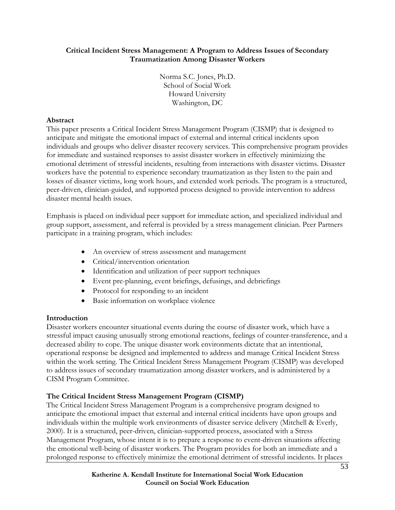## **Critical Incident Stress Management: A Program to Address Issues of Secondary Traumatization Among Disaster Workers**

Norma S.C. Jones, Ph.D. School of Social Work Howard University Washington, DC

### **Abstract**

This paper presents a Critical Incident Stress Management Program (CISMP) that is designed to anticipate and mitigate the emotional impact of external and internal critical incidents upon individuals and groups who deliver disaster recovery services. This comprehensive program provides for immediate and sustained responses to assist disaster workers in effectively minimizing the emotional detriment of stressful incidents, resulting from interactions with disaster victims. Disaster workers have the potential to experience secondary traumatization as they listen to the pain and losses of disaster victims, long work hours, and extended work periods. The program is a structured, peer-driven, clinician-guided, and supported process designed to provide intervention to address disaster mental health issues.

Emphasis is placed on individual peer support for immediate action, and specialized individual and group support, assessment, and referral is provided by a stress management clinician. Peer Partners participate in a training program, which includes:

- An overview of stress assessment and management
- Critical/intervention orientation
- Identification and utilization of peer support techniques
- Event pre-planning, event briefings, defusings, and debriefings
- Protocol for responding to an incident
- Basic information on workplace violence

### **Introduction**

Disaster workers encounter situational events during the course of disaster work, which have a stressful impact causing unusually strong emotional reactions, feelings of counter-transference, and a decreased ability to cope. The unique disaster work environments dictate that an intentional, operational response be designed and implemented to address and manage Critical Incident Stress within the work setting. The Critical Incident Stress Management Program (CISMP) was developed to address issues of secondary traumatization among disaster workers, and is administered by a CISM Program Committee.

## **The Critical Incident Stress Management Program (CISMP)**

The Critical Incident Stress Management Program is a comprehensive program designed to anticipate the emotional impact that external and internal critical incidents have upon groups and individuals within the multiple work environments of disaster service delivery (Mitchell & Everly, 2000). It is a structured, peer-driven, clinician-supported process, associated with a Stress Management Program, whose intent it is to prepare a response to event-driven situations affecting the emotional well-being of disaster workers. The Program provides for both an immediate and a prolonged response to effectively minimize the emotional detriment of stressful incidents. It places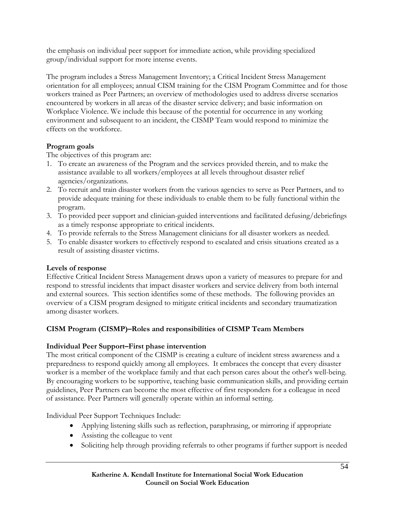the emphasis on individual peer support for immediate action, while providing specialized group/individual support for more intense events.

The program includes a Stress Management Inventory; a Critical Incident Stress Management orientation for all employees; annual CISM training for the CISM Program Committee and for those workers trained as Peer Partners; an overview of methodologies used to address diverse scenarios encountered by workers in all areas of the disaster service delivery; and basic information on Workplace Violence. We include this because of the potential for occurrence in any working environment and subsequent to an incident, the CISMP Team would respond to minimize the effects on the workforce.

## **Program goals**

The objectives of this program are:

- 1. To create an awareness of the Program and the services provided therein, and to make the assistance available to all workers/employees at all levels throughout disaster relief agencies/organizations.
- 2. To recruit and train disaster workers from the various agencies to serve as Peer Partners, and to provide adequate training for these individuals to enable them to be fully functional within the program.
- 3. To provided peer support and clinician-guided interventions and facilitated defusing/debriefings as a timely response appropriate to critical incidents.
- 4. To provide referrals to the Stress Management clinicians for all disaster workers as needed.
- 5. To enable disaster workers to effectively respond to escalated and crisis situations created as a result of assisting disaster victims.

## **Levels of response**

Effective Critical Incident Stress Management draws upon a variety of measures to prepare for and respond to stressful incidents that impact disaster workers and service delivery from both internal and external sources. This section identifies some of these methods. The following provides an overview of a CISM program designed to mitigate critical incidents and secondary traumatization among disaster workers.

# **CISM Program (CISMP)–Roles and responsibilities of CISMP Team Members**

## **Individual Peer Support–First phase intervention**

The most critical component of the CISMP is creating a culture of incident stress awareness and a preparedness to respond quickly among all employees. It embraces the concept that every disaster worker is a member of the workplace family and that each person cares about the other's well-being. By encouraging workers to be supportive, teaching basic communication skills, and providing certain guidelines, Peer Partners can become the most effective of first responders for a colleague in need of assistance. Peer Partners will generally operate within an informal setting.

Individual Peer Support Techniques Include:

- Applying listening skills such as reflection, paraphrasing, or mirroring if appropriate
- Assisting the colleague to vent
- Soliciting help through providing referrals to other programs if further support is needed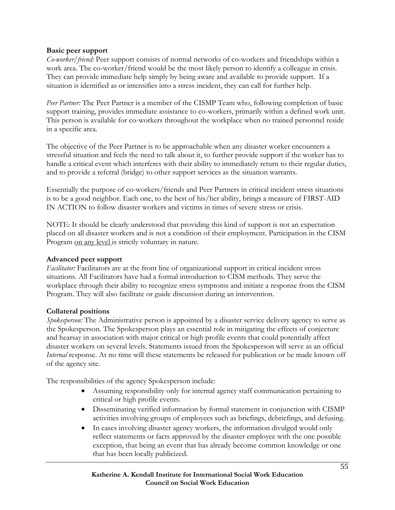## **Basic peer support**

*Co-worker/friend:* Peer support consists of normal networks of co-workers and friendships within a work area. The co-worker/friend would be the most likely person to identify a colleague in crisis. They can provide immediate help simply by being aware and available to provide support. If a situation is identified as or intensifies into a stress incident, they can call for further help.

*Peer Partner:* The Peer Partner is a member of the CISMP Team who, following completion of basic support training, provides immediate assistance to co-workers, primarily within a defined work unit. This person is available for co-workers throughout the workplace when no trained personnel reside in a specific area.

The objective of the Peer Partner is to be approachable when any disaster worker encounters a stressful situation and feels the need to talk about it, to further provide support if the worker has to handle a critical event which interferes with their ability to immediately return to their regular duties, and to provide a referral (bridge) to other support services as the situation warrants.

Essentially the purpose of co-workers/friends and Peer Partners in critical incident stress situations is to be a good neighbor. Each one, to the best of his/her ability, brings a measure of FIRST-AID IN ACTION to follow disaster workers and victims in times of severe stress or crisis.

NOTE: It should be clearly understood that providing this kind of support is not an expectation placed on all disaster workers and is not a condition of their employment. Participation in the CISM Program on any level is strictly voluntary in nature.

### **Advanced peer support**

*Facilitator:* Facilitators are at the front line of organizational support in critical incident stress situations. All Facilitators have had a formal introduction to CISM methods. They serve the workplace through their ability to recognize stress symptoms and initiate a response from the CISM Program. They will also facilitate or guide discussion during an intervention.

## **Collateral positions**

*Spokesperson:* The Administrative person is appointed by a disaster service delivery agency to serve as the Spokesperson. The Spokesperson plays an essential role in mitigating the effects of conjecture and hearsay in association with major critical or high profile events that could potentially affect disaster workers on several levels. Statements issued from the Spokesperson will serve as an official *Internal* response. At no time will these statements be released for publication or be made known off of the agency site.

The responsibilities of the agency Spokesperson include:

- Assuming responsibility only for internal agency staff communication pertaining to critical or high profile events.
- Disseminating verified information by formal statement in conjunction with CISMP activities involving groups of employees such as briefings, debriefings, and defusing.
- In cases involving disaster agency workers, the information divulged would only reflect statements or facts approved by the disaster employee with the one possible exception, that being an event that has already become common knowledge or one that has been locally publicized.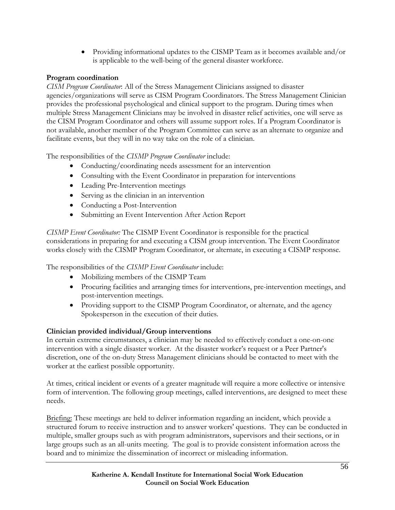• Providing informational updates to the CISMP Team as it becomes available and/or is applicable to the well-being of the general disaster workforce.

# **Program coordination**

*CISM Program Coordinator*: All of the Stress Management Clinicians assigned to disaster agencies/organizations will serve as CISM Program Coordinators. The Stress Management Clinician provides the professional psychological and clinical support to the program. During times when multiple Stress Management Clinicians may be involved in disaster relief activities, one will serve as the CISM Program Coordinator and others will assume support roles. If a Program Coordinator is not available, another member of the Program Committee can serve as an alternate to organize and facilitate events, but they will in no way take on the role of a clinician.

The responsibilities of the *CISMP Program Coordinator* include:

- Conducting/coordinating needs assessment for an intervention
- Consulting with the Event Coordinator in preparation for interventions
- Leading Pre-Intervention meetings
- Serving as the clinician in an intervention
- Conducting a Post-Intervention
- Submitting an Event Intervention After Action Report

*CISMP Event Coordinator:* The CISMP Event Coordinator is responsible for the practical considerations in preparing for and executing a CISM group intervention. The Event Coordinator works closely with the CISMP Program Coordinator, or alternate, in executing a CISMP response.

The responsibilities of the *CISMP Event Coordinator* include:

- Mobilizing members of the CISMP Team
- Procuring facilities and arranging times for interventions, pre-intervention meetings, and post-intervention meetings.
- Providing support to the CISMP Program Coordinator, or alternate, and the agency Spokesperson in the execution of their duties.

# **Clinician provided individual/Group interventions**

In certain extreme circumstances, a clinician may be needed to effectively conduct a one-on-one intervention with a single disaster worker. At the disaster worker's request or a Peer Partner's discretion, one of the on-duty Stress Management clinicians should be contacted to meet with the worker at the earliest possible opportunity.

At times, critical incident or events of a greater magnitude will require a more collective or intensive form of intervention. The following group meetings, called interventions, are designed to meet these needs.

Briefing: These meetings are held to deliver information regarding an incident, which provide a structured forum to receive instruction and to answer workers' questions. They can be conducted in multiple, smaller groups such as with program administrators, supervisors and their sections, or in large groups such as an all-units meeting. The goal is to provide consistent information across the board and to minimize the dissemination of incorrect or misleading information.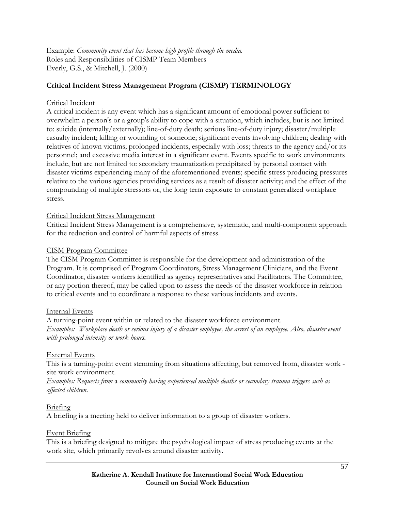Example: *Community event that has become high profile through the media.*  Roles and Responsibilities of CISMP Team Members Everly, G.S., & Mitchell, J. (2000)

## **Critical Incident Stress Management Program (CISMP) TERMINOLOGY**

### Critical Incident

A critical incident is any event which has a significant amount of emotional power sufficient to overwhelm a person's or a group's ability to cope with a situation, which includes, but is not limited to: suicide (internally/externally); line-of-duty death; serious line-of-duty injury; disaster/multiple casualty incident; killing or wounding of someone; significant events involving children; dealing with relatives of known victims; prolonged incidents, especially with loss; threats to the agency and/or its personnel; and excessive media interest in a significant event. Events specific to work environments include, but are not limited to: secondary traumatization precipitated by personal contact with disaster victims experiencing many of the aforementioned events; specific stress producing pressures relative to the various agencies providing services as a result of disaster activity; and the effect of the compounding of multiple stressors or, the long term exposure to constant generalized workplace stress.

### Critical Incident Stress Management

Critical Incident Stress Management is a comprehensive, systematic, and multi-component approach for the reduction and control of harmful aspects of stress.

#### CISM Program Committee

The CISM Program Committee is responsible for the development and administration of the Program. It is comprised of Program Coordinators, Stress Management Clinicians, and the Event Coordinator, disaster workers identified as agency representatives and Facilitators. The Committee, or any portion thereof, may be called upon to assess the needs of the disaster workforce in relation to critical events and to coordinate a response to these various incidents and events.

#### Internal Events

A turning-point event within or related to the disaster workforce environment. *Examples: Workplace death or serious injury of a disaster employee, the arrest of an employee. Also, disaster event with prolonged intensity or work hours.* 

#### External Events

This is a turning-point event stemming from situations affecting, but removed from, disaster work site work environment.

*Examples: Requests from* a *community having experienced multiple deaths or secondary trauma triggers such as affected children.* 

#### Briefing

A briefing is a meeting held to deliver information to a group of disaster workers.

#### Event Briefing

This is a briefing designed to mitigate the psychological impact of stress producing events at the work site, which primarily revolves around disaster activity.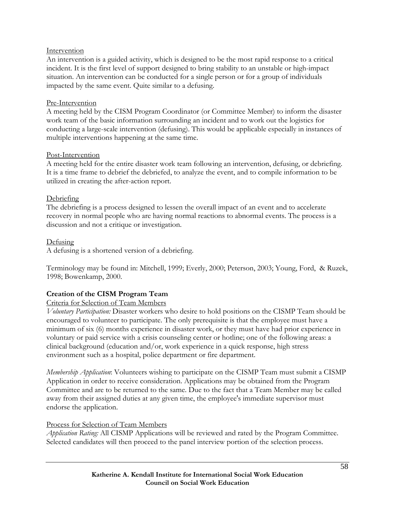### Intervention

An intervention is a guided activity, which is designed to be the most rapid response to a critical incident. It is the first level of support designed to bring stability to an unstable or high-impact situation. An intervention can be conducted for a single person or for a group of individuals impacted by the same event. Quite similar to a defusing.

### Pre-Intervention

A meeting held by the CISM Program Coordinator (or Committee Member) to inform the disaster work team of the basic information surrounding an incident and to work out the logistics for conducting a large-scale intervention (defusing). This would be applicable especially in instances of multiple interventions happening at the same time.

## Post-Intervention

A meeting held for the entire disaster work team following an intervention, defusing, or debriefing. It is a time frame to debrief the debriefed, to analyze the event, and to compile information to be utilized in creating the after-action report.

## Debriefing

The debriefing is a process designed to lessen the overall impact of an event and to accelerate recovery in normal people who are having normal reactions to abnormal events. The process is a discussion and not a critique or investigation.

## Defusing

A defusing is a shortened version of a debriefing.

Terminology may be found in: Mitchell, 1999; Everly, 2000; Peterson, 2003; Young, Ford, & Ruzek, 1998; Bowenkamp, 2000.

# **Creation of the CISM Program Team**

## Criteria for Selection of Team Members

*Voluntary Participation:* Disaster workers who desire to hold positions on the CISMP Team should be encouraged to volunteer to participate. The only prerequisite is that the employee must have a minimum of six (6) months experience in disaster work, or they must have had prior experience in voluntary or paid service with a crisis counseling center or hotline; one of the following areas: a clinical background (education and/or, work experience in a quick response, high stress environment such as a hospital, police department or fire department.

*Membership Application*: Volunteers wishing to participate on the CISMP Team must submit a CISMP Application in order to receive consideration. Applications may be obtained from the Program Committee and are to be returned to the same. Due to the fact that a Team Member may be called away from their assigned duties at any given time, the employee's immediate supervisor must endorse the application.

## Process for Selection of Team Members

*Application Rating:* All CISMP Applications will be reviewed and rated by the Program Committee. Selected candidates will then proceed to the panel interview portion of the selection process.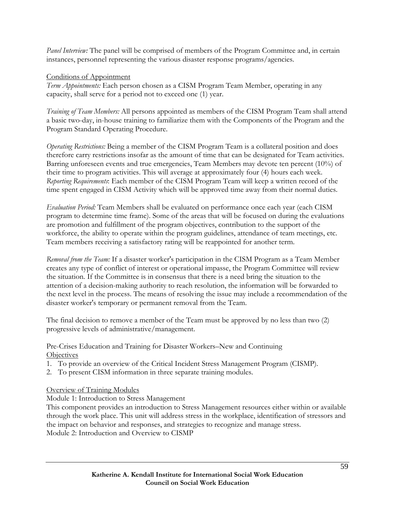*Panel Interview:* The panel will be comprised of members of the Program Committee and, in certain instances, personnel representing the various disaster response programs/agencies.

## Conditions of Appointment

*Term Appointments:* Each person chosen as a CISM Program Team Member, operating in any capacity, shall serve for a period not to exceed one (1) year.

*Training of Team Members:* All persons appointed as members of the CISM Program Team shall attend a basic two-day, in-house training to familiarize them with the Components of the Program and the Program Standard Operating Procedure.

*Operating Restrictions:* Being a member of the CISM Program Team is a collateral position and does therefore carry restrictions insofar as the amount of time that can be designated for Team activities. Barring unforeseen events and true emergencies, Team Members may devote ten percent (10%) of their time to program activities. This will average at approximately four (4) hours each week. *Reporting Requirements*: Each member of the CISM Program Team will keep a written record of the time spent engaged in CISM Activity which will be approved time away from their normal duties.

*Evaluation Period:* Team Members shall be evaluated on performance once each year (each CISM program to determine time frame). Some of the areas that will be focused on during the evaluations are promotion and fulfillment of the program objectives, contribution to the support of the workforce, the ability to operate within the program guidelines, attendance of team meetings, etc. Team members receiving a satisfactory rating will be reappointed for another term.

*Removal from the Team:* If a disaster worker's participation in the CISM Program as a Team Member creates any type of conflict of interest or operational impasse, the Program Committee will review the situation. If the Committee is in consensus that there is a need bring the situation to the attention of a decision-making authority to reach resolution, the information will be forwarded to the next level in the process. The means of resolving the issue may include a recommendation of the disaster worker's temporary or permanent removal from the Team.

The final decision to remove a member of the Team must be approved by no less than two (2) progressive levels of administrative/management.

Pre-Crises Education and Training for Disaster Workers–New and Continuing **Objectives** 

- 1. To provide an overview of the Critical Incident Stress Management Program (CISMP).
- 2. To present CISM information in three separate training modules.

## Overview of Training Modules

Module 1: Introduction to Stress Management

This component provides an introduction to Stress Management resources either within or available through the work place. This unit will address stress in the workplace, identification of stressors and the impact on behavior and responses, and strategies to recognize and manage stress. Module 2: Introduction and Overview to CISMP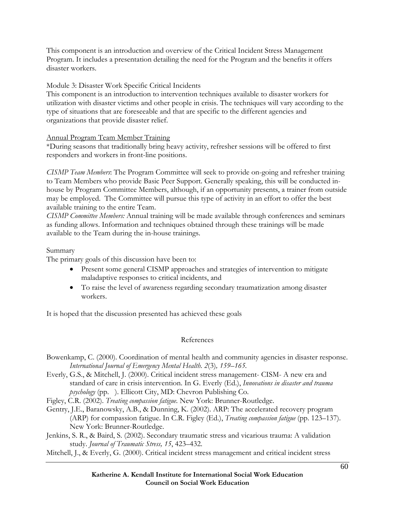This component is an introduction and overview of the Critical Incident Stress Management Program. It includes a presentation detailing the need for the Program and the benefits it offers disaster workers.

### Module 3: Disaster Work Specific Critical Incidents

This component is an introduction to intervention techniques available to disaster workers for utilization with disaster victims and other people in crisis. The techniques will vary according to the type of situations that are foreseeable and that are specific to the different agencies and organizations that provide disaster relief.

## Annual Program Team Member Training

\*During seasons that traditionally bring heavy activity, refresher sessions will be offered to first responders and workers in front-line positions.

*CISMP Team Members*: The Program Committee will seek to provide on-going and refresher training to Team Members who provide Basic Peer Support. Generally speaking, this will be conducted inhouse by Program Committee Members, although, if an opportunity presents, a trainer from outside may be employed. The Committee will pursue this type of activity in an effort to offer the best available training to the entire Team.

*CISMP Committee Members:* Annual training will be made available through conferences and seminars as funding allows. Information and techniques obtained through these trainings will be made available to the Team during the in-house trainings.

## Summary

The primary goals of this discussion have been to:

- Present some general CISMP approaches and strategies of intervention to mitigate maladaptive responses to critical incidents, and
- To raise the level of awareness regarding secondary traumatization among disaster workers.

It is hoped that the discussion presented has achieved these goals

## References

Bowenkamp, C. (2000). Coordination of mental health and community agencies in disaster response. *International Journal of Emergency Mental Health. 2*(3)*, 159–165.*

Everly, G.S., & Mitchell, J. (2000). Critical incident stress management- CISM- A new era and standard of care in crisis intervention. In G. Everly (Ed.), *Innovations in disaster and trauma psychology* (pp. ). Ellicott City, MD: Chevron Publishing Co.

Figley, C.R. (2002). *Treating compassion fatigue.* New York: Brunner-Routledge.

Gentry, J.E., Baranowsky, A.B., & Dunning, K. (2002). ARP: The accelerated recovery program (ARP) for compassion fatigue. In C.R. Figley (Ed.), *Treating compassion fatigue* (pp. 123–137). New York: Brunner-Routledge.

Jenkins, S. R., & Baird, S. (2002). Secondary traumatic stress and vicarious trauma: A validation study. *Journal of Traumatic Stress, 15*, 423–432.

Mitchell, J., & Everly, G. (2000). Critical incident stress management and critical incident stress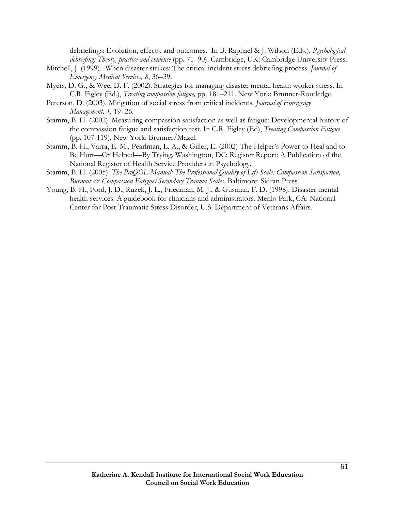debriefings: Evolution, effects, and outcomes. In B. Raphael & J. Wilson (Eds.), *Psychological debriefing: Theory, practice and evidence* (pp. 71–90). Cambridge, UK: Cambridge University Press.

- Mitchell, J. (1999). When disaster strikes: The critical incident stress debriefing process. *Journal of Emergency Medical Services, 8*, 36–39.
- Myers, D. G., & Wee, D. F. (2002). Strategies for managing disaster mental health worker stress. In C.R. Figley (Ed.), *Treating compassion fatigue,* pp. 181–211. New York: Brunner-Routledge.
- Peterson, D. (2003). Mitigation of social stress from critical incidents. *Journal of Emergency Management, 1*, 19–26.
- Stamm, B. H. (2002). Measuring compassion satisfaction as well as fatigue: Developmental history of the compassion fatigue and satisfaction test. In C.R. Figley (Ed), *Treating Compassion Fatigue* (pp. 107-119). New York: Brunner/Mazel.
- Stamm, B. H., Varra, E. M., Pearlman, L. A., & Giller, E. (2002) The Helper's Power to Heal and to Be Hurt—Or Helped—By Trying. Washington, DC: Register Report: A Publication of the National Register of Health Service Providers in Psychology.
- Stamm, B. H. (2005). *The ProQOL Manual: The Professional Quality of Life Scale: Compassion Satisfaction, Burnout & Compassion Fatigue/Secondary Trauma Scales*. Baltimore: Sidran Press*.*
- Young, B. H., Ford, J. D., Ruzek, J. L., Friedman, M. J., & Gusman, F. D. (1998). Disaster mental health services: A guidebook for clinicians and administrators. Menlo Park, CA: National Center for Post Traumatic Stress Disorder, U.S. Department of Veterans Affairs.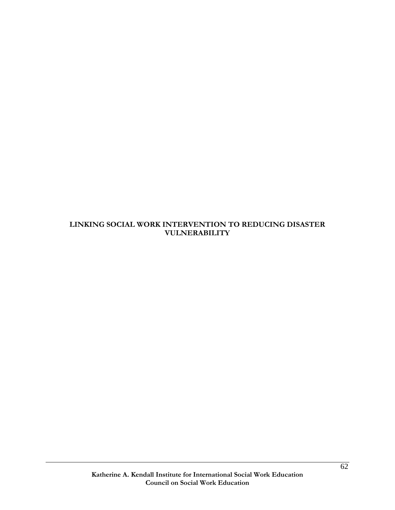# **LINKING SOCIAL WORK INTERVENTION TO REDUCING DISASTER VULNERABILITY**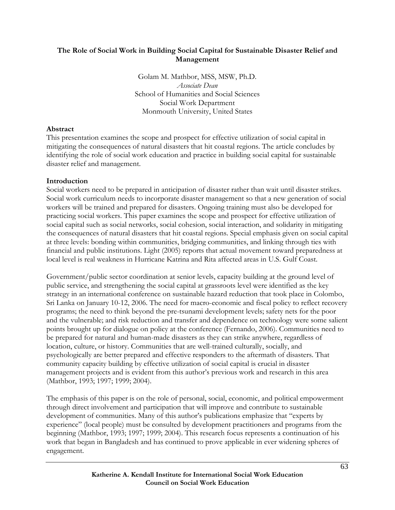## **The Role of Social Work in Building Social Capital for Sustainable Disaster Relief and Management**

Golam M. Mathbor, MSS, MSW, Ph.D. *Associate Dean* School of Humanities and Social Sciences Social Work Department Monmouth University, United States

### **Abstract**

This presentation examines the scope and prospect for effective utilization of social capital in mitigating the consequences of natural disasters that hit coastal regions. The article concludes by identifying the role of social work education and practice in building social capital for sustainable disaster relief and management.

## **Introduction**

Social workers need to be prepared in anticipation of disaster rather than wait until disaster strikes. Social work curriculum needs to incorporate disaster management so that a new generation of social workers will be trained and prepared for disasters. Ongoing training must also be developed for practicing social workers. This paper examines the scope and prospect for effective utilization of social capital such as social networks, social cohesion, social interaction, and solidarity in mitigating the consequences of natural disasters that hit coastal regions. Special emphasis given on social capital at three levels: bonding within communities, bridging communities, and linking through ties with financial and public institutions. Light (2005) reports that actual movement toward preparedness at local level is real weakness in Hurricane Katrina and Rita affected areas in U.S. Gulf Coast.

Government/public sector coordination at senior levels, capacity building at the ground level of public service, and strengthening the social capital at grassroots level were identified as the key strategy in an international conference on sustainable hazard reduction that took place in Colombo, Sri Lanka on January 10-12, 2006. The need for macro-economic and fiscal policy to reflect recovery programs; the need to think beyond the pre-tsunami development levels; safety nets for the poor and the vulnerable; and risk reduction and transfer and dependence on technology were some salient points brought up for dialogue on policy at the conference (Fernando, 2006). Communities need to be prepared for natural and human-made disasters as they can strike anywhere, regardless of location, culture, or history. Communities that are well-trained culturally, socially, and psychologically are better prepared and effective responders to the aftermath of disasters. That community capacity building by effective utilization of social capital is crucial in disaster management projects and is evident from this author's previous work and research in this area (Mathbor, 1993; 1997; 1999; 2004).

The emphasis of this paper is on the role of personal, social, economic, and political empowerment through direct involvement and participation that will improve and contribute to sustainable development of communities. Many of this author's publications emphasize that "experts by experience" (local people) must be consulted by development practitioners and programs from the beginning (Mathbor, 1993; 1997; 1999; 2004). This research focus represents a continuation of his work that began in Bangladesh and has continued to prove applicable in ever widening spheres of engagement.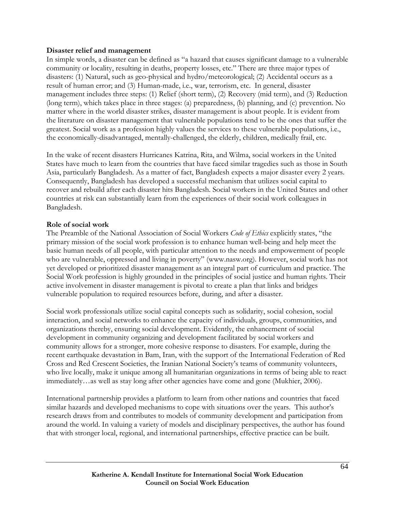### **Disaster relief and management**

In simple words, a disaster can be defined as "a hazard that causes significant damage to a vulnerable community or locality, resulting in deaths, property losses, etc." There are three major types of disasters: (1) Natural, such as geo-physical and hydro/meteorological; (2) Accidental occurs as a result of human error; and (3) Human-made, i.e., war, terrorism, etc. In general, disaster management includes three steps: (1) Relief (short term), (2) Recovery (mid term), and (3) Reduction (long term), which takes place in three stages: (a) preparedness, (b) planning, and (c) prevention. No matter where in the world disaster strikes, disaster management is about people. It is evident from the literature on disaster management that vulnerable populations tend to be the ones that suffer the greatest. Social work as a profession highly values the services to these vulnerable populations, i.e., the economically-disadvantaged, mentally-challenged, the elderly, children, medically frail, etc.

In the wake of recent disasters Hurricanes Katrina, Rita, and Wilma, social workers in the United States have much to learn from the countries that have faced similar tragedies such as those in South Asia, particularly Bangladesh. As a matter of fact, Bangladesh expects a major disaster every 2 years. Consequently, Bangladesh has developed a successful mechanism that utilizes social capital to recover and rebuild after each disaster hits Bangladesh. Social workers in the United States and other countries at risk can substantially learn from the experiences of their social work colleagues in Bangladesh.

## **Role of social work**

The Preamble of the National Association of Social Workers *Code of Ethics* explicitly states, "the primary mission of the social work profession is to enhance human well-being and help meet the basic human needs of all people, with particular attention to the needs and empowerment of people who are vulnerable, oppressed and living in poverty" (www.nasw.org). However, social work has not yet developed or prioritized disaster management as an integral part of curriculum and practice. The Social Work profession is highly grounded in the principles of social justice and human rights. Their active involvement in disaster management is pivotal to create a plan that links and bridges vulnerable population to required resources before, during, and after a disaster.

Social work professionals utilize social capital concepts such as solidarity, social cohesion, social interaction, and social networks to enhance the capacity of individuals, groups, communities, and organizations thereby, ensuring social development. Evidently, the enhancement of social development in community organizing and development facilitated by social workers and community allows for a stronger, more cohesive response to disasters. For example, during the recent earthquake devastation in Bam, Iran, with the support of the International Federation of Red Cross and Red Crescent Societies, the Iranian National Society's teams of community volunteers, who live locally, make it unique among all humanitarian organizations in terms of being able to react immediately…as well as stay long after other agencies have come and gone (Mukhier, 2006).

International partnership provides a platform to learn from other nations and countries that faced similar hazards and developed mechanisms to cope with situations over the years. This author's research draws from and contributes to models of community development and participation from around the world. In valuing a variety of models and disciplinary perspectives, the author has found that with stronger local, regional, and international partnerships, effective practice can be built.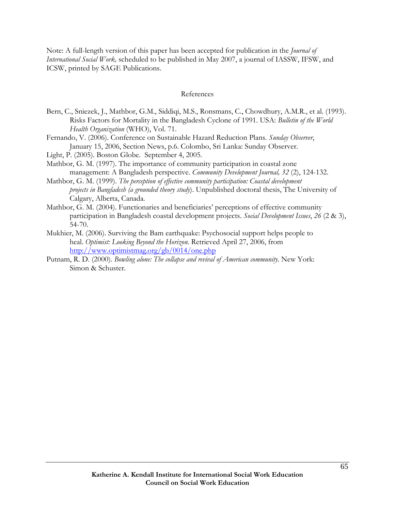Note: A full-length version of this paper has been accepted for publication in the *Journal of International Social Work,* scheduled to be published in May 2007, a journal of IASSW, IFSW, and ICSW, printed by SAGE Publications.

#### References

- Bern, C., Sniezek, J., Mathbor, G.M., Siddiqi, M.S., Ronsmans, C., Chowdhury, A.M.R., et al. (1993). Risks Factors for Mortality in the Bangladesh Cyclone of 1991. USA: *Bulletin of the World Health Organization* (WHO), Vol. 71.
- Fernando, V. (2006). Conference on Sustainable Hazard Reduction Plans. *Sunday Observer*, January 15, 2006, Section News, p.6. Colombo, Sri Lanka: Sunday Observer.
- Light, P. (2005). Boston Globe. September 4, 2005.
- Mathbor, G. M. (1997). The importance of community participation in coastal zone management: A Bangladesh perspective. *Community Development Journal, 32* (2), 124-132.
- Mathbor, G. M. (1999). *The perception of effective community participation: Coastal development projects in Bangladesh (a grounded theory study*). Unpublished doctoral thesis, The University of Calgary, Alberta, Canada.
- Mathbor, G. M. (2004). Functionaries and beneficiaries' perceptions of effective community participation in Bangladesh coastal development projects. *Social Development Issues*, *26* (2 & 3), 54-70.
- Mukhier, M. (2006). Surviving the Bam earthquake: Psychosocial support helps people to heal. *Optimist: Looking Beyond the Horizon*. Retrieved April 27, 2006, from <http://www.optimistmag.org/gb/0014/one.php>
- Putnam, R. D. (2000). *Bowling alone: The collapse and revival of American community*. New York: Simon & Schuster.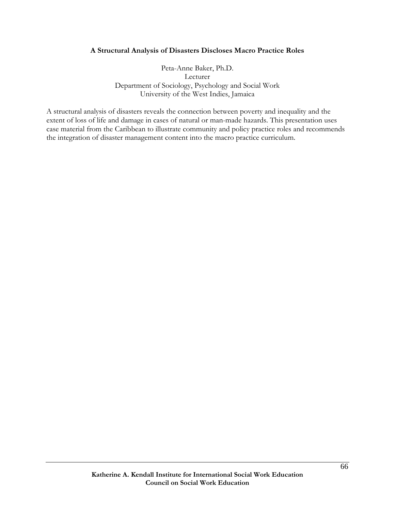### **A Structural Analysis of Disasters Discloses Macro Practice Roles**

Peta-Anne Baker, Ph.D. Lecturer Department of Sociology, Psychology and Social Work University of the West Indies, Jamaica

A structural analysis of disasters reveals the connection between poverty and inequality and the extent of loss of life and damage in cases of natural or man-made hazards. This presentation uses case material from the Caribbean to illustrate community and policy practice roles and recommends the integration of disaster management content into the macro practice curriculum.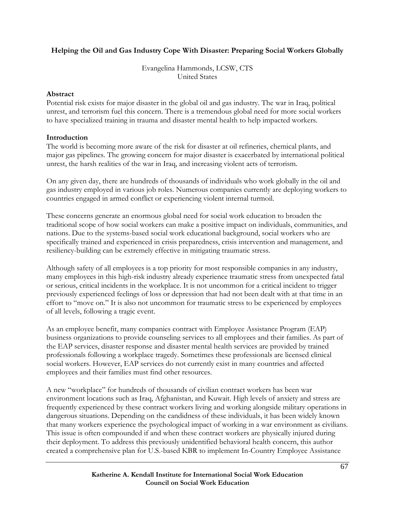## **Helping the Oil and Gas Industry Cope With Disaster: Preparing Social Workers Globally**

Evangelina Hammonds, LCSW, CTS United States

### **Abstract**

Potential risk exists for major disaster in the global oil and gas industry. The war in Iraq, political unrest, and terrorism fuel this concern. There is a tremendous global need for more social workers to have specialized training in trauma and disaster mental health to help impacted workers.

### **Introduction**

The world is becoming more aware of the risk for disaster at oil refineries, chemical plants, and major gas pipelines. The growing concern for major disaster is exacerbated by international political unrest, the harsh realities of the war in Iraq, and increasing violent acts of terrorism.

On any given day, there are hundreds of thousands of individuals who work globally in the oil and gas industry employed in various job roles. Numerous companies currently are deploying workers to countries engaged in armed conflict or experiencing violent internal turmoil.

These concerns generate an enormous global need for social work education to broaden the traditional scope of how social workers can make a positive impact on individuals, communities, and nations. Due to the systems-based social work educational background, social workers who are specifically trained and experienced in crisis preparedness, crisis intervention and management, and resiliency-building can be extremely effective in mitigating traumatic stress.

Although safety of all employees is a top priority for most responsible companies in any industry, many employees in this high-risk industry already experience traumatic stress from unexpected fatal or serious, critical incidents in the workplace. It is not uncommon for a critical incident to trigger previously experienced feelings of loss or depression that had not been dealt with at that time in an effort to "move on." It is also not uncommon for traumatic stress to be experienced by employees of all levels, following a tragic event.

As an employee benefit, many companies contract with Employee Assistance Program (EAP) business organizations to provide counseling services to all employees and their families. As part of the EAP services, disaster response and disaster mental health services are provided by trained professionals following a workplace tragedy. Sometimes these professionals are licensed clinical social workers. However, EAP services do not currently exist in many countries and affected employees and their families must find other resources.

A new "workplace" for hundreds of thousands of civilian contract workers has been war environment locations such as Iraq, Afghanistan, and Kuwait. High levels of anxiety and stress are frequently experienced by these contract workers living and working alongside military operations in dangerous situations. Depending on the candidness of these individuals, it has been widely known that many workers experience the psychological impact of working in a war environment as civilians. This issue is often compounded if and when these contract workers are physically injured during their deployment. To address this previously unidentified behavioral health concern, this author created a comprehensive plan for U.S.-based KBR to implement In-Country Employee Assistance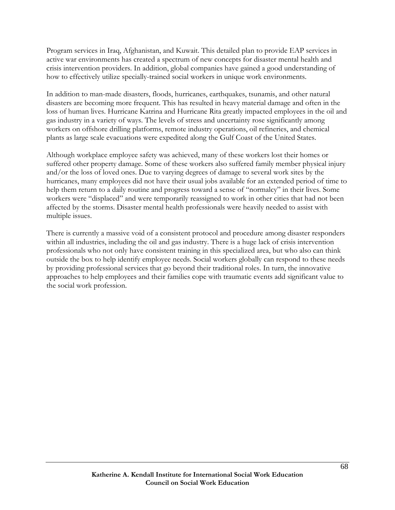Program services in Iraq, Afghanistan, and Kuwait. This detailed plan to provide EAP services in active war environments has created a spectrum of new concepts for disaster mental health and crisis intervention providers. In addition, global companies have gained a good understanding of how to effectively utilize specially-trained social workers in unique work environments.

In addition to man-made disasters, floods, hurricanes, earthquakes, tsunamis, and other natural disasters are becoming more frequent. This has resulted in heavy material damage and often in the loss of human lives. Hurricane Katrina and Hurricane Rita greatly impacted employees in the oil and gas industry in a variety of ways. The levels of stress and uncertainty rose significantly among workers on offshore drilling platforms, remote industry operations, oil refineries, and chemical plants as large scale evacuations were expedited along the Gulf Coast of the United States.

Although workplace employee safety was achieved, many of these workers lost their homes or suffered other property damage. Some of these workers also suffered family member physical injury and/or the loss of loved ones. Due to varying degrees of damage to several work sites by the hurricanes, many employees did not have their usual jobs available for an extended period of time to help them return to a daily routine and progress toward a sense of "normalcy" in their lives. Some workers were "displaced" and were temporarily reassigned to work in other cities that had not been affected by the storms. Disaster mental health professionals were heavily needed to assist with multiple issues.

There is currently a massive void of a consistent protocol and procedure among disaster responders within all industries, including the oil and gas industry. There is a huge lack of crisis intervention professionals who not only have consistent training in this specialized area, but who also can think outside the box to help identify employee needs. Social workers globally can respond to these needs by providing professional services that go beyond their traditional roles. In turn, the innovative approaches to help employees and their families cope with traumatic events add significant value to the social work profession.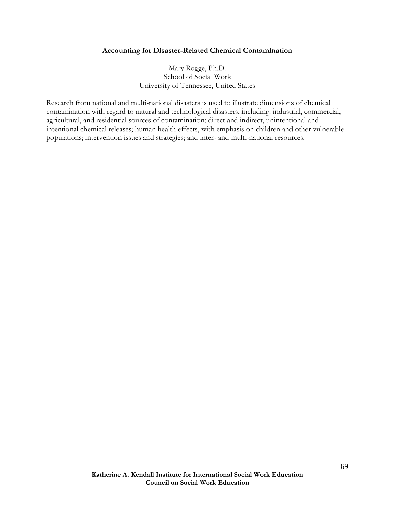## **Accounting for Disaster-Related Chemical Contamination**

Mary Rogge, Ph.D. School of Social Work University of Tennessee, United States

Research from national and multi-national disasters is used to illustrate dimensions of chemical contamination with regard to natural and technological disasters, including: industrial, commercial, agricultural, and residential sources of contamination; direct and indirect, unintentional and intentional chemical releases; human health effects, with emphasis on children and other vulnerable populations; intervention issues and strategies; and inter- and multi-national resources.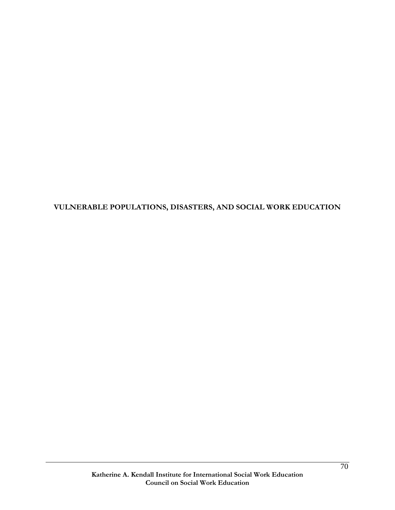**VULNERABLE POPULATIONS, DISASTERS, AND SOCIAL WORK EDUCATION**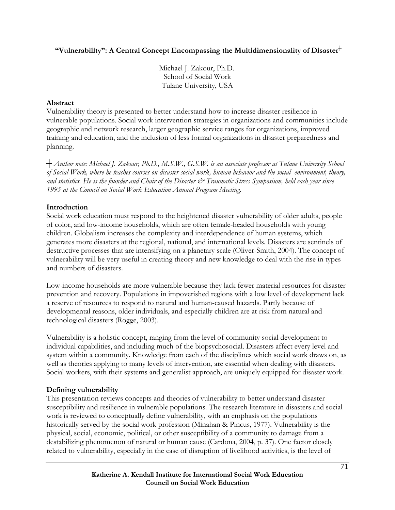# **"Vulnerability": A Central Concept Encompassing the Multidimensionality of Disaster┼**

Michael J. Zakour, Ph.D. School of Social Work Tulane University, USA

## **Abstract**

Vulnerability theory is presented to better understand how to increase disaster resilience in vulnerable populations. Social work intervention strategies in organizations and communities include geographic and network research, larger geographic service ranges for organizations, improved training and education, and the inclusion of less formal organizations in disaster preparedness and planning.

*┼ Author note: Michael J. Zakour, Ph.D., M.S.W., G.S.W. is an associate professor at Tulane University School of Social Work, where he teaches courses on disaster social work, human behavior and the social environment, theory,*  and statistics. He is the founder and Chair of the Disaster & Traumatic Stress Symposium, held each year since *1995 at the Council on Social Work Education Annual Program Meeting.* 

# **Introduction**

Social work education must respond to the heightened disaster vulnerability of older adults, people of color, and low-income households, which are often female-headed households with young children. Globalism increases the complexity and interdependence of human systems, which generates more disasters at the regional, national, and international levels. Disasters are sentinels of destructive processes that are intensifying on a planetary scale (Oliver-Smith, 2004). The concept of vulnerability will be very useful in creating theory and new knowledge to deal with the rise in types and numbers of disasters.

Low-income households are more vulnerable because they lack fewer material resources for disaster prevention and recovery. Populations in impoverished regions with a low level of development lack a reserve of resources to respond to natural and human-caused hazards. Partly because of developmental reasons, older individuals, and especially children are at risk from natural and technological disasters (Rogge, 2003).

Vulnerability is a holistic concept, ranging from the level of community social development to individual capabilities, and including much of the biopsychosocial. Disasters affect every level and system within a community. Knowledge from each of the disciplines which social work draws on, as well as theories applying to many levels of intervention, are essential when dealing with disasters. Social workers, with their systems and generalist approach, are uniquely equipped for disaster work.

## **Defining vulnerability**

This presentation reviews concepts and theories of vulnerability to better understand disaster susceptibility and resilience in vulnerable populations. The research literature in disasters and social work is reviewed to conceptually define vulnerability, with an emphasis on the populations historically served by the social work profession (Minahan & Pincus, 1977). Vulnerability is the physical, social, economic, political, or other susceptibility of a community to damage from a destabilizing phenomenon of natural or human cause (Cardona, 2004, p. 37). One factor closely related to vulnerability, especially in the case of disruption of livelihood activities, is the level of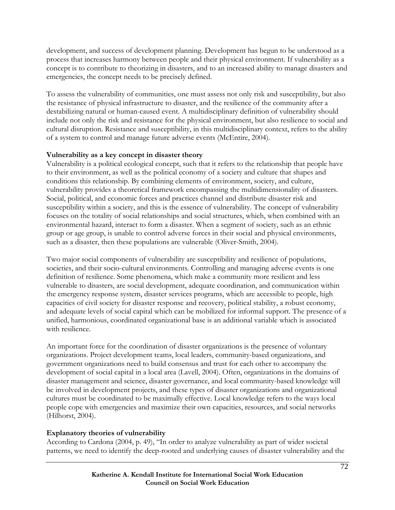development, and success of development planning. Development has begun to be understood as a process that increases harmony between people and their physical environment. If vulnerability as a concept is to contribute to theorizing in disasters, and to an increased ability to manage disasters and emergencies, the concept needs to be precisely defined.

To assess the vulnerability of communities, one must assess not only risk and susceptibility, but also the resistance of physical infrastructure to disaster, and the resilience of the community after a destabilizing natural or human-caused event. A multidisciplinary definition of vulnerability should include not only the risk and resistance for the physical environment, but also resilience to social and cultural disruption. Resistance and susceptibility, in this multidisciplinary context, refers to the ability of a system to control and manage future adverse events (McEntire, 2004).

## **Vulnerability as a key concept in disaster theory**

Vulnerability is a political ecological concept, such that it refers to the relationship that people have to their environment, as well as the political economy of a society and culture that shapes and conditions this relationship. By combining elements of environment, society, and culture, vulnerability provides a theoretical framework encompassing the multidimensionality of disasters. Social, political, and economic forces and practices channel and distribute disaster risk and susceptibility within a society, and this is the essence of vulnerability. The concept of vulnerability focuses on the totality of social relationships and social structures, which, when combined with an environmental hazard, interact to form a disaster. When a segment of society, such as an ethnic group or age group, is unable to control adverse forces in their social and physical environments, such as a disaster, then these populations are vulnerable (Oliver-Smith, 2004).

Two major social components of vulnerability are susceptibility and resilience of populations, societies, and their socio-cultural environments. Controlling and managing adverse events is one definition of resilience. Some phenomena, which make a community more resilient and less vulnerable to disasters, are social development, adequate coordination, and communication within the emergency response system, disaster services programs, which are accessible to people, high capacities of civil society for disaster response and recovery, political stability, a robust economy, and adequate levels of social capital which can be mobilized for informal support. The presence of a unified, harmonious, coordinated organizational base is an additional variable which is associated with resilience.

An important force for the coordination of disaster organizations is the presence of voluntary organizations. Project development teams, local leaders, community-based organizations, and government organizations need to build consensus and trust for each other to accompany the development of social capital in a local area (Lavell, 2004). Often, organizations in the domains of disaster management and science, disaster governance, and local community-based knowledge will be involved in development projects, and these types of disaster organizations and organizational cultures must be coordinated to be maximally effective. Local knowledge refers to the ways local people cope with emergencies and maximize their own capacities, resources, and social networks (Hilhorst, 2004).

## **Explanatory theories of vulnerability**

According to Cardona (2004, p. 49), "In order to analyze vulnerability as part of wider societal patterns, we need to identify the deep-rooted and underlying causes of disaster vulnerability and the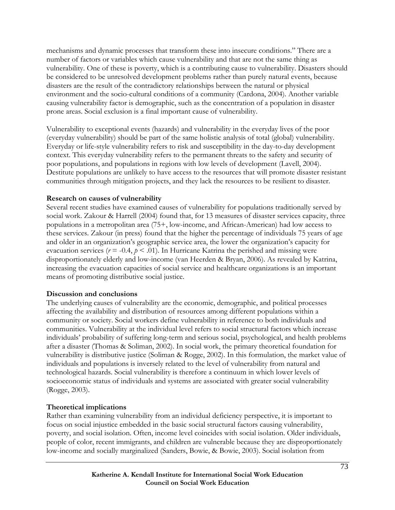mechanisms and dynamic processes that transform these into insecure conditions." There are a number of factors or variables which cause vulnerability and that are not the same thing as vulnerability. One of these is poverty, which is a contributing cause to vulnerability. Disasters should be considered to be unresolved development problems rather than purely natural events, because disasters are the result of the contradictory relationships between the natural or physical environment and the socio-cultural conditions of a community (Cardona, 2004). Another variable causing vulnerability factor is demographic, such as the concentration of a population in disaster prone areas. Social exclusion is a final important cause of vulnerability.

Vulnerability to exceptional events (hazards) and vulnerability in the everyday lives of the poor (everyday vulnerability) should be part of the same holistic analysis of total (global) vulnerability. Everyday or life-style vulnerability refers to risk and susceptibility in the day-to-day development context. This everyday vulnerability refers to the permanent threats to the safety and security of poor populations, and populations in regions with low levels of development (Lavell, 2004). Destitute populations are unlikely to have access to the resources that will promote disaster resistant communities through mitigation projects, and they lack the resources to be resilient to disaster.

### **Research on causes of vulnerability**

Several recent studies have examined causes of vulnerability for populations traditionally served by social work. Zakour & Harrell (2004) found that, for 13 measures of disaster services capacity, three populations in a metropolitan area (75+, low-income, and African-American) had low access to these services. Zakour (in press) found that the higher the percentage of individuals 75 years of age and older in an organization's geographic service area, the lower the organization's capacity for evacuation services ( $r = -0.4$ ,  $p < .01$ ). In Hurricane Katrina the perished and missing were disproportionately elderly and low-income (van Heerden & Bryan, 2006). As revealed by Katrina, increasing the evacuation capacities of social service and healthcare organizations is an important means of promoting distributive social justice.

### **Discussion and conclusions**

The underlying causes of vulnerability are the economic, demographic, and political processes affecting the availability and distribution of resources among different populations within a community or society. Social workers define vulnerability in reference to both individuals and communities. Vulnerability at the individual level refers to social structural factors which increase individuals' probability of suffering long-term and serious social, psychological, and health problems after a disaster (Thomas & Soliman, 2002). In social work, the primary theoretical foundation for vulnerability is distributive justice (Soliman & Rogge, 2002). In this formulation, the market value of individuals and populations is inversely related to the level of vulnerability from natural and technological hazards. Social vulnerability is therefore a continuum in which lower levels of socioeconomic status of individuals and systems are associated with greater social vulnerability (Rogge, 2003).

## **Theoretical implications**

Rather than examining vulnerability from an individual deficiency perspective, it is important to focus on social injustice embedded in the basic social structural factors causing vulnerability, poverty, and social isolation. Often, income level coincides with social isolation. Older individuals, people of color, recent immigrants, and children are vulnerable because they are disproportionately low-income and socially marginalized (Sanders, Bowie, & Bowie, 2003). Social isolation from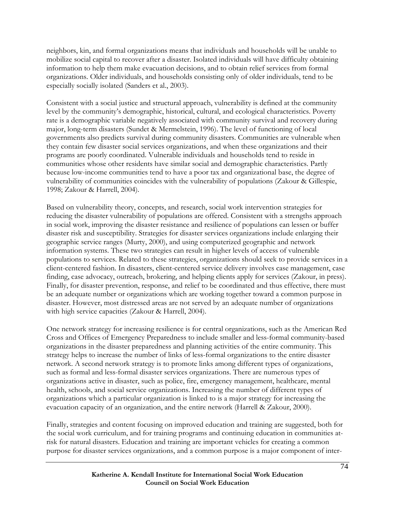neighbors, kin, and formal organizations means that individuals and households will be unable to mobilize social capital to recover after a disaster. Isolated individuals will have difficulty obtaining information to help them make evacuation decisions, and to obtain relief services from formal organizations. Older individuals, and households consisting only of older individuals, tend to be especially socially isolated (Sanders et al., 2003).

Consistent with a social justice and structural approach, vulnerability is defined at the community level by the community's demographic, historical, cultural, and ecological characteristics. Poverty rate is a demographic variable negatively associated with community survival and recovery during major, long-term disasters (Sundet & Mermelstein, 1996). The level of functioning of local governments also predicts survival during community disasters. Communities are vulnerable when they contain few disaster social services organizations, and when these organizations and their programs are poorly coordinated. Vulnerable individuals and households tend to reside in communities whose other residents have similar social and demographic characteristics. Partly because low-income communities tend to have a poor tax and organizational base, the degree of vulnerability of communities coincides with the vulnerability of populations (Zakour & Gillespie, 1998; Zakour & Harrell, 2004).

Based on vulnerability theory, concepts, and research, social work intervention strategies for reducing the disaster vulnerability of populations are offered. Consistent with a strengths approach in social work, improving the disaster resistance and resilience of populations can lessen or buffer disaster risk and susceptibility. Strategies for disaster services organizations include enlarging their geographic service ranges (Murty, 2000), and using computerized geographic and network information systems. These two strategies can result in higher levels of access of vulnerable populations to services. Related to these strategies, organizations should seek to provide services in a client-centered fashion. In disasters, client-centered service delivery involves case management, case finding, case advocacy, outreach, brokering, and helping clients apply for services (Zakour, in press). Finally, for disaster prevention, response, and relief to be coordinated and thus effective, there must be an adequate number or organizations which are working together toward a common purpose in disaster. However, most distressed areas are not served by an adequate number of organizations with high service capacities (Zakour & Harrell, 2004).

One network strategy for increasing resilience is for central organizations, such as the American Red Cross and Offices of Emergency Preparedness to include smaller and less-formal community-based organizations in the disaster preparedness and planning activities of the entire community. This strategy helps to increase the number of links of less-formal organizations to the entire disaster network. A second network strategy is to promote links among different types of organizations, such as formal and less-formal disaster services organizations. There are numerous types of organizations active in disaster, such as police, fire, emergency management, healthcare, mental health, schools, and social service organizations. Increasing the number of different types of organizations which a particular organization is linked to is a major strategy for increasing the evacuation capacity of an organization, and the entire network (Harrell & Zakour, 2000).

Finally, strategies and content focusing on improved education and training are suggested, both for the social work curriculum, and for training programs and continuing education in communities atrisk for natural disasters. Education and training are important vehicles for creating a common purpose for disaster services organizations, and a common purpose is a major component of inter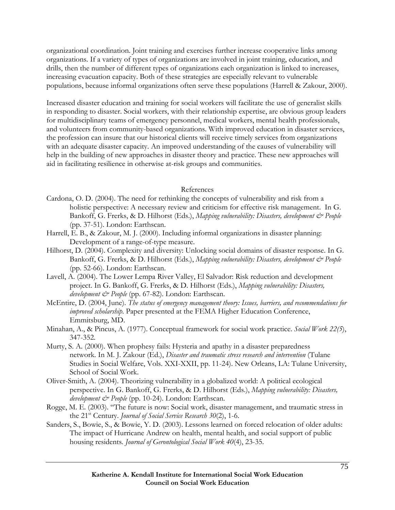organizational coordination. Joint training and exercises further increase cooperative links among organizations. If a variety of types of organizations are involved in joint training, education, and drills, then the number of different types of organizations each organization is linked to increases, increasing evacuation capacity. Both of these strategies are especially relevant to vulnerable populations, because informal organizations often serve these populations (Harrell & Zakour, 2000).

Increased disaster education and training for social workers will facilitate the use of generalist skills in responding to disaster. Social workers, with their relationship expertise, are obvious group leaders for multidisciplinary teams of emergency personnel, medical workers, mental health professionals, and volunteers from community-based organizations. With improved education in disaster services, the profession can insure that our historical clients will receive timely services from organizations with an adequate disaster capacity. An improved understanding of the causes of vulnerability will help in the building of new approaches in disaster theory and practice. These new approaches will aid in facilitating resilience in otherwise at-risk groups and communities.

#### References

- Cardona, O. D. (2004). The need for rethinking the concepts of vulnerability and risk from a holistic perspective: A necessary review and criticism for effective risk management. In G. Bankoff, G. Frerks, & D. Hilhorst (Eds.), *Mapping vulnerability: Disasters, development & People* (pp. 37-51). London: Earthscan.
- Harrell, E. B., & Zakour, M. J. (2000). Including informal organizations in disaster planning: Development of a range-of-type measure.
- Hilhorst, D. (2004). Complexity and diversity: Unlocking social domains of disaster response. In G. Bankoff, G. Frerks, & D. Hilhorst (Eds.), *Mapping vulnerability: Disasters, development & People* (pp. 52-66). London: Earthscan.
- Lavell, A. (2004). The Lower Lempa River Valley, El Salvador: Risk reduction and development project. In G. Bankoff, G. Frerks, & D. Hilhorst (Eds.), *Mapping vulnerability: Disasters, development & People* (pp. 67-82). London: Earthscan.
- McEntire, D. (2004, June). *The status of emergency management theory: Issues, barriers, and recommendations for improved scholarship*. Paper presented at the FEMA Higher Education Conference, Emmitsburg, MD.
- Minahan, A., & Pincus, A. (1977). Conceptual framework for social work practice. *Social Work 22(5*), 347-352.
- Murty, S. A. (2000). When prophesy fails: Hysteria and apathy in a disaster preparedness network. In M. J. Zakour (Ed.), *Disaster and traumatic stress research and intervention* (Tulane Studies in Social Welfare, Vols. XXI-XXII, pp. 11-24). New Orleans, LA: Tulane University, School of Social Work.
- Oliver-Smith, A. (2004). Theorizing vulnerability in a globalized world: A political ecological perspective. In G. Bankoff, G. Frerks, & D. Hilhorst (Eds.), *Mapping vulnerability: Disasters, development & People* (pp. 10-24). London: Earthscan.
- Rogge, M. E. (2003). "The future is now: Social work, disaster management, and traumatic stress in the 21st Century. *Journal of Social Service Research 30*(2), 1-6.
- Sanders, S., Bowie, S., & Bowie, Y. D. (2003). Lessons learned on forced relocation of older adults: The impact of Hurricane Andrew on health, mental health, and social support of public housing residents*. Journal of Gerontological Social Work 40*(4), 23-35.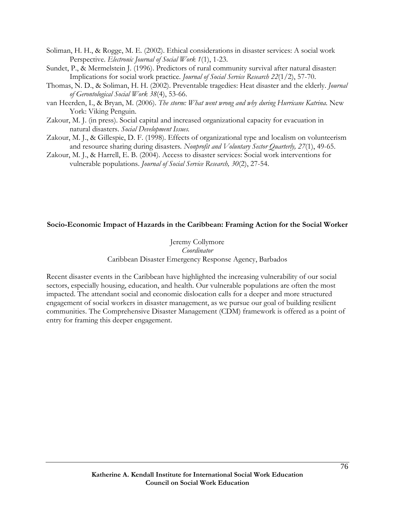- Soliman, H. H., & Rogge, M. E. (2002). Ethical considerations in disaster services: A social work Perspective. *Electronic Journal of Social Work 1*(1), 1-23.
- Sundet, P., & Mermelstein J. (1996). Predictors of rural community survival after natural disaster: Implications for social work practice. *Journal of Social Service Research 22*(1/2), 57-70.
- Thomas, N. D., & Soliman, H. H. (2002). Preventable tragedies: Heat disaster and the elderly. *Journal of Gerontological Social Work 38*(4), 53-66.
- van Heerden, I., & Bryan, M. (2006). *The storm: What went wrong and why during Hurricane Katrina.* New York: Viking Penguin.
- Zakour, M. J. (in press). Social capital and increased organizational capacity for evacuation in natural disasters. *Social Development Issues.*
- Zakour, M. J., & Gillespie, D. F. (1998). Effects of organizational type and localism on volunteerism and resource sharing during disasters*. Nonprofit and Voluntary Sector Quarterly, 27*(1), 49-65.
- Zakour, M. J., & Harrell, E. B. (2004). Access to disaster services: Social work interventions for vulnerable populations. *Journal of Social Service Research, 30*(2), 27-54.

#### **Socio-Economic Impact of Hazards in the Caribbean: Framing Action for the Social Worker**

Jeremy Collymore *Coordinator*  Caribbean Disaster Emergency Response Agency, Barbados

Recent disaster events in the Caribbean have highlighted the increasing vulnerability of our social sectors, especially housing, education, and health. Our vulnerable populations are often the most impacted. The attendant social and economic dislocation calls for a deeper and more structured engagement of social workers in disaster management, as we pursue our goal of building resilient communities. The Comprehensive Disaster Management (CDM) framework is offered as a point of entry for framing this deeper engagement.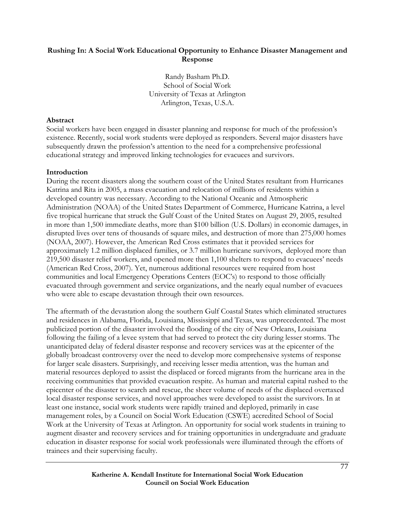### **Rushing In: A Social Work Educational Opportunity to Enhance Disaster Management and Response**

Randy Basham Ph.D. School of Social Work University of Texas at Arlington Arlington, Texas, U.S.A.

#### **Abstract**

Social workers have been engaged in disaster planning and response for much of the profession's existence. Recently, social work students were deployed as responders. Several major disasters have subsequently drawn the profession's attention to the need for a comprehensive professional educational strategy and improved linking technologies for evacuees and survivors.

#### **Introduction**

During the recent disasters along the southern coast of the United States resultant from Hurricanes Katrina and Rita in 2005, a mass evacuation and relocation of millions of residents within a developed country was necessary. According to the National Oceanic and Atmospheric Administration (NOAA) of the United States Department of Commerce, Hurricane Katrina, a level five tropical hurricane that struck the Gulf Coast of the United States on August 29, 2005, resulted in more than 1,500 immediate deaths, more than \$100 billion (U.S. Dollars) in economic damages, in disrupted lives over tens of thousands of square miles, and destruction of more than 275,000 homes (NOAA, 2007). However, the American Red Cross estimates that it provided services for approximately 1.2 million displaced families, or 3.7 million hurricane survivors, deployed more than 219,500 disaster relief workers, and opened more then 1,100 shelters to respond to evacuees' needs (American Red Cross, 2007). Yet, numerous additional resources were required from host communities and local Emergency Operations Centers (EOC's) to respond to those officially evacuated through government and service organizations, and the nearly equal number of evacuees who were able to escape devastation through their own resources.

The aftermath of the devastation along the southern Gulf Coastal States which eliminated structures and residences in Alabama, Florida, Louisiana, Mississippi and Texas, was unprecedented. The most publicized portion of the disaster involved the flooding of the city of New Orleans, Louisiana following the failing of a levee system that had served to protect the city during lesser storms. The unanticipated delay of federal disaster response and recovery services was at the epicenter of the globally broadcast controversy over the need to develop more comprehensive systems of response for larger scale disasters. Surprisingly, and receiving lesser media attention, was the human and material resources deployed to assist the displaced or forced migrants from the hurricane area in the receiving communities that provided evacuation respite. As human and material capital rushed to the epicenter of the disaster to search and rescue, the sheer volume of needs of the displaced overtaxed local disaster response services, and novel approaches were developed to assist the survivors. In at least one instance, social work students were rapidly trained and deployed, primarily in case management roles, by a Council on Social Work Education (CSWE) accredited School of Social Work at the University of Texas at Arlington. An opportunity for social work students in training to augment disaster and recovery services and for training opportunities in undergraduate and graduate education in disaster response for social work professionals were illuminated through the efforts of trainees and their supervising faculty.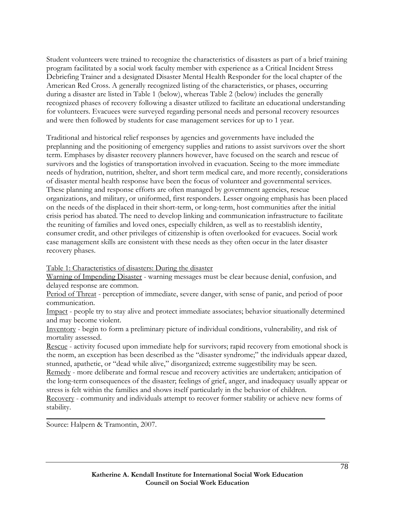Student volunteers were trained to recognize the characteristics of disasters as part of a brief training program facilitated by a social work faculty member with experience as a Critical Incident Stress Debriefing Trainer and a designated Disaster Mental Health Responder for the local chapter of the American Red Cross. A generally recognized listing of the characteristics, or phases, occurring during a disaster are listed in Table 1 (below), whereas Table 2 (below) includes the generally recognized phases of recovery following a disaster utilized to facilitate an educational understanding for volunteers. Evacuees were surveyed regarding personal needs and personal recovery resources and were then followed by students for case management services for up to 1 year.

Traditional and historical relief responses by agencies and governments have included the preplanning and the positioning of emergency supplies and rations to assist survivors over the short term. Emphases by disaster recovery planners however, have focused on the search and rescue of survivors and the logistics of transportation involved in evacuation. Seeing to the more immediate needs of hydration, nutrition, shelter, and short term medical care, and more recently, considerations of disaster mental health response have been the focus of volunteer and governmental services. These planning and response efforts are often managed by government agencies, rescue organizations, and military, or uniformed, first responders. Lesser ongoing emphasis has been placed on the needs of the displaced in their short-term, or long-term, host communities after the initial crisis period has abated. The need to develop linking and communication infrastructure to facilitate the reuniting of families and loved ones, especially children, as well as to reestablish identity, consumer credit, and other privileges of citizenship is often overlooked for evacuees. Social work case management skills are consistent with these needs as they often occur in the later disaster recovery phases.

Table 1: Characteristics of disasters: During the disaster

Warning of Impending Disaster - warning messages must be clear because denial, confusion, and delayed response are common.

Period of Threat - perception of immediate, severe danger, with sense of panic, and period of poor communication.

Impact - people try to stay alive and protect immediate associates; behavior situationally determined and may become violent.

Inventory - begin to form a preliminary picture of individual conditions, vulnerability, and risk of mortality assessed.

Rescue - activity focused upon immediate help for survivors; rapid recovery from emotional shock is the norm, an exception has been described as the "disaster syndrome;" the individuals appear dazed, stunned, apathetic, or "dead while alive," disorganized; extreme suggestibility may be seen.

Remedy - more deliberate and formal rescue and recovery activities are undertaken; anticipation of the long-term consequences of the disaster; feelings of grief, anger, and inadequacy usually appear or stress is felt within the families and shows itself particularly in the behavior of children.

Recovery - community and individuals attempt to recover former stability or achieve new forms of stability.

**\_\_\_\_\_\_\_\_\_\_\_\_\_\_\_\_\_\_\_\_\_\_\_\_\_\_\_\_\_\_\_\_\_\_\_\_\_\_\_\_\_\_\_\_\_\_\_\_\_\_\_\_\_\_\_\_\_\_\_\_\_\_\_\_\_\_\_\_\_\_\_\_**

Source: Halpern & Tramontin, 2007.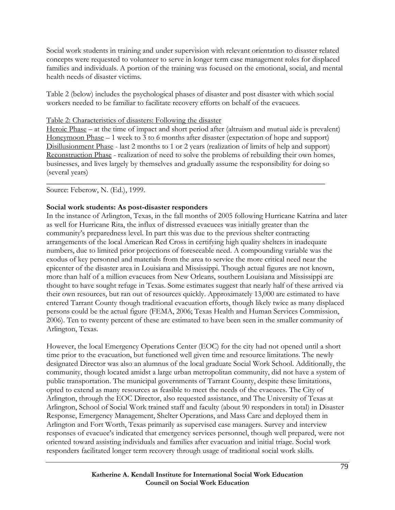Social work students in training and under supervision with relevant orientation to disaster related concepts were requested to volunteer to serve in longer term case management roles for displaced families and individuals. A portion of the training was focused on the emotional, social, and mental health needs of disaster victims.

Table 2 (below) includes the psychological phases of disaster and post disaster with which social workers needed to be familiar to facilitate recovery efforts on behalf of the evacuees.

#### Table 2: Characteristics of disasters: Following the disaster

Heroic Phase – at the time of impact and short period after (altruism and mutual aide is prevalent) Honeymoon Phase – 1 week to 3 to 6 months after disaster (expectation of hope and support) Disillusionment Phase - last 2 months to 1 or 2 years (realization of limits of help and support) Reconstruction Phase - realization of need to solve the problems of rebuilding their own homes, businesses, and lives largely by themselves and gradually assume the responsibility for doing so (several years)

**\_\_\_\_\_\_\_\_\_\_\_\_\_\_\_\_\_\_\_\_\_\_\_\_\_\_\_\_\_\_\_\_\_\_\_\_\_\_\_\_\_\_\_\_\_\_\_\_\_\_\_\_\_\_\_\_\_\_\_\_\_\_\_\_\_\_\_\_\_\_\_\_**

Source: Feberow, N. (Ed.), 1999.

### **Social work students: As post-disaster responders**

In the instance of Arlington, Texas, in the fall months of 2005 following Hurricane Katrina and later as well for Hurricane Rita, the influx of distressed evacuees was initially greater than the community's preparedness level. In part this was due to the previous shelter contracting arrangements of the local American Red Cross in certifying high quality shelters in inadequate numbers, due to limited prior projections of foreseeable need. A compounding variable was the exodus of key personnel and materials from the area to service the more critical need near the epicenter of the disaster area in Louisiana and Mississippi. Though actual figures are not known, more than half of a million evacuees from New Orleans, southern Louisiana and Mississippi are thought to have sought refuge in Texas. Some estimates suggest that nearly half of these arrived via their own resources, but ran out of resources quickly. Approximately 13,000 are estimated to have entered Tarrant County though traditional evacuation efforts, though likely twice as many displaced persons could be the actual figure (FEMA, 2006; Texas Health and Human Services Commission, 2006). Ten to twenty percent of these are estimated to have been seen in the smaller community of Arlington, Texas.

However, the local Emergency Operations Center (EOC) for the city had not opened until a short time prior to the evacuation, but functioned well given time and resource limitations. The newly designated Director was also an alumnus of the local graduate Social Work School. Additionally, the community, though located amidst a large urban metropolitan community, did not have a system of public transportation. The municipal governments of Tarrant County, despite these limitations, opted to extend as many resources as feasible to meet the needs of the evacuees. The City of Arlington, through the EOC Director, also requested assistance, and The University of Texas at Arlington, School of Social Work trained staff and faculty (about 90 responders in total) in Disaster Response, Emergency Management, Shelter Operations, and Mass Care and deployed them in Arlington and Fort Worth, Texas primarily as supervised case managers. Survey and interview responses of evacuee's indicated that emergency services personnel, though well prepared, were not oriented toward assisting individuals and families after evacuation and initial triage. Social work responders facilitated longer term recovery through usage of traditional social work skills.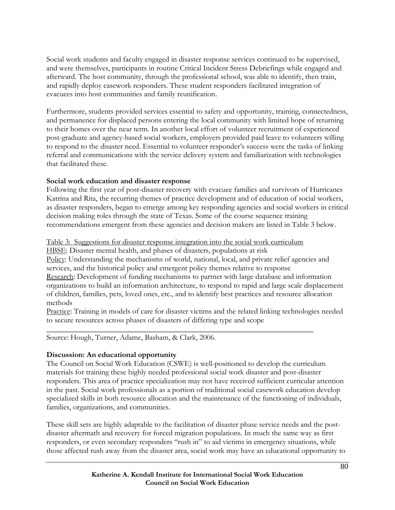Social work students and faculty engaged in disaster response services continued to be supervised, and were themselves, participants in routine Critical Incident Stress Debriefings while engaged and afterward. The host community, through the professional school, was able to identify, then train, and rapidly deploy casework responders. These student responders facilitated integration of evacuees into host communities and family reunification.

Furthermore, students provided services essential to safety and opportunity, training, connectedness, and permanence for displaced persons entering the local community with limited hope of returning to their homes over the near term. In another local effort of volunteer recruitment of experienced post-graduate and agency-based social workers, employers provided paid leave to volunteers willing to respond to the disaster need. Essential to volunteer responder's success were the tasks of linking referral and communications with the service delivery system and familiarization with technologies that facilitated these.

### **Social work education and disaster response**

Following the first year of post-disaster recovery with evacuee families and survivors of Hurricanes Katrina and Rita, the recurring themes of practice development and of education of social workers, as disaster responders, began to emerge among key responding agencies and social workers in critical decision making roles through the state of Texas. Some of the course sequence training recommendations emergent from these agencies and decision makers are listed in Table 3 below.

### Table 3: Suggestions for disaster response integration into the social work curriculum

HBSE: Disaster mental health, and phases of disasters, populations at risk Policy: Understanding the mechanisms of world, national, local, and private relief agencies and services, and the historical policy and emergent policy themes relative to response Research: Development of funding mechanisms to partner with large database and information organizations to build an information architecture, to respond to rapid and large scale displacement of children, families, pets, loved ones, etc., and to identify best practices and resource allocation methods

Practice: Training in models of care for disaster victims and the related linking technologies needed to secure resources across phases of disasters of differing type and scope

**\_\_\_\_\_\_\_\_\_\_\_\_\_\_\_\_\_\_\_\_\_\_\_\_\_\_\_\_\_\_\_\_\_\_\_\_\_\_\_\_\_\_\_\_\_\_\_\_\_\_\_\_\_\_\_\_\_\_\_\_\_\_\_\_\_\_\_\_\_**

Source: Hough, Turner, Adame, Basham, & Clark, 2006.

### **Discussion: An educational opportunity**

The Council on Social Work Education (CSWE) is well-positioned to develop the curriculum materials for training these highly needed professional social work disaster and post-disaster responders. This area of practice specialization may not have received sufficient curricular attention in the past. Social work professionals as a portion of traditional social casework education develop specialized skills in both resource allocation and the maintenance of the functioning of individuals, families, organizations, and communities.

These skill sets are highly adaptable to the facilitation of disaster phase service needs and the postdisaster aftermath and recovery for forced migration populations. In much the same way as first responders, or even secondary responders "rush in" to aid victims in emergency situations, while those affected rush away from the disaster area, social work may have an educational opportunity to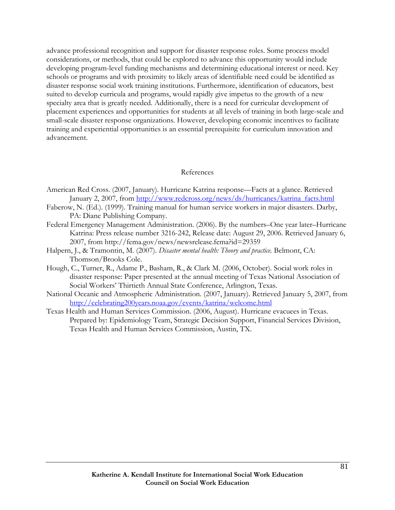advance professional recognition and support for disaster response roles. Some process model considerations, or methods, that could be explored to advance this opportunity would include developing program-level funding mechanisms and determining educational interest or need. Key schools or programs and with proximity to likely areas of identifiable need could be identified as disaster response social work training institutions. Furthermore, identification of educators, best suited to develop curricula and programs, would rapidly give impetus to the growth of a new specialty area that is greatly needed. Additionally, there is a need for curricular development of placement experiences and opportunities for students at all levels of training in both large-scale and small-scale disaster response organizations. However, developing economic incentives to facilitate training and experiential opportunities is an essential prerequisite for curriculum innovation and advancement.

#### References

- American Red Cross. (2007, January). Hurricane Katrina response—Facts at a glance. Retrieved January 2, 2007, from [http://www.redcross.org/news/ds/hurricanes/katrina\\_facts.html](http://www.redcross.org/news/ds/hurricanes/katrina_facts.html)
- Faberow, N. (Ed.). (1999). Training manual for human service workers in major disasters. Darby, PA: Diane Publishing Company.
- Federal Emergency Management Administration. (2006). By the numbers–One year later–Hurricane Katrina: Press release number 3216-242, Release date: August 29, 2006. Retrieved January 6, 2007, from http://fema.gov/news/newsrelease.fema?id=29359
- Halpern, J., & Tramontin, M. (2007). *Disaster mental health: Theory and practice.* Belmont, CA: Thomson/Brooks Cole.
- Hough, C., Turner, R., Adame P., Basham, R., & Clark M. (2006, October). Social work roles in disaster response: Paper presented at the annual meeting of Texas National Association of Social Workers' Thirtieth Annual State Conference, Arlington, Texas.
- National Oceanic and Atmospheric Administration. (2007, January). Retrieved January 5, 2007, from <http://celebrating200years.noaa.gov/events/katrina/welcome.html>
- Texas Health and Human Services Commission. (2006, August). Hurricane evacuees in Texas. Prepared by: Epidemiology Team, Strategic Decision Support, Financial Services Division, Texas Health and Human Services Commission, Austin, TX.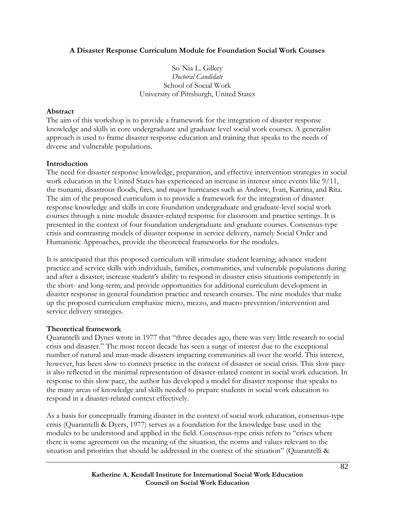### **A Disaster Response Curriculum Module for Foundation Social Work Courses**

So`Nia L. Gilkey *Doctoral Candidate*  School of Social Work University of Pittsburgh, United States

### **Abstract**

The aim of this workshop is to provide a framework for the integration of disaster response knowledge and skills in core undergraduate and graduate level social work courses. A generalist approach is used to frame disaster response education and training that speaks to the needs of diverse and vulnerable populations.

### **Introduction**

The need for disaster response knowledge, preparation, and effective intervention strategies in social work education in the United States has experienced an increase in interest since events like 9/11, the tsunami, disastrous floods, fires, and major hurricanes such as Andrew, Ivan, Katrina, and Rita. The aim of the proposed curriculum is to provide a framework for the integration of disaster response knowledge and skills in core foundation undergraduate and graduate-level social work courses through a nine module disaster-related response for classroom and practice settings. It is presented in the context of four foundation undergraduate and graduate courses. Consensus-type crisis and contrasting models of disaster response in service delivery, namely Social Order and Humanistic Approaches, provide the theoretical frameworks for the modules.

It is anticipated that this proposed curriculum will stimulate student learning; advance student practice and service skills with individuals, families, communities, and vulnerable populations during and after a disaster; increase student's ability to respond in disaster crisis situations competently in the short- and long-term; and provide opportunities for additional curriculum development in disaster response in general foundation practice and research courses. The nine modules that make up the proposed curriculum emphasize micro, mezzo, and macro prevention/intervention and service delivery strategies.

## **Theoretical framework**

Quarantelli and Dynes wrote in 1977 that "three decades ago, there was very little research to social crisis and disaster." The most recent decade has seen a surge of interest due to the exceptional number of natural and man-made disasters impacting communities all over the world. This interest, however, has been slow to connect practice in the context of disaster or social crisis. This slow pace is also reflected in the minimal representation of disaster-related content in social work education. In response to this slow pace, the author has developed a model for disaster response that speaks to the many areas of knowledge and skills needed to prepare students in social work education to respond in a disaster-related context effectively.

As a basis for conceptually framing disaster in the context of social work education, consensus-type crisis (Quarantelli & Dyers, 1977) serves as a foundation for the knowledge base used in the modules to be understood and applied in the field. Consensus-type crisis refers to "crises where there is some agreement on the meaning of the situation, the norms and values relevant to the situation and priorities that should be addressed in the context of the situation" (Quarantelli &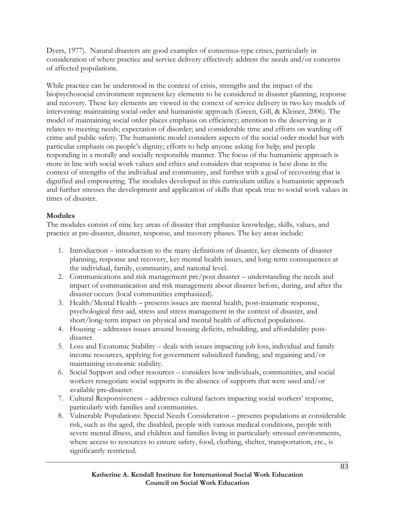Dyers, 1977). Natural disasters are good examples of consensus-type crises, particularly in consideration of where practice and service delivery effectively address the needs and/or concerns of affected populations.

While practice can be understood in the context of crisis, strengths and the impact of the biopsychosocial environment represent key elements to be considered in disaster planning, response and recovery. These key elements are viewed in the context of service delivery in two key models of intervening: maintaining social order and humanistic approach (Green, Gill, & Kleiner, 2006). The model of maintaining social order places emphasis on efficiency; attention to the deserving as it relates to meeting needs; expectation of disorder; and considerable time and efforts on warding off crime and public safety. The humanistic model considers aspects of the social order model but with particular emphasis on people's dignity; efforts to help anyone asking for help; and people responding in a morally and socially responsible manner. The focus of the humanistic approach is more in line with social work values and ethics and considers that response is best done in the context of strengths of the individual and community, and further with a goal of recovering that is dignified and empowering. The modules developed in this curriculum utilize a humanistic approach and further stresses the development and application of skills that speak true to social work values in times of disaster.

# **Modules**

The modules consist of nine key areas of disaster that emphasize knowledge, skills, values, and practice at pre-disaster, disaster, response, and recovery phases. The key areas include:

- 1. Introduction introduction to the many definitions of disaster, key elements of disaster planning, response and recovery, key mental health issues, and long-term consequences at the individual, family, community, and national level.
- 2. Communications and risk management pre/post disaster understanding the needs and impact of communication and risk management about disaster before, during, and after the disaster occurs (local communities emphasized).
- 3. Health/Mental Health presents issues are mental health, post-traumatic response, psychological first-aid, stress and stress management in the context of disaster, and short/long-term impact on physical and mental health of affected populations.
- 4. Housing addresses issues around housing deficits, rebuilding, and affordability postdisaster.
- 5. Loss and Economic Stability deals with issues impacting job loss, individual and family income resources, applying for government subsidized funding, and regaining and/or maintaining economic stability.
- 6. Social Support and other resources considers how individuals, communities, and social workers renegotiate social supports in the absence of supports that were used and/or available pre-disaster.
- 7. Cultural Responsiveness addresses cultural factors impacting social workers' response, particularly with families and communities.
- 8. Vulnerable Populations: Special Needs Consideration presents populations at considerable risk, such as the aged, the disabled, people with various medical conditions, people with severe mental illness, and children and families living in particularly stressed environments, where access to resources to ensure safety, food, clothing, shelter, transportation, etc., is significantly restricted.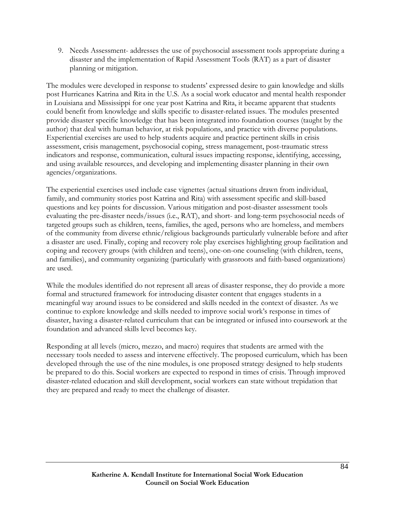9. Needs Assessment- addresses the use of psychosocial assessment tools appropriate during a disaster and the implementation of Rapid Assessment Tools (RAT) as a part of disaster planning or mitigation.

The modules were developed in response to students' expressed desire to gain knowledge and skills post Hurricanes Katrina and Rita in the U.S. As a social work educator and mental health responder in Louisiana and Mississippi for one year post Katrina and Rita, it became apparent that students could benefit from knowledge and skills specific to disaster-related issues. The modules presented provide disaster specific knowledge that has been integrated into foundation courses (taught by the author) that deal with human behavior, at risk populations, and practice with diverse populations. Experiential exercises are used to help students acquire and practice pertinent skills in crisis assessment, crisis management, psychosocial coping, stress management, post-traumatic stress indicators and response, communication, cultural issues impacting response, identifying, accessing, and using available resources, and developing and implementing disaster planning in their own agencies/organizations.

The experiential exercises used include case vignettes (actual situations drawn from individual, family, and community stories post Katrina and Rita) with assessment specific and skill-based questions and key points for discussion. Various mitigation and post-disaster assessment tools evaluating the pre-disaster needs/issues (i.e., RAT), and short- and long-term psychosocial needs of targeted groups such as children, teens, families, the aged, persons who are homeless, and members of the community from diverse ethnic/religious backgrounds particularly vulnerable before and after a disaster are used. Finally, coping and recovery role play exercises highlighting group facilitation and coping and recovery groups (with children and teens), one-on-one counseling (with children, teens, and families), and community organizing (particularly with grassroots and faith-based organizations) are used.

While the modules identified do not represent all areas of disaster response, they do provide a more formal and structured framework for introducing disaster content that engages students in a meaningful way around issues to be considered and skills needed in the context of disaster. As we continue to explore knowledge and skills needed to improve social work's response in times of disaster, having a disaster-related curriculum that can be integrated or infused into coursework at the foundation and advanced skills level becomes key.

Responding at all levels (micro, mezzo, and macro) requires that students are armed with the necessary tools needed to assess and intervene effectively. The proposed curriculum, which has been developed through the use of the nine modules, is one proposed strategy designed to help students be prepared to do this. Social workers are expected to respond in times of crisis. Through improved disaster-related education and skill development, social workers can state without trepidation that they are prepared and ready to meet the challenge of disaster.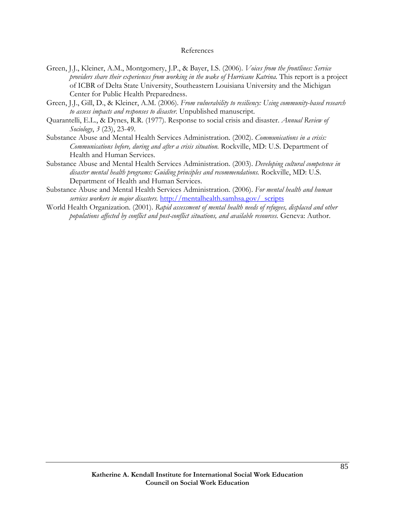#### References

- Green, J.J., Kleiner, A.M., Montgomery, J.P., & Bayer, I.S. (2006). *Voices from the frontlines: Service providers share their experiences from working in the wake of Hurricane Katrina.* This report is a project of ICBR of Delta State University, Southeastern Louisiana University and the Michigan Center for Public Health Preparedness.
- Green, J.J., Gill, D., & Kleiner, A.M. (2006). *From vulnerability to resiliency: Using community-based research to assess impacts and responses to disaster.* Unpublished manuscript.
- Quarantelli, E.L., & Dynes, R.R. (1977). Response to social crisis and disaster. *Annual Review of Sociology*, *3* (23), 23-49.
- Substance Abuse and Mental Health Services Administration. (2002). *Communications in a crisis: Communications before, during and after a crisis situation.* Rockville, MD: U.S. Department of Health and Human Services.
- Substance Abuse and Mental Health Services Administration. (2003). *Developing cultural competence in disaster mental health programs: Guiding principles and recommendations.* Rockville, MD: U.S. Department of Health and Human Services.
- Substance Abuse and Mental Health Services Administration. (2006). *For mental health and human services workers in major disasters.* [http://mentalhealth.samhsa.gov/\\_scripts](http://mentalhealth.samhsa.gov/_scripts)
- World Health Organization. (2001). *Rapid assessment of mental health needs of refugees, displaced and other populations affected by conflict and post-conflict situations, and available resources.* Geneva: Author.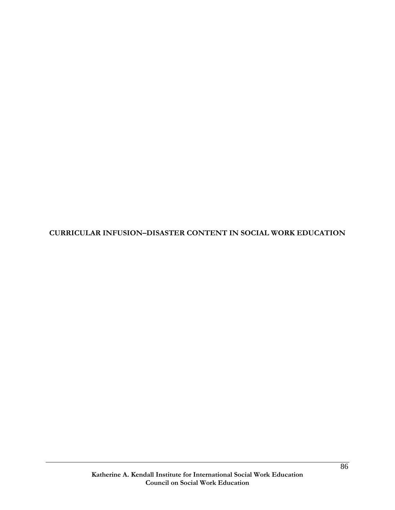**CURRICULAR INFUSION–DISASTER CONTENT IN SOCIAL WORK EDUCATION**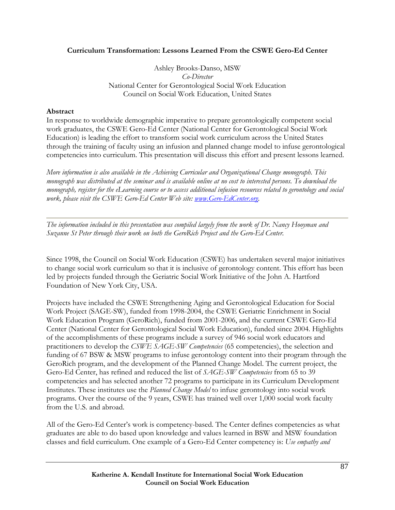### **Curriculum Transformation: Lessons Learned From the CSWE Gero-Ed Center**

Ashley Brooks-Danso, MSW *Co-Director*  National Center for Gerontological Social Work Education Council on Social Work Education, United States

### **Abstract**

In response to worldwide demographic imperative to prepare gerontologically competent social work graduates, the CSWE Gero-Ed Center (National Center for Gerontological Social Work Education) is leading the effort to transform social work curriculum across the United States through the training of faculty using an infusion and planned change model to infuse gerontological competencies into curriculum. This presentation will discuss this effort and present lessons learned.

*More information is also available in the Achieving Curricular and Organizational Change monograph. This monograph was distributed at the seminar and is available online at no cost to interested persons. To download the monograph, register for the eLearning course or to access additional infusion resources related to gerontology and social work, please visit the CSWE Gero-Ed Center Web site: [www.Gero-EdCenter.org](http://www.gero-edcenter.org/).* 

*The information included in this presentation was compiled largely from the work of Dr. Nancy Hooyman and Suzanne St Peter through their work on both the GeroRich Project and the Gero-Ed Center.* 

Since 1998, the Council on Social Work Education (CSWE) has undertaken several major initiatives to change social work curriculum so that it is inclusive of gerontology content. This effort has been led by projects funded through the Geriatric Social Work Initiative of the John A. Hartford Foundation of New York City, USA.

Projects have included the CSWE Strengthening Aging and Gerontological Education for Social Work Project (SAGE-SW), funded from 1998-2004, the CSWE Geriatric Enrichment in Social Work Education Program (GeroRich), funded from 2001-2006, and the current CSWE Gero-Ed Center (National Center for Gerontological Social Work Education), funded since 2004. Highlights of the accomplishments of these programs include a survey of 946 social work educators and practitioners to develop the *CSWE SAGE-SW Competencies* (65 competencies), the selection and funding of 67 BSW & MSW programs to infuse gerontology content into their program through the GeroRich program, and the development of the Planned Change Model. The current project, the Gero-Ed Center, has refined and reduced the list of *SAGE-SW Competencies* from 65 to 39 competencies and has selected another 72 programs to participate in its Curriculum Development Institutes. These institutes use the *Planned Change Model* to infuse gerontology into social work programs. Over the course of the 9 years, CSWE has trained well over 1,000 social work faculty from the U.S. and abroad.

All of the Gero-Ed Center's work is competency-based. The Center defines competencies as what graduates are able to do based upon knowledge and values learned in BSW and MSW foundation classes and field curriculum. One example of a Gero-Ed Center competency is: *Use empathy and*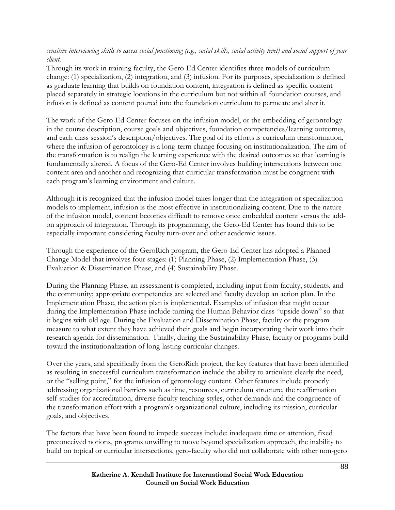*sensitive interviewing skills to assess social functioning (e.g., social skills, social activity level) and social support of your client.* 

Through its work in training faculty, the Gero-Ed Center identifies three models of curriculum change: (1) specialization, (2) integration, and (3) infusion. For its purposes, specialization is defined as graduate learning that builds on foundation content, integration is defined as specific content placed separately in strategic locations in the curriculum but not within all foundation courses, and infusion is defined as content poured into the foundation curriculum to permeate and alter it.

The work of the Gero-Ed Center focuses on the infusion model, or the embedding of gerontology in the course description, course goals and objectives, foundation competencies/learning outcomes, and each class session's description/objectives. The goal of its efforts is curriculum transformation, where the infusion of gerontology is a long-term change focusing on institutionalization. The aim of the transformation is to realign the learning experience with the desired outcomes so that learning is fundamentally altered. A focus of the Gero-Ed Center involves building intersections between one content area and another and recognizing that curricular transformation must be congruent with each program's learning environment and culture.

Although it is recognized that the infusion model takes longer than the integration or specialization models to implement, infusion is the most effective in institutionalizing content. Due to the nature of the infusion model, content becomes difficult to remove once embedded content versus the addon approach of integration. Through its programming, the Gero-Ed Center has found this to be especially important considering faculty turn-over and other academic issues.

Through the experience of the GeroRich program, the Gero-Ed Center has adopted a Planned Change Model that involves four stages: (1) Planning Phase, (2) Implementation Phase, (3) Evaluation & Dissemination Phase, and (4) Sustainability Phase.

During the Planning Phase, an assessment is completed, including input from faculty, students, and the community; appropriate competencies are selected and faculty develop an action plan. In the Implementation Phase, the action plan is implemented. Examples of infusion that might occur during the Implementation Phase include turning the Human Behavior class "upside down" so that it begins with old age. During the Evaluation and Dissemination Phase, faculty or the program measure to what extent they have achieved their goals and begin incorporating their work into their research agenda for dissemination. Finally, during the Sustainability Phase, faculty or programs build toward the institutionalization of long-lasting curricular changes.

Over the years, and specifically from the GeroRich project, the key features that have been identified as resulting in successful curriculum transformation include the ability to articulate clearly the need, or the "selling point," for the infusion of gerontology content. Other features include properly addressing organizational barriers such as time, resources, curriculum structure, the reaffirmation self-studies for accreditation, diverse faculty teaching styles, other demands and the congruence of the transformation effort with a program's organizational culture, including its mission, curricular goals, and objectives.

The factors that have been found to impede success include: inadequate time or attention, fixed preconceived notions, programs unwilling to move beyond specialization approach, the inability to build on topical or curricular intersections, gero-faculty who did not collaborate with other non-gero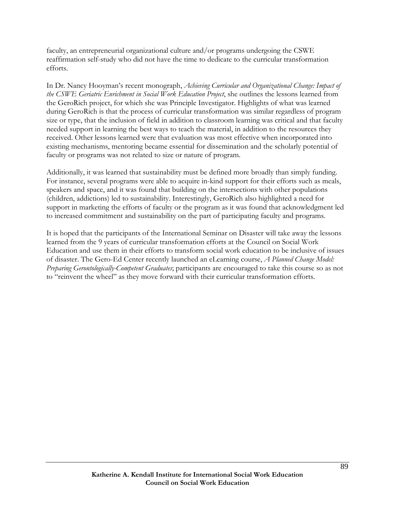faculty, an entrepreneurial organizational culture and/or programs undergoing the CSWE reaffirmation self-study who did not have the time to dedicate to the curricular transformation efforts.

In Dr. Nancy Hooyman's recent monograph, *Achieving Curricular and Organizational Change: Impact of the CSWE Geriatric Enrichment in Social Work Education Project*, she outlines the lessons learned from the GeroRich project, for which she was Principle Investigator. Highlights of what was learned during GeroRich is that the process of curricular transformation was similar regardless of program size or type, that the inclusion of field in addition to classroom learning was critical and that faculty needed support in learning the best ways to teach the material, in addition to the resources they received. Other lessons learned were that evaluation was most effective when incorporated into existing mechanisms, mentoring became essential for dissemination and the scholarly potential of faculty or programs was not related to size or nature of program.

Additionally, it was learned that sustainability must be defined more broadly than simply funding. For instance, several programs were able to acquire in-kind support for their efforts such as meals, speakers and space, and it was found that building on the intersections with other populations (children, addictions) led to sustainability. Interestingly, GeroRich also highlighted a need for support in marketing the efforts of faculty or the program as it was found that acknowledgment led to increased commitment and sustainability on the part of participating faculty and programs.

It is hoped that the participants of the International Seminar on Disaster will take away the lessons learned from the 9 years of curricular transformation efforts at the Council on Social Work Education and use them in their efforts to transform social work education to be inclusive of issues of disaster. The Gero-Ed Center recently launched an eLearning course, *A Planned Change Model: Preparing Gerontologically-Competent Graduates*; participants are encouraged to take this course so as not to "reinvent the wheel" as they move forward with their curricular transformation efforts.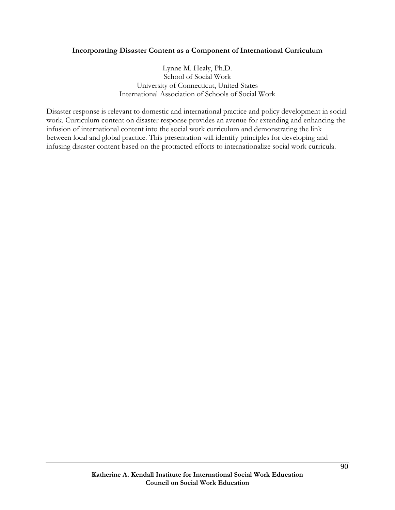#### **Incorporating Disaster Content as a Component of International Curriculum**

Lynne M. Healy, Ph.D. School of Social Work University of Connecticut, United States International Association of Schools of Social Work

Disaster response is relevant to domestic and international practice and policy development in social work. Curriculum content on disaster response provides an avenue for extending and enhancing the infusion of international content into the social work curriculum and demonstrating the link between local and global practice. This presentation will identify principles for developing and infusing disaster content based on the protracted efforts to internationalize social work curricula.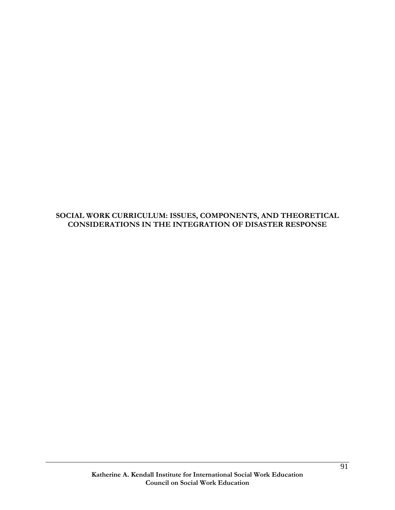**SOCIAL WORK CURRICULUM: ISSUES, COMPONENTS, AND THEORETICAL CONSIDERATIONS IN THE INTEGRATION OF DISASTER RESPONSE**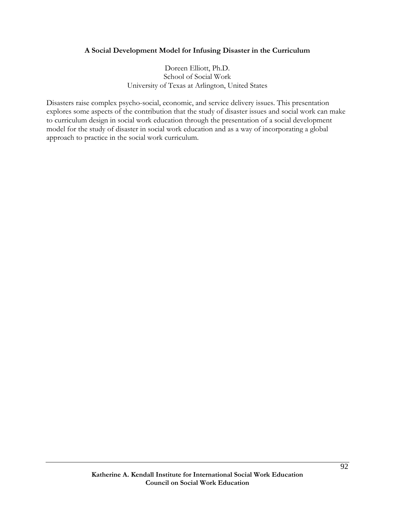### **A Social Development Model for Infusing Disaster in the Curriculum**

Doreen Elliott, Ph.D. School of Social Work University of Texas at Arlington, United States

Disasters raise complex psycho-social, economic, and service delivery issues. This presentation explores some aspects of the contribution that the study of disaster issues and social work can make to curriculum design in social work education through the presentation of a social development model for the study of disaster in social work education and as a way of incorporating a global approach to practice in the social work curriculum.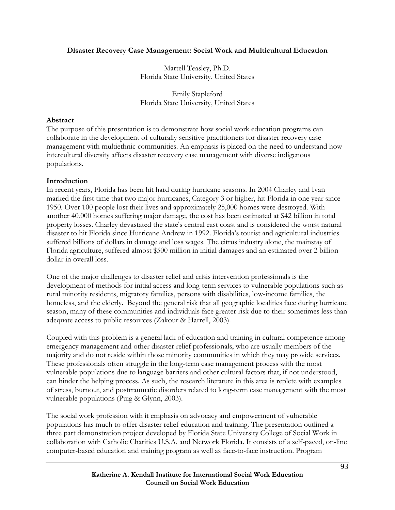### **Disaster Recovery Case Management: Social Work and Multicultural Education**

Martell Teasley, Ph.D. Florida State University, United States

Emily Stapleford Florida State University, United States

### **Abstract**

The purpose of this presentation is to demonstrate how social work education programs can collaborate in the development of culturally sensitive practitioners for disaster recovery case management with multiethnic communities. An emphasis is placed on the need to understand how intercultural diversity affects disaster recovery case management with diverse indigenous populations.

### **Introduction**

In recent years, Florida has been hit hard during hurricane seasons. In 2004 Charley and Ivan marked the first time that two major hurricanes, Category 3 or higher, hit Florida in one year since 1950. Over 100 people lost their lives and approximately 25,000 homes were destroyed. With another 40,000 homes suffering major damage, the cost has been estimated at \$42 billion in total property losses. Charley devastated the state's central east coast and is considered the worst natural disaster to hit Florida since Hurricane Andrew in 1992. Florida's tourist and agricultural industries suffered billions of dollars in damage and loss wages. The citrus industry alone, the mainstay of Florida agriculture, suffered almost \$500 million in initial damages and an estimated over 2 billion dollar in overall loss.

One of the major challenges to disaster relief and crisis intervention professionals is the development of methods for initial access and long-term services to vulnerable populations such as rural minority residents, migratory families, persons with disabilities, low-income families, the homeless, and the elderly. Beyond the general risk that all geographic localities face during hurricane season, many of these communities and individuals face greater risk due to their sometimes less than adequate access to public resources (Zakour & Harrell, 2003).

Coupled with this problem is a general lack of education and training in cultural competence among emergency management and other disaster relief professionals, who are usually members of the majority and do not reside within those minority communities in which they may provide services. These professionals often struggle in the long-term case management process with the most vulnerable populations due to language barriers and other cultural factors that, if not understood, can hinder the helping process. As such, the research literature in this area is replete with examples of stress, burnout, and posttraumatic disorders related to long-term case management with the most vulnerable populations (Puig & Glynn, 2003).

The social work profession with it emphasis on advocacy and empowerment of vulnerable populations has much to offer disaster relief education and training. The presentation outlined a three part demonstration project developed by Florida State University College of Social Work in collaboration with Catholic Charities U.S.A. and Network Florida. It consists of a self-paced, on-line computer-based education and training program as well as face-to-face instruction. Program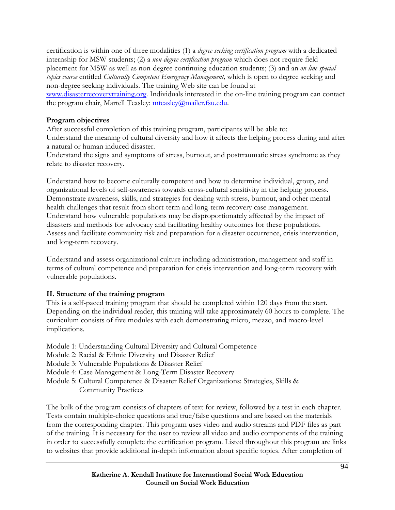certification is within one of three modalities (1) a *degree seeking certification program* with a dedicated internship for MSW students; (2) a *non-degree certification program* which does not require field placement for MSW as well as non-degree continuing education students; (3) and an *on-line special topics course* entitled *Culturally Competent Emergency Management,* which is open to degree seeking and non-degree seeking individuals. The training Web site can be found at [www.disasterrecoverytraining.org.](http://www.disasterrecoverytraining.org/) Individuals interested in the on-line training program can contact the program chair, Martell Teasley: [mteasley@mailer.fsu.edu](mailto:mteasley@mailer.fsu.edu).

### **Program objectives**

After successful completion of this training program, participants will be able to: Understand the meaning of cultural diversity and how it affects the helping process during and after a natural or human induced disaster.

Understand the signs and symptoms of stress, burnout, and posttraumatic stress syndrome as they relate to disaster recovery.

Understand how to become culturally competent and how to determine individual, group, and organizational levels of self-awareness towards cross-cultural sensitivity in the helping process. Demonstrate awareness, skills, and strategies for dealing with stress, burnout, and other mental health challenges that result from short-term and long-term recovery case management. Understand how vulnerable populations may be disproportionately affected by the impact of disasters and methods for advocacy and facilitating healthy outcomes for these populations. Assess and facilitate community risk and preparation for a disaster occurrence, crisis intervention, and long-term recovery.

Understand and assess organizational culture including administration, management and staff in terms of cultural competence and preparation for crisis intervention and long-term recovery with vulnerable populations.

### **II. Structure of the training program**

This is a self-paced training program that should be completed within 120 days from the start. Depending on the individual reader, this training will take approximately 60 hours to complete. The curriculum consists of five modules with each demonstrating micro, mezzo, and macro-level implications.

Module 1: Understanding Cultural Diversity and Cultural Competence

Module 2: Racial & Ethnic Diversity and Disaster Relief

Module 3: Vulnerable Populations & Disaster Relief

Module 4: Case Management & Long-Term Disaster Recovery

Module 5: Cultural Competence & Disaster Relief Organizations: Strategies, Skills & Community Practices

The bulk of the program consists of chapters of text for review, followed by a test in each chapter. Tests contain multiple-choice questions and true/false questions and are based on the materials from the corresponding chapter. This program uses video and audio streams and PDF files as part of the training. It is necessary for the user to review all video and audio components of the training in order to successfully complete the certification program. Listed throughout this program are links to websites that provide additional in-depth information about specific topics. After completion of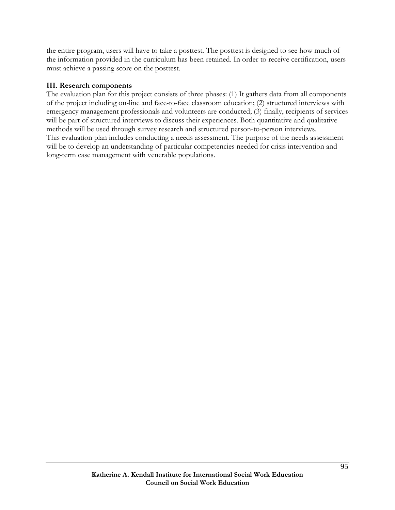the entire program, users will have to take a posttest. The posttest is designed to see how much of the information provided in the curriculum has been retained. In order to receive certification, users must achieve a passing score on the posttest.

### **III. Research components**

The evaluation plan for this project consists of three phases: (1) It gathers data from all components of the project including on-line and face-to-face classroom education; (2) structured interviews with emergency management professionals and volunteers are conducted; (3) finally, recipients of services will be part of structured interviews to discuss their experiences. Both quantitative and qualitative methods will be used through survey research and structured person-to-person interviews. This evaluation plan includes conducting a needs assessment. The purpose of the needs assessment will be to develop an understanding of particular competencies needed for crisis intervention and long-term case management with venerable populations.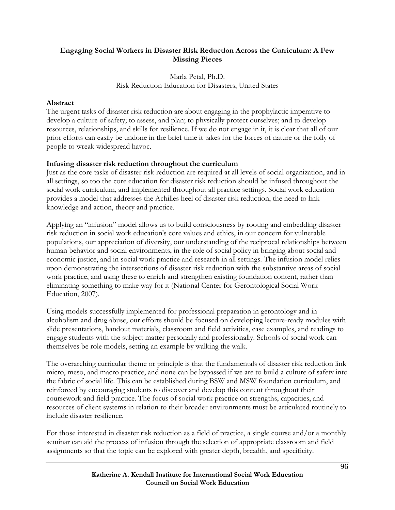# **Engaging Social Workers in Disaster Risk Reduction Across the Curriculum: A Few Missing Pieces**

Marla Petal, Ph.D. Risk Reduction Education for Disasters, United States

## **Abstract**

The urgent tasks of disaster risk reduction are about engaging in the prophylactic imperative to develop a culture of safety; to assess, and plan; to physically protect ourselves; and to develop resources, relationships, and skills for resilience. If we do not engage in it, it is clear that all of our prior efforts can easily be undone in the brief time it takes for the forces of nature or the folly of people to wreak widespread havoc.

## **Infusing disaster risk reduction throughout the curriculum**

Just as the core tasks of disaster risk reduction are required at all levels of social organization, and in all settings, so too the core education for disaster risk reduction should be infused throughout the social work curriculum, and implemented throughout all practice settings. Social work education provides a model that addresses the Achilles heel of disaster risk reduction, the need to link knowledge and action, theory and practice.

Applying an "infusion" model allows us to build consciousness by rooting and embedding disaster risk reduction in social work education's core values and ethics, in our concern for vulnerable populations, our appreciation of diversity, our understanding of the reciprocal relationships between human behavior and social environments, in the role of social policy in bringing about social and economic justice, and in social work practice and research in all settings. The infusion model relies upon demonstrating the intersections of disaster risk reduction with the substantive areas of social work practice, and using these to enrich and strengthen existing foundation content, rather than eliminating something to make way for it (National Center for Gerontological Social Work Education, 2007).

Using models successfully implemented for professional preparation in gerontology and in alcoholism and drug abuse, our efforts should be focused on developing lecture-ready modules with slide presentations, handout materials, classroom and field activities, case examples, and readings to engage students with the subject matter personally and professionally. Schools of social work can themselves be role models, setting an example by walking the walk.

The overarching curricular theme or principle is that the fundamentals of disaster risk reduction link micro, meso, and macro practice, and none can be bypassed if we are to build a culture of safety into the fabric of social life. This can be established during BSW and MSW foundation curriculum, and reinforced by encouraging students to discover and develop this content throughout their coursework and field practice. The focus of social work practice on strengths, capacities, and resources of client systems in relation to their broader environments must be articulated routinely to include disaster resilience.

For those interested in disaster risk reduction as a field of practice, a single course and/or a monthly seminar can aid the process of infusion through the selection of appropriate classroom and field assignments so that the topic can be explored with greater depth, breadth, and specificity.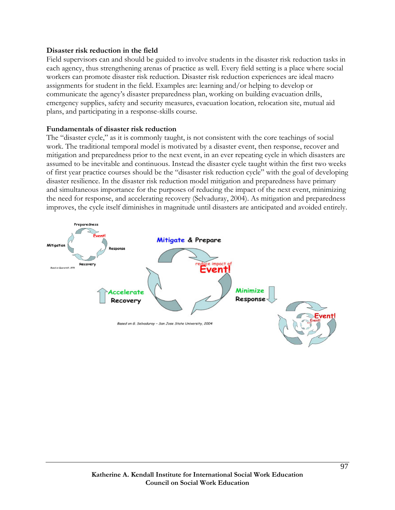#### **Disaster risk reduction in the field**

Field supervisors can and should be guided to involve students in the disaster risk reduction tasks in each agency, thus strengthening arenas of practice as well. Every field setting is a place where social workers can promote disaster risk reduction. Disaster risk reduction experiences are ideal macro assignments for student in the field. Examples are: learning and/or helping to develop or communicate the agency's disaster preparedness plan, working on building evacuation drills, emergency supplies, safety and security measures, evacuation location, relocation site, mutual aid plans, and participating in a response-skills course.

#### **Fundamentals of disaster risk reduction**

The "disaster cycle," as it is commonly taught, is not consistent with the core teachings of social work. The traditional temporal model is motivated by a disaster event, then response, recover and mitigation and preparedness prior to the next event, in an ever repeating cycle in which disasters are assumed to be inevitable and continuous. Instead the disaster cycle taught within the first two weeks of first year practice courses should be the "disaster risk reduction cycle" with the goal of developing disaster resilience. In the disaster risk reduction model mitigation and preparedness have primary and simultaneous importance for the purposes of reducing the impact of the next event, minimizing the need for response, and accelerating recovery (Selvaduray, 2004). As mitigation and preparedness improves, the cycle itself diminishes in magnitude until disasters are anticipated and avoided entirely.

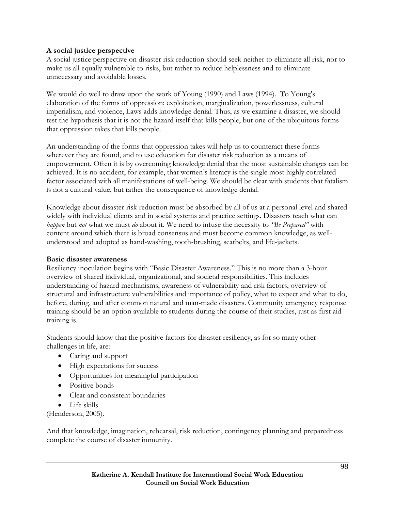### **A social justice perspective**

A social justice perspective on disaster risk reduction should seek neither to eliminate all risk, nor to make us all equally vulnerable to risks, but rather to reduce helplessness and to eliminate unnecessary and avoidable losses.

We would do well to draw upon the work of Young (1990) and Laws (1994). To Young's elaboration of the forms of oppression: exploitation, marginalization, powerlessness, cultural imperialism, and violence, Laws adds knowledge denial. Thus, as we examine a disaster, we should test the hypothesis that it is not the hazard itself that kills people, but one of the ubiquitous forms that oppression takes that kills people.

An understanding of the forms that oppression takes will help us to counteract these forms wherever they are found, and to use education for disaster risk reduction as a means of empowerment. Often it is by overcoming knowledge denial that the most sustainable changes can be achieved. It is no accident, for example, that women's literacy is the single most highly correlated factor associated with all manifestations of well-being. We should be clear with students that fatalism is not a cultural value, but rather the consequence of knowledge denial.

Knowledge about disaster risk reduction must be absorbed by all of us at a personal level and shared widely with individual clients and in social systems and practice settings. Disasters teach what can *happen* but *not* what we must *do* about it. We need to infuse the necessity to *"Be Prepared"* with content around which there is broad consensus and must become common knowledge, as wellunderstood and adopted as hand-washing, tooth-brushing, seatbelts, and life-jackets.

### **Basic disaster awareness**

Resiliency inoculation begins with "Basic Disaster Awareness." This is no more than a 3-hour overview of shared individual, organizational, and societal responsibilities. This includes understanding of hazard mechanisms, awareness of vulnerability and risk factors, overview of structural and infrastructure vulnerabilities and importance of policy, what to expect and what to do, before, during, and after common natural and man-made disasters. Community emergency response training should be an option available to students during the course of their studies, just as first aid training is.

Students should know that the positive factors for disaster resiliency, as for so many other challenges in life, are:

- Caring and support
- High expectations for success
- Opportunities for meaningful participation
- Positive bonds
- Clear and consistent boundaries
- Life skills

(Henderson, 2005).

And that knowledge, imagination, rehearsal, risk reduction, contingency planning and preparedness complete the course of disaster immunity.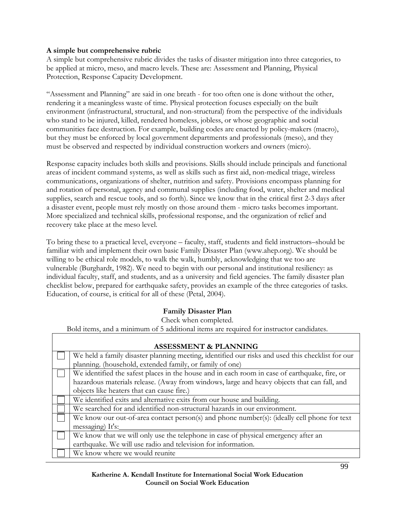### **A simple but comprehensive rubric**

A simple but comprehensive rubric divides the tasks of disaster mitigation into three categories, to be applied at micro, meso, and macro levels. These are: Assessment and Planning, Physical Protection, Response Capacity Development.

"Assessment and Planning" are said in one breath - for too often one is done without the other, rendering it a meaningless waste of time. Physical protection focuses especially on the built environment (infrastructural, structural, and non-structural) from the perspective of the individuals who stand to be injured, killed, rendered homeless, jobless, or whose geographic and social communities face destruction. For example, building codes are enacted by policy-makers (macro), but they must be enforced by local government departments and professionals (meso), and they must be observed and respected by individual construction workers and owners (micro).

Response capacity includes both skills and provisions. Skills should include principals and functional areas of incident command systems, as well as skills such as first aid, non-medical triage, wireless communications, organizations of shelter, nutrition and safety. Provisions encompass planning for and rotation of personal, agency and communal supplies (including food, water, shelter and medical supplies, search and rescue tools, and so forth). Since we know that in the critical first 2-3 days after a disaster event, people must rely mostly on those around them - micro tasks becomes important. More specialized and technical skills, professional response, and the organization of relief and recovery take place at the meso level.

To bring these to a practical level, everyone – faculty, staff, students and field instructors–should be familiar with and implement their own basic Family Disaster Plan (www.ahep.org). We should be willing to be ethical role models, to walk the walk, humbly, acknowledging that we too are vulnerable (Burghardt, 1982). We need to begin with our personal and institutional resiliency: as individual faculty, staff, and students, and as a university and field agencies. The family disaster plan checklist below, prepared for earthquake safety, provides an example of the three categories of tasks. Education, of course, is critical for all of these (Petal, 2004).

## **Family Disaster Plan**

Check when completed.

Bold items, and a minimum of 5 additional items are required for instructor candidates.

| <b>ASSESSMENT &amp; PLANNING</b> |                                                                                                  |
|----------------------------------|--------------------------------------------------------------------------------------------------|
|                                  | We held a family disaster planning meeting, identified our risks and used this checklist for our |
|                                  | planning. (household, extended family, or family of one)                                         |
|                                  | We identified the safest places in the house and in each room in case of earthquake, fire, or    |
|                                  | hazardous materials release. (Away from windows, large and heavy objects that can fall, and      |
|                                  | objects like heaters that can cause fire.)                                                       |
|                                  | We identified exits and alternative exits from our house and building.                           |
|                                  | We searched for and identified non-structural hazards in our environment.                        |
|                                  | We know our out-of-area contact person(s) and phone number(s): (ideally cell phone for text      |
|                                  | messaging) It's:                                                                                 |
|                                  | We know that we will only use the telephone in case of physical emergency after an               |
|                                  | earthquake. We will use radio and television for information.                                    |
|                                  | We know where we would reunite                                                                   |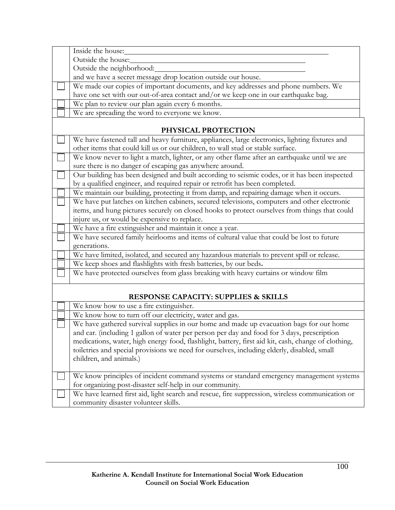|                                                 | Inside the house:                                                                                   |  |
|-------------------------------------------------|-----------------------------------------------------------------------------------------------------|--|
|                                                 | Outside the house:                                                                                  |  |
|                                                 | Outside the neighborhood:                                                                           |  |
|                                                 | and we have a secret message drop location outside our house.                                       |  |
|                                                 | We made our copies of important documents, and key addresses and phone numbers. We                  |  |
|                                                 | have one set with our out-of-area contact and/or we keep one in our earthquake bag.                 |  |
|                                                 | We plan to review our plan again every 6 months.                                                    |  |
|                                                 | We are spreading the word to everyone we know.                                                      |  |
| PHYSICAL PROTECTION                             |                                                                                                     |  |
|                                                 | We have fastened tall and heavy furniture, appliances, large electronics, lighting fixtures and     |  |
|                                                 | other items that could kill us or our children, to wall stud or stable surface.                     |  |
|                                                 | We know never to light a match, lighter, or any other flame after an earthquake until we are        |  |
|                                                 | sure there is no danger of escaping gas anywhere around.                                            |  |
|                                                 | Our building has been designed and built according to seismic codes, or it has been inspected       |  |
|                                                 | by a qualified engineer, and required repair or retrofit has been completed.                        |  |
|                                                 | We maintain our building, protecting it from damp, and repairing damage when it occurs.             |  |
|                                                 | We have put latches on kitchen cabinets, secured televisions, computers and other electronic        |  |
|                                                 | items, and hung pictures securely on closed hooks to protect ourselves from things that could       |  |
|                                                 | injure us, or would be expensive to replace.                                                        |  |
|                                                 | We have a fire extinguisher and maintain it once a year.                                            |  |
|                                                 | We have secured family heirlooms and items of cultural value that could be lost to future           |  |
|                                                 | generations.                                                                                        |  |
|                                                 | We have limited, isolated, and secured any hazardous materials to prevent spill or release.         |  |
|                                                 | We keep shoes and flashlights with fresh batteries, by our beds.                                    |  |
|                                                 | We have protected ourselves from glass breaking with heavy curtains or window film                  |  |
|                                                 |                                                                                                     |  |
| <b>RESPONSE CAPACITY: SUPPLIES &amp; SKILLS</b> |                                                                                                     |  |
|                                                 | We know how to use a fire extinguisher.                                                             |  |
|                                                 | We know how to turn off our electricity, water and gas.                                             |  |
|                                                 | We have gathered survival supplies in our home and made up evacuation bags for our home             |  |
|                                                 | and car. (including 1 gallon of water per person per day and food for 3 days, prescription          |  |
|                                                 | medications, water, high energy food, flashlight, battery, first aid kit, cash, change of clothing, |  |
|                                                 | toiletries and special provisions we need for ourselves, including elderly, disabled, small         |  |
|                                                 | children, and animals.)                                                                             |  |
|                                                 |                                                                                                     |  |
|                                                 | We know principles of incident command systems or standard emergency management systems             |  |
|                                                 | for organizing post-disaster self-help in our community.                                            |  |
|                                                 | We have learned first aid, light search and rescue, fire suppression, wireless communication or     |  |
|                                                 | community disaster volunteer skills.                                                                |  |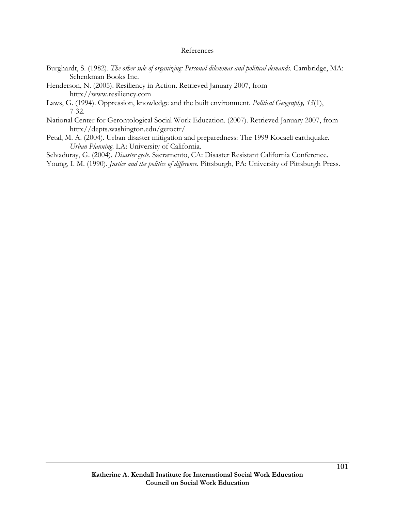#### References

- Burghardt, S. (1982). *The other side of organizing: Personal dilemmas and political demands*. Cambridge, MA: Schenkman Books Inc.
- Henderson, N. (2005). Resiliency in Action. Retrieved January 2007, from http://www.resiliency.com
- Laws, G. (1994). Oppression, knowledge and the built environment. *Political Geography, 13*(1), 7-32.
- National Center for Gerontological Social Work Education. (2007). Retrieved January 2007, from http://depts.washington.edu/geroctr/
- Petal, M. A. (2004). Urban disaster mitigation and preparedness: The 1999 Kocaeli earthquake. *Urban Planning*. LA: University of California.
- Selvaduray, G. (2004). *Disaster cycle.* Sacramento, CA: Disaster Resistant California Conference.
- Young, I. M. (1990). *Justice and the politics of difference*. Pittsburgh, PA: University of Pittsburgh Press.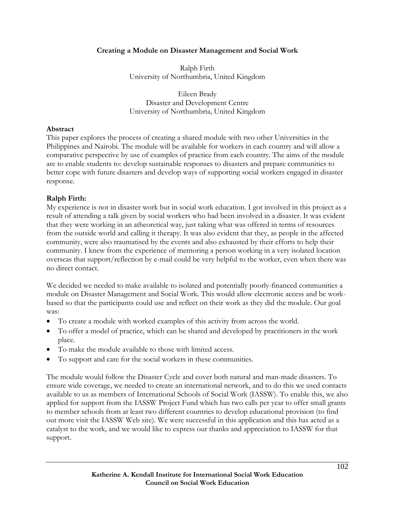### **Creating a Module on Disaster Management and Social Work**

Ralph Firth University of Northumbria, United Kingdom

Eileen Brady Disaster and Development Centre University of Northumbria, United Kingdom

### **Abstract**

This paper explores the process of creating a shared module with two other Universities in the Philippines and Nairobi. The module will be available for workers in each country and will allow a comparative perspective by use of examples of practice from each country. The aims of the module are to enable students to: develop sustainable responses to disasters and prepare communities to better cope with future disasters and develop ways of supporting social workers engaged in disaster response.

## **Ralph Firth:**

My experience is not in disaster work but in social work education. I got involved in this project as a result of attending a talk given by social workers who had been involved in a disaster. It was evident that they were working in an atheoretical way, just taking what was offered in terms of resources from the outside world and calling it therapy. It was also evident that they, as people in the affected community, were also traumatised by the events and also exhausted by their efforts to help their community. I knew from the experience of mentoring a person working in a very isolated location overseas that support/reflection by e-mail could be very helpful to the worker, even when there was no direct contact.

We decided we needed to make available to isolated and potentially poorly-financed communities a module on Disaster Management and Social Work. This would allow electronic access and be workbased so that the participants could use and reflect on their work as they did the module. Our goal was:

- To create a module with worked examples of this activity from across the world.
- To offer a model of practice, which can be shared and developed by practitioners in the work place.
- To make the module available to those with limited access.
- To support and care for the social workers in these communities.

The module would follow the Disaster Cycle and cover both natural and man-made disasters. To ensure wide coverage, we needed to create an international network, and to do this we used contacts available to us as members of International Schools of Social Work (IASSW). To enable this, we also applied for support from the IASSW Project Fund which has two calls per year to offer small grants to member schools from at least two different countries to develop educational provision (to find out more visit the IASSW Web site). We were successful in this application and this has acted as a catalyst to the work, and we would like to express our thanks and appreciation to IASSW for that support.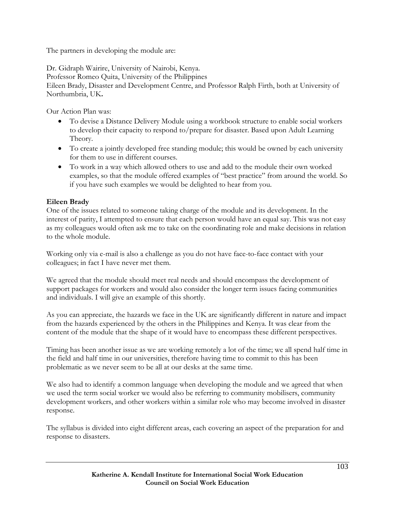The partners in developing the module are:

Dr. Gidraph Wairire, University of Nairobi, Kenya. Professor Romeo Quita, University of the Philippines Eileen Brady, Disaster and Development Centre, and Professor Ralph Firth, both at University of Northumbria, UK**.** 

Our Action Plan was:

- To devise a Distance Delivery Module using a workbook structure to enable social workers to develop their capacity to respond to/prepare for disaster. Based upon Adult Learning Theory.
- To create a jointly developed free standing module; this would be owned by each university for them to use in different courses.
- To work in a way which allowed others to use and add to the module their own worked examples, so that the module offered examples of "best practice" from around the world. So if you have such examples we would be delighted to hear from you.

# **Eileen Brady**

One of the issues related to someone taking charge of the module and its development. In the interest of parity, I attempted to ensure that each person would have an equal say. This was not easy as my colleagues would often ask me to take on the coordinating role and make decisions in relation to the whole module.

Working only via e-mail is also a challenge as you do not have face-to-face contact with your colleagues; in fact I have never met them.

We agreed that the module should meet real needs and should encompass the development of support packages for workers and would also consider the longer term issues facing communities and individuals. I will give an example of this shortly.

As you can appreciate, the hazards we face in the UK are significantly different in nature and impact from the hazards experienced by the others in the Philippines and Kenya. It was clear from the content of the module that the shape of it would have to encompass these different perspectives.

Timing has been another issue as we are working remotely a lot of the time; we all spend half time in the field and half time in our universities, therefore having time to commit to this has been problematic as we never seem to be all at our desks at the same time.

We also had to identify a common language when developing the module and we agreed that when we used the term social worker we would also be referring to community mobilisers, community development workers, and other workers within a similar role who may become involved in disaster response.

The syllabus is divided into eight different areas, each covering an aspect of the preparation for and response to disasters.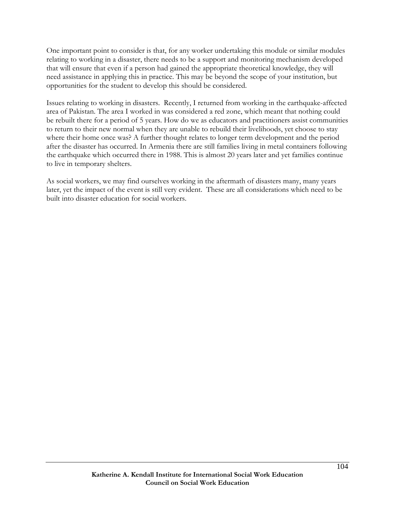One important point to consider is that, for any worker undertaking this module or similar modules relating to working in a disaster, there needs to be a support and monitoring mechanism developed that will ensure that even if a person had gained the appropriate theoretical knowledge, they will need assistance in applying this in practice. This may be beyond the scope of your institution, but opportunities for the student to develop this should be considered.

Issues relating to working in disasters. Recently, I returned from working in the earthquake-affected area of Pakistan. The area I worked in was considered a red zone, which meant that nothing could be rebuilt there for a period of 5 years. How do we as educators and practitioners assist communities to return to their new normal when they are unable to rebuild their livelihoods, yet choose to stay where their home once was? A further thought relates to longer term development and the period after the disaster has occurred. In Armenia there are still families living in metal containers following the earthquake which occurred there in 1988. This is almost 20 years later and yet families continue to live in temporary shelters.

As social workers, we may find ourselves working in the aftermath of disasters many, many years later, yet the impact of the event is still very evident. These are all considerations which need to be built into disaster education for social workers.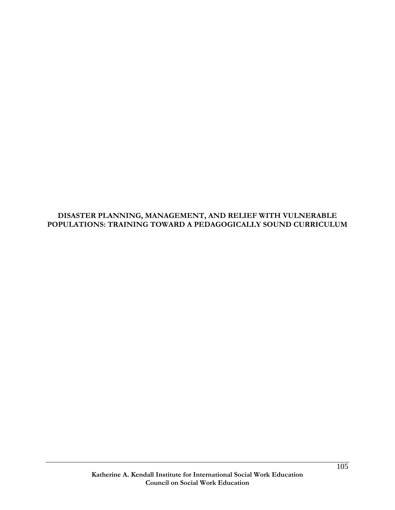**DISASTER PLANNING, MANAGEMENT, AND RELIEF WITH VULNERABLE POPULATIONS: TRAINING TOWARD A PEDAGOGICALLY SOUND CURRICULUM**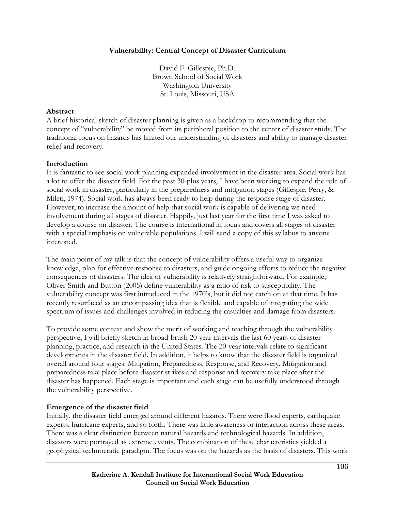### **Vulnerability: Central Concept of Disaster Curriculum**

David F. Gillespie, Ph.D. Brown School of Social Work Washington University St. Louis, Missouri, USA

#### **Abstract**

A brief historical sketch of disaster planning is given as a backdrop to recommending that the concept of "vulnerability" be moved from its peripheral position to the center of disaster study. The traditional focus on hazards has limited our understanding of disasters and ability to manage disaster relief and recovery.

#### **Introduction**

It is fantastic to see social work planning expanded involvement in the disaster area. Social work has a lot to offer the disaster field. For the past 30-plus years, I have been working to expand the role of social work in disaster, particularly in the preparedness and mitigation stages (Gillespie, Perry, & Mileti, 1974). Social work has always been ready to help during the response stage of disaster. However, to increase the amount of help that social work is capable of delivering we need involvement during all stages of disaster. Happily, just last year for the first time I was asked to develop a course on disaster. The course is international in focus and covers all stages of disaster with a special emphasis on vulnerable populations. I will send a copy of this syllabus to anyone interested.

The main point of my talk is that the concept of vulnerability offers a useful way to organize knowledge, plan for effective response to disasters, and guide ongoing efforts to reduce the negative consequences of disasters. The idea of vulnerability is relatively straightforward. For example, Oliver-Smith and Button (2005) define vulnerability as a ratio of risk to susceptibility. The vulnerability concept was first introduced in the 1970's, but it did not catch on at that time. It has recently resurfaced as an encompassing idea that is flexible and capable of integrating the wide spectrum of issues and challenges involved in reducing the casualties and damage from disasters.

To provide some context and show the merit of working and teaching through the vulnerability perspective, I will briefly sketch in broad-brush 20-year intervals the last 60 years of disaster planning, practice, and research in the United States. The 20-year intervals relate to significant developments in the disaster field. In addition, it helps to know that the disaster field is organized overall around four stages: Mitigation, Preparedness, Response, and Recovery. Mitigation and preparedness take place before disaster strikes and response and recovery take place after the disaster has happened. Each stage is important and each stage can be usefully understood through the vulnerability perspective.

### **Emergence of the disaster field**

Initially, the disaster field emerged around different hazards. There were flood experts, earthquake experts, hurricane experts, and so forth. There was little awareness or interaction across these areas. There was a clear distinction between natural hazards and technological hazards. In addition, disasters were portrayed as extreme events. The combination of these characteristics yielded a geophysical technocratic paradigm. The focus was on the hazards as the basis of disasters. This work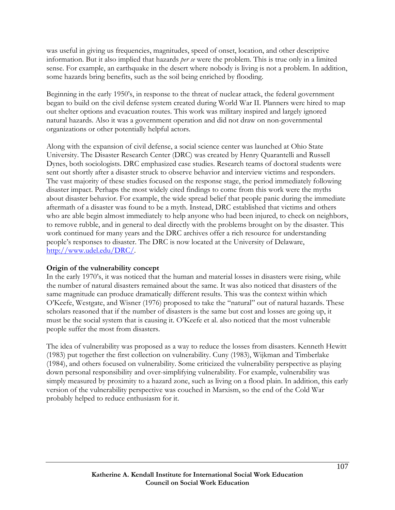was useful in giving us frequencies, magnitudes, speed of onset, location, and other descriptive information. But it also implied that hazards *per se* were the problem. This is true only in a limited sense. For example, an earthquake in the desert where nobody is living is not a problem. In addition, some hazards bring benefits, such as the soil being enriched by flooding.

Beginning in the early 1950's, in response to the threat of nuclear attack, the federal government began to build on the civil defense system created during World War II. Planners were hired to map out shelter options and evacuation routes. This work was military inspired and largely ignored natural hazards. Also it was a government operation and did not draw on non-governmental organizations or other potentially helpful actors.

Along with the expansion of civil defense, a social science center was launched at Ohio State University. The Disaster Research Center (DRC) was created by Henry Quarantelli and Russell Dynes, both sociologists. DRC emphasized case studies. Research teams of doctoral students were sent out shortly after a disaster struck to observe behavior and interview victims and responders. The vast majority of these studies focused on the response stage, the period immediately following disaster impact. Perhaps the most widely cited findings to come from this work were the myths about disaster behavior. For example, the wide spread belief that people panic during the immediate aftermath of a disaster was found to be a myth. Instead, DRC established that victims and others who are able begin almost immediately to help anyone who had been injured, to check on neighbors, to remove rubble, and in general to deal directly with the problems brought on by the disaster. This work continued for many years and the DRC archives offer a rich resource for understanding people's responses to disaster. The DRC is now located at the University of Delaware, [http://www.udel.edu/DRC/.](http://www.udel.edu/DRC/)

### **Origin of the vulnerability concept**

In the early 1970's, it was noticed that the human and material losses in disasters were rising, while the number of natural disasters remained about the same. It was also noticed that disasters of the same magnitude can produce dramatically different results. This was the context within which O'Keefe, Westgate, and Wisner (1976) proposed to take the "natural" out of natural hazards. These scholars reasoned that if the number of disasters is the same but cost and losses are going up, it must be the social system that is causing it. O'Keefe et al. also noticed that the most vulnerable people suffer the most from disasters.

The idea of vulnerability was proposed as a way to reduce the losses from disasters. Kenneth Hewitt (1983) put together the first collection on vulnerability. Cuny (1983), Wijkman and Timberlake (1984), and others focused on vulnerability. Some criticized the vulnerability perspective as playing down personal responsibility and over-simplifying vulnerability. For example, vulnerability was simply measured by proximity to a hazard zone, such as living on a flood plain. In addition, this early version of the vulnerability perspective was couched in Marxism, so the end of the Cold War probably helped to reduce enthusiasm for it.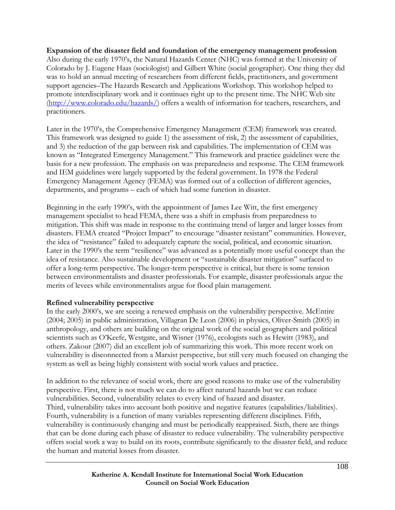**Expansion of the disaster field and foundation of the emergency management profession** Also during the early 1970's, the Natural Hazards Center (NHC) was formed at the University of Colorado by J. Eugene Haas (sociologist) and Gilbert White (social geographer). One thing they did was to hold an annual meeting of researchers from different fields, practitioners, and government support agencies–The Hazards Research and Applications Workshop. This workshop helped to promote interdisciplinary work and it continues right up to the present time. The NHC Web site [\(http://www.colorado.edu/hazards/\)](http://www.colorado.edu/hazards/) offers a wealth of information for teachers, researchers, and practitioners.

Later in the 1970's, the Comprehensive Emergency Management (CEM) framework was created. This framework was designed to guide 1) the assessment of risk, 2) the assessment of capabilities, and 3) the reduction of the gap between risk and capabilities. The implementation of CEM was known as "Integrated Emergency Management." This framework and practice guidelines were the basis for a new profession. The emphasis on was preparedness and response. The CEM framework and IEM guidelines were largely supported by the federal government. In 1978 the Federal Emergency Management Agency (FEMA) was formed out of a collection of different agencies, departments, and programs – each of which had some function in disaster.

Beginning in the early 1990's, with the appointment of James Lee Witt, the first emergency management specialist to head FEMA, there was a shift in emphasis from preparedness to mitigation. This shift was made in response to the continuing trend of larger and larger losses from disasters. FEMA created "Project Impact" to encourage "disaster resistant" communities. However, the idea of "resistance" failed to adequately capture the social, political, and economic situation. Later in the 1990's the term "resilience" was advanced as a potentially more useful concept than the idea of resistance. Also sustainable development or "sustainable disaster mitigation" surfaced to offer a long-term perspective. The longer-term perspective is critical, but there is some tension between environmentalists and disaster professionals. For example, disaster professionals argue the merits of levees while environmentalists argue for flood plain management.

## **Refined vulnerability perspective**

In the early 2000's, we are seeing a renewed emphasis on the vulnerability perspective. McEntire (2004; 2005) in public administration, Villagran De Leon (2006) in physics, Oliver-Smith (2005) in anthropology, and others are building on the original work of the social geographers and political scientists such as O'Keefe, Westgate, and Wisner (1976), ecologists such as Hewitt (1983), and others. Zakour (2007) did an excellent job of summarizing this work. This more recent work on vulnerability is disconnected from a Marxist perspective, but still very much focused on changing the system as well as being highly consistent with social work values and practice.

In addition to the relevance of social work, there are good reasons to make use of the vulnerability perspective. First, there is not much we can do to affect natural hazards but we can reduce vulnerabilities. Second, vulnerability relates to every kind of hazard and disaster. Third, vulnerability takes into account both positive and negative features (capabilities/liabilities). Fourth, vulnerability is a function of many variables representing different disciplines. Fifth, vulnerability is continuously changing and must be periodically reappraised. Sixth, there are things that can be done during each phase of disaster to reduce vulnerability. The vulnerability perspective offers social work a way to build on its roots, contribute significantly to the disaster field, and reduce the human and material losses from disaster.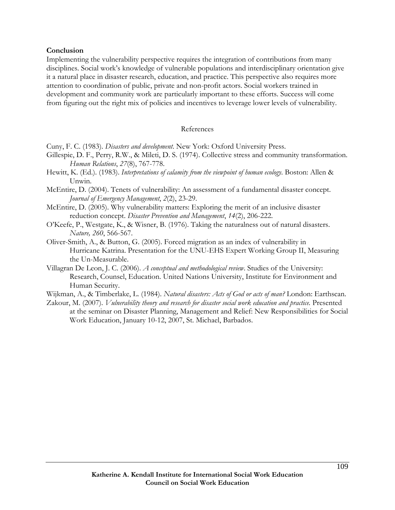#### **Conclusion**

Implementing the vulnerability perspective requires the integration of contributions from many disciplines. Social work's knowledge of vulnerable populations and interdisciplinary orientation give it a natural place in disaster research, education, and practice. This perspective also requires more attention to coordination of public, private and non-profit actors. Social workers trained in development and community work are particularly important to these efforts. Success will come from figuring out the right mix of policies and incentives to leverage lower levels of vulnerability.

#### References

- Cuny, F. C. (1983). *Disasters and development*. New York: Oxford University Press.
- Gillespie, D. F., Perry, R.W., & Mileti, D. S. (1974). Collective stress and community transformation. *Human Relations*, *27*(8), 767-778.
- Hewitt, K. (Ed.). (1983). *Interpretations of calamity from the viewpoint of human ecology*. Boston: Allen & Unwin.
- McEntire, D. (2004). Tenets of vulnerability: An assessment of a fundamental disaster concept. *Journal of Emergency Management*, *2*(2), 23-29.
- McEntire, D. (2005). Why vulnerability matters: Exploring the merit of an inclusive disaster reduction concept. *Disaster Prevention and Management*, *14*(2), 206-222.
- O'Keefe, P., Westgate, K., & Wisner, B. (1976). Taking the naturalness out of natural disasters. *Nature, 260*, 566-567.
- Oliver-Smith, A., & Button, G. (2005). Forced migration as an index of vulnerability in Hurricane Katrina. Presentation for the UNU-EHS Expert Working Group II, Measuring the Un-Measurable.
- Villagran De Leon, J. C. (2006). *A conceptual and methodological review*. Studies of the University: Research, Counsel, Education. United Nations University, Institute for Environment and Human Security.
- Wijkman, A., & Timberlake, L. (1984). *Natural disasters: Acts of God or acts of man?* London: Earthscan.
- Zakour, M. (2007). *Vulnerability theory and research for disaster social work education and practice.* Presented at the seminar on Disaster Planning, Management and Relief: New Responsibilities for Social Work Education, January 10-12, 2007, St. Michael, Barbados.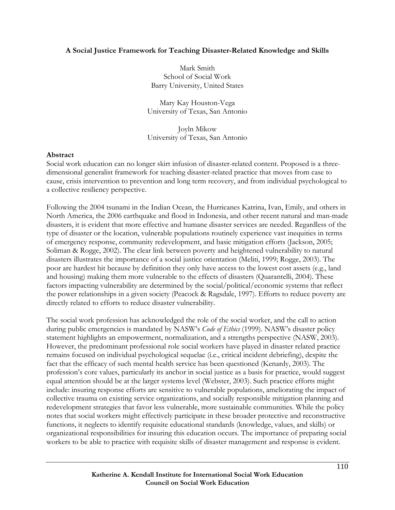### **A Social Justice Framework for Teaching Disaster-Related Knowledge and Skills**

Mark Smith School of Social Work Barry University, United States

Mary Kay Houston-Vega University of Texas, San Antonio

Joyln Mikow University of Texas, San Antonio

### **Abstract**

Social work education can no longer skirt infusion of disaster-related content. Proposed is a threedimensional generalist framework for teaching disaster-related practice that moves from case to cause, crisis intervention to prevention and long term recovery, and from individual psychological to a collective resiliency perspective.

Following the 2004 tsunami in the Indian Ocean, the Hurricanes Katrina, Ivan, Emily, and others in North America, the 2006 earthquake and flood in Indonesia, and other recent natural and man-made disasters, it is evident that more effective and humane disaster services are needed. Regardless of the type of disaster or the location, vulnerable populations routinely experience vast inequities in terms of emergency response, community redevelopment, and basic mitigation efforts (Jackson, 2005; Soliman & Rogge, 2002). The clear link between poverty and heightened vulnerability to natural disasters illustrates the importance of a social justice orientation (Meliti, 1999; Rogge, 2003). The poor are hardest hit because by definition they only have access to the lowest cost assets (e.g., land and housing) making them more vulnerable to the effects of disasters (Quarantelli, 2004). These factors impacting vulnerability are determined by the social/political/economic systems that reflect the power relationships in a given society (Peacock & Ragsdale, 1997). Efforts to reduce poverty are directly related to efforts to reduce disaster vulnerability.

The social work profession has acknowledged the role of the social worker, and the call to action during public emergencies is mandated by NASW's *Code of Ethics* (1999). NASW's disaster policy statement highlights an empowerment, normalization, and a strengths perspective (NASW, 2003). However, the predominant professional role social workers have played in disaster related practice remains focused on individual psychological sequelae (i.e., critical incident debriefing), despite the fact that the efficacy of such mental health service has been questioned (Kenardy, 2003). The profession's core values, particularly its anchor in social justice as a basis for practice, would suggest equal attention should be at the larger systems level (Webster, 2003). Such practice efforts might include: insuring response efforts are sensitive to vulnerable populations, ameliorating the impact of collective trauma on existing service organizations, and socially responsible mitigation planning and redevelopment strategies that favor less vulnerable, more sustainable communities. While the policy notes that social workers might effectively participate in these broader protective and reconstructive functions, it neglects to identify requisite educational standards (knowledge, values, and skills) or organizational responsibilities for insuring this education occurs. The importance of preparing social workers to be able to practice with requisite skills of disaster management and response is evident.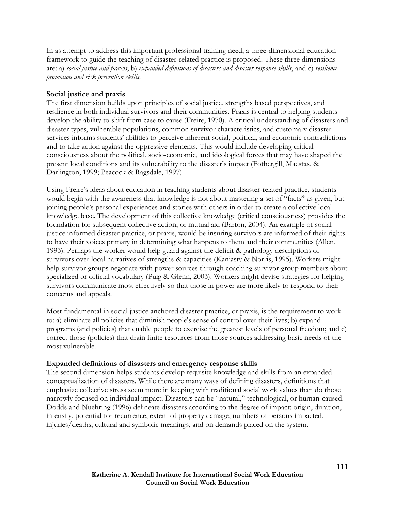In as attempt to address this important professional training need, a three-dimensional education framework to guide the teaching of disaster-related practice is proposed. These three dimensions are: a) *social justice and praxis*, b) *expanded definitions of disasters and disaster response skills*, and c) *resilience promotion and risk prevention skills*.

# **Social justice and praxis**

The first dimension builds upon principles of social justice, strengths based perspectives, and resilience in both individual survivors and their communities. Praxis is central to helping students develop the ability to shift from case to cause (Freire, 1970). A critical understanding of disasters and disaster types, vulnerable populations, common survivor characteristics, and customary disaster services informs students' abilities to perceive inherent social, political, and economic contradictions and to take action against the oppressive elements. This would include developing critical consciousness about the political, socio-economic, and ideological forces that may have shaped the present local conditions and its vulnerability to the disaster's impact (Fothergill, Maestas, & Darlington, 1999; Peacock & Ragsdale, 1997).

Using Freire's ideas about education in teaching students about disaster-related practice, students would begin with the awareness that knowledge is not about mastering a set of "facts" as given, but joining people's personal experiences and stories with others in order to create a collective local knowledge base. The development of this collective knowledge (critical consciousness) provides the foundation for subsequent collective action, or mutual aid (Barton, 2004). An example of social justice informed disaster practice, or praxis, would be insuring survivors are informed of their rights to have their voices primary in determining what happens to them and their communities (Allen, 1993). Perhaps the worker would help guard against the deficit & pathology descriptions of survivors over local narratives of strengths & capacities (Kaniasty & Norris, 1995). Workers might help survivor groups negotiate with power sources through coaching survivor group members about specialized or official vocabulary (Puig & Glenn, 2003). Workers might devise strategies for helping survivors communicate most effectively so that those in power are more likely to respond to their concerns and appeals.

Most fundamental in social justice anchored disaster practice, or praxis, is the requirement to work to: a) eliminate all policies that diminish people's sense of control over their lives; b) expand programs (and policies) that enable people to exercise the greatest levels of personal freedom; and c) correct those (policies) that drain finite resources from those sources addressing basic needs of the most vulnerable.

# **Expanded definitions of disasters and emergency response skills**

The second dimension helps students develop requisite knowledge and skills from an expanded conceptualization of disasters. While there are many ways of defining disasters, definitions that emphasize collective stress seem more in keeping with traditional social work values than do those narrowly focused on individual impact. Disasters can be "natural," technological, or human-caused. Dodds and Nuehring (1996) delineate disasters according to the degree of impact: origin, duration, intensity, potential for recurrence, extent of property damage, numbers of persons impacted, injuries/deaths, cultural and symbolic meanings, and on demands placed on the system.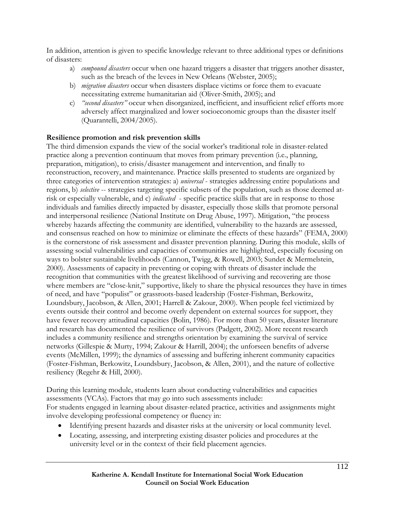In addition, attention is given to specific knowledge relevant to three additional types or definitions of disasters:

- a) *compound disasters* occur when one hazard triggers a disaster that triggers another disaster, such as the breach of the levees in New Orleans (Webster, 2005);
- b) *migration disasters* occur when disasters displace victims or force them to evacuate necessitating extreme humanitarian aid (Oliver-Smith, 2005); and
- c) *"second disasters"* occur when disorganized, inefficient, and insufficient relief efforts more adversely affect marginalized and lower socioeconomic groups than the disaster itself (Quarantelli, 2004/2005).

## **Resilience promotion and risk prevention skills**

The third dimension expands the view of the social worker's traditional role in disaster-related practice along a prevention continuum that moves from primary prevention (i.e., planning, preparation, mitigation), to crisis/disaster management and intervention, and finally to reconstruction, recovery, and maintenance. Practice skills presented to students are organized by three categories of intervention strategies: a) *universal* - strategies addressing entire populations and regions, b) *selective* -- strategies targeting specific subsets of the population, such as those deemed atrisk or especially vulnerable, and c) *indicated* - specific practice skills that are in response to those individuals and families directly impacted by disaster, especially those skills that promote personal and interpersonal resilience (National Institute on Drug Abuse, 1997). Mitigation, "the process whereby hazards affecting the community are identified, vulnerability to the hazards are assessed, and consensus reached on how to minimize or eliminate the effects of these hazards" (FEMA, 2000) is the cornerstone of risk assessment and disaster prevention planning. During this module, skills of assessing social vulnerabilities and capacities of communities are highlighted, especially focusing on ways to bolster sustainable livelihoods (Cannon, Twigg, & Rowell, 2003; Sundet & Mermelstein, 2000). Assessments of capacity in preventing or coping with threats of disaster include the recognition that communities with the greatest likelihood of surviving and recovering are those where members are "close-knit," supportive, likely to share the physical resources they have in times of need, and have "populist" or grassroots-based leadership (Foster-Fishman, Berkowitz, Loundsbury, Jacobson, & Allen, 2001; Harrell & Zakour, 2000). When people feel victimized by events outside their control and become overly dependent on external sources for support, they have fewer recovery attitudinal capacities (Bolin, 1986). For more than 50 years, disaster literature and research has documented the resilience of survivors (Padgett, 2002). More recent research includes a community resilience and strengths orientation by examining the survival of service networks (Gillespie & Murty, 1994; Zakour & Harrill, 2004); the unforseen benefits of adverse events (McMillen, 1999); the dynamics of assessing and buffering inherent community capacities (Foster-Fishman, Berkowitz, Loundsbury, Jacobson, & Allen, 2001), and the nature of collective resiliency (Regehr & Hill, 2000).

During this learning module, students learn about conducting vulnerabilities and capacities assessments (VCAs). Factors that may go into such assessments include: For students engaged in learning about disaster-related practice, activities and assignments might involve developing professional competency or fluency in:

- Identifying present hazards and disaster risks at the university or local community level.
- Locating, assessing, and interpreting existing disaster policies and procedures at the university level or in the context of their field placement agencies.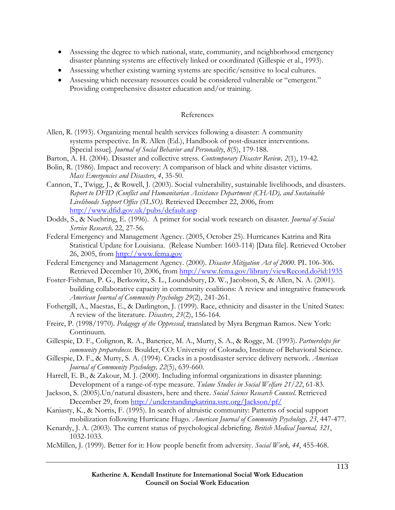- Assessing the degree to which national, state, community, and neighborhood emergency disaster planning systems are effectively linked or coordinated (Gillespie et al., 1993).
- Assessing whether existing warning systems are specific/sensitive to local cultures.
- Assessing which necessary resources could be considered vulnerable or "emergent." Providing comprehensive disaster education and/or training.

### References

- Allen, R. (1993). Organizing mental health services following a disaster: A community systems perspective. In R. Allen (Ed.), Handbook of post-disaster interventions. [Special issue]. *Journal of Social Behavior and Personality*, *8*(5), 179-188.
- Barton, A. H. (2004). Disaster and collective stress. *Contemporary Disaster Review, 2*(1), 19-42.
- Bolin, R. (1986). Impact and recovery: A comparison of black and white disaster victims. *Mass Emergencies and Disasters*, *4*, 35-50.
- Cannon, T., Twigg, J., & Rowell, J. (2003). Social vulnerability, sustainable livelihoods, and disasters. *Report to DFID (Conflict and Humanitarian Assistance Department (CHAD), and Sustainable Livelihoods Support Office (SLSO).* Retrieved December 22, 2006, from <http://www.dfid.gov.uk/pubs/default.asp>
- Dodds, S., & Nuehring, E. (1996). A primer for social work research on disaster. *Journal of Social Service Research,* 22, 27-56.
- Federal Emergency and Management Agency. (2005, October 25). Hurricanes Katrina and Rita Statistical Update for Louisiana. (Release Number: 1603-114) [Data file]. Retrieved October 26, 2005, from [http://www.fema.gov](http://www.fema.gov/)
- Federal Emergency and Management Agency. (2000). *Disaster Mitigation Act of 2000*. PL 106-306. Retrieved December 10, 2006, from<http://www.fema.gov/library/viewRecord.do?id:1935>
- Foster-Fishman, P. G., Berkowitz, S. L., Loundsbury, D. W., Jacobson, S, & Allen, N. A. (2001). building collaborative capacity in community coalitions: A review and integrative framework *American Journal of Community Psychology 29*(2), 241-261.
- Fothergill, A., Maestas, E., & Darlington, J. (1999). Race, ethnicity and disaster in the United States: A review of the literature. *Disasters*, *23*(2), 156-164.
- Freire, P. (1998/1970). *Pedagogy of the Oppressed*, translated by Myra Bergman Ramos. New York: Continuum.
- Gillespie, D. F., Colignon, R. A., Banerjee, M. A., Murty, S. A., & Rogge, M. (1993). *Partnerships for community preparedness*. Boulder, CO: University of Colorado, Institute of Behavioral Science.
- Gillespie, D. F., & Murty, S. A. (1994). Cracks in a postdisaster service delivery network. *American Journal of Community Psychology, 22*(5), 639-660.
- Harrell, E. B., & Zakour, M. J. (2000). Including informal organizations in disaster planning: Development of a range-of-type measure. *Tulane Studies in Social Welfare 21*/*22*, 61-83.
- Jackson, S. (2005).Un/natural disasters, here and there. *Social Science Research Counsel.* Retrieved December 29, from <http://understandingkatrina.ssrc.org/Jackson/pf/>
- Kaniasty, K., & Norris, F. (1995). In search of altruistic community: Patterns of social support mobilization following Hurricane Hugo. *American Journal of Community Psychology, 23*, 447-477.
- Kenardy, J. A. (2003). The current status of psychological debriefing. *British Medical Journal, 321*, 1032-1033.
- McMillen, J. (1999). Better for it: How people benefit from adversity. *Social Work, 44*, 455-468.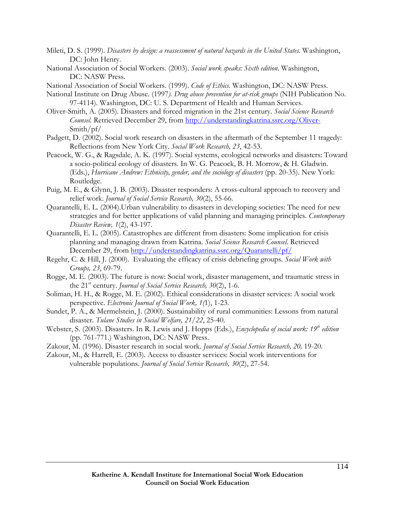- Mileti, D. S. (1999). *Disasters by design: a reassessment of natural hazards in the United States.* Washington, DC: John Henry.
- National Association of Social Workers. (2003). *Social work speaks: Sixth edition*. Washington, DC: NASW Press.
- National Association of Social Workers. (1999). *Code of Ethics.* Washington, DC: NASW Press.
- National Institute on Drug Abuse. (1997*). Drug abuse prevention for at-risk groups* (NIH Publication No. 97-4114). Washington, DC: U. S. Department of Health and Human Services.
- Oliver-Smith, A. (2005). Disasters and forced migration in the 21st century. *Social Science Research Counsel.* Retrieved December 29, from<http://understandingkatrina.ssrc.org/Oliver-> Smith/pf/
- Padgett, D. (2002). Social work research on disasters in the aftermath of the September 11 tragedy: Reflections from New York City. *Social Work Research, 23*, 42-53.
- Peacock, W. G., & Ragsdale, A. K. (1997). Social systems, ecological networks and disasters: Toward a socio-political ecology of disasters. In W. G. Peacock, B. H. Morrow, & H. Gladwin. (Eds.), *Hurricane Andrew: Ethnicity, gender, and the sociology of disasters* (pp. 20-35). New York: Routledge.
- Puig, M. E., & Glynn, J. B. (2003). Disaster responders: A cross-cultural approach to recovery and relief work. *Journal of Social Service Research, 30*(2), 55-66.
- Quarantelli, E. L. (2004).Urban vulnerability to disasters in developing societies: The need for new strategies and for better applications of valid planning and managing principles. *Contemporary Disaster Review, 1*(2), 43-197.
- Quarantelli, E. L. (2005). Catastrophes are different from disasters: Some implication for crisis planning and managing drawn from Katrina. *Social Science Research Counsel.* Retrieved December 29, from <http://understandingkatrina.ssrc.org/Quarantelli/pf/>
- Regehr, C. & Hill, J. (2000). Evaluating the efficacy of crisis debriefing groups. *Social Work with Groups, 23*, 69-79.
- Rogge, M. E. (2003). The future is now: Social work, disaster management, and traumatic stress in the 21<sup>st</sup> century. *Journal of Social Service Research*, 30(2), 1-6.
- Soliman, H. H., & Rogge, M. E. (2002). Ethical considerations in disaster services: A social work perspective. *Electronic Journal of Social Work, 1(*1), 1-23.
- Sundet, P. A., & Mermelstein, J. (2000). Sustainability of rural communities: Lessons from natural disaster. *Tulane Studies in Social Welfare, 21/22*, 25-40.
- Webster, S. (2003). Disasters. In R. Lewis and J. Hopps (Eds.), *Encyclopedia of social work:* 19<sup>th</sup> edition (pp. 761-771.) Washington, DC: NASW Press.
- Zakour, M. (1996). Disaster research in social work. *Journal of Social Service Research, 20,* 19-20.
- Zakour, M., & Harrell, E. (2003). Access to disaster services: Social work interventions for vulnerable populations. *Journal of Social Service Research, 30*(2), 27-54.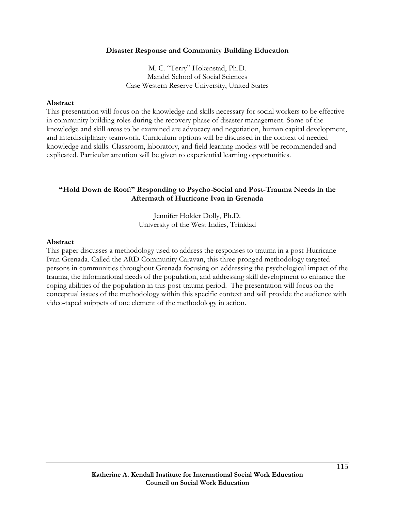### **Disaster Response and Community Building Education**

M. C. "Terry" Hokenstad, Ph.D. Mandel School of Social Sciences Case Western Reserve University, United States

### **Abstract**

This presentation will focus on the knowledge and skills necessary for social workers to be effective in community building roles during the recovery phase of disaster management. Some of the knowledge and skill areas to be examined are advocacy and negotiation, human capital development, and interdisciplinary teamwork. Curriculum options will be discussed in the context of needed knowledge and skills. Classroom, laboratory, and field learning models will be recommended and explicated. Particular attention will be given to experiential learning opportunities.

## **"Hold Down de Roof:" Responding to Psycho-Social and Post-Trauma Needs in the Aftermath of Hurricane Ivan in Grenada**

Jennifer Holder Dolly, Ph.D. University of the West Indies, Trinidad

### **Abstract**

This paper discusses a methodology used to address the responses to trauma in a post-Hurricane Ivan Grenada. Called the ARD Community Caravan, this three-pronged methodology targeted persons in communities throughout Grenada focusing on addressing the psychological impact of the trauma, the informational needs of the population, and addressing skill development to enhance the coping abilities of the population in this post-trauma period. The presentation will focus on the conceptual issues of the methodology within this specific context and will provide the audience with video-taped snippets of one element of the methodology in action.